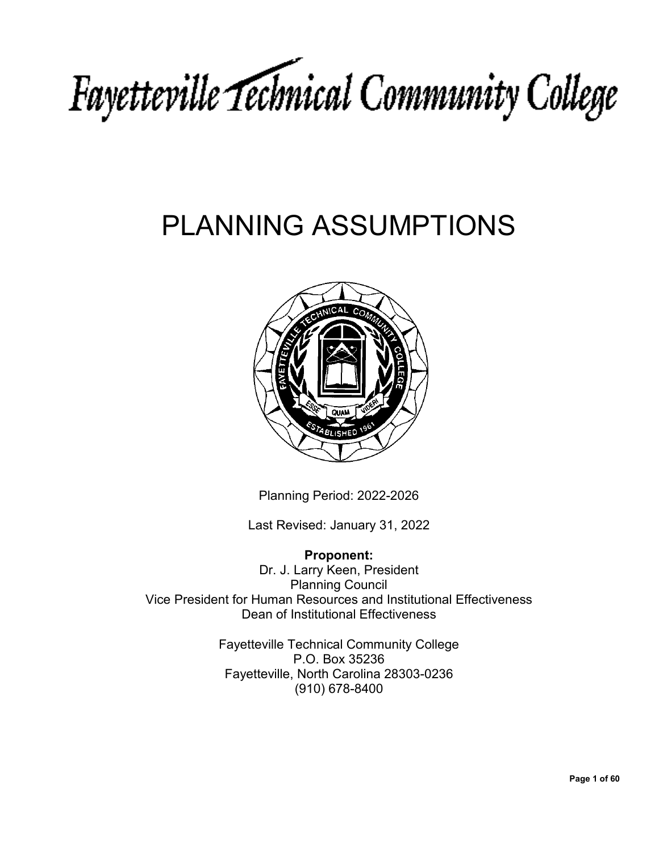# Fayetteville Technical Community College

## PLANNING ASSUMPTIONS



Planning Period: 2022-2026

Last Revised: January 31, 2022

**Proponent:** Dr. J. Larry Keen, President Planning Council Vice President for Human Resources and Institutional Effectiveness Dean of Institutional Effectiveness

> Fayetteville Technical Community College P.O. Box 35236 Fayetteville, North Carolina 28303-0236 (910) 678-8400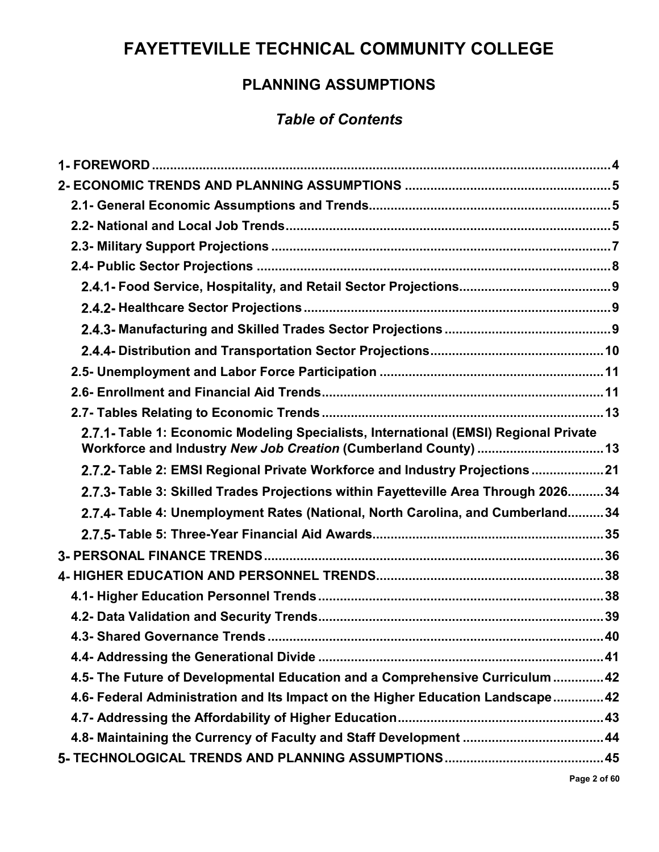## **FAYETTEVILLE TECHNICAL COMMUNITY COLLEGE**

#### **PLANNING ASSUMPTIONS**

#### *Table of Contents*

| 2.7.1- Table 1: Economic Modeling Specialists, International (EMSI) Regional Private |  |
|--------------------------------------------------------------------------------------|--|
| 2.7.2- Table 2: EMSI Regional Private Workforce and Industry Projections 21          |  |
| 2.7.3- Table 3: Skilled Trades Projections within Fayetteville Area Through 202634   |  |
| 2.7.4- Table 4: Unemployment Rates (National, North Carolina, and Cumberland34       |  |
|                                                                                      |  |
|                                                                                      |  |
|                                                                                      |  |
|                                                                                      |  |
|                                                                                      |  |
|                                                                                      |  |
|                                                                                      |  |
| 4.5- The Future of Developmental Education and a Comprehensive Curriculum  42        |  |
| 4.6- Federal Administration and Its Impact on the Higher Education Landscape 42      |  |
|                                                                                      |  |
|                                                                                      |  |
|                                                                                      |  |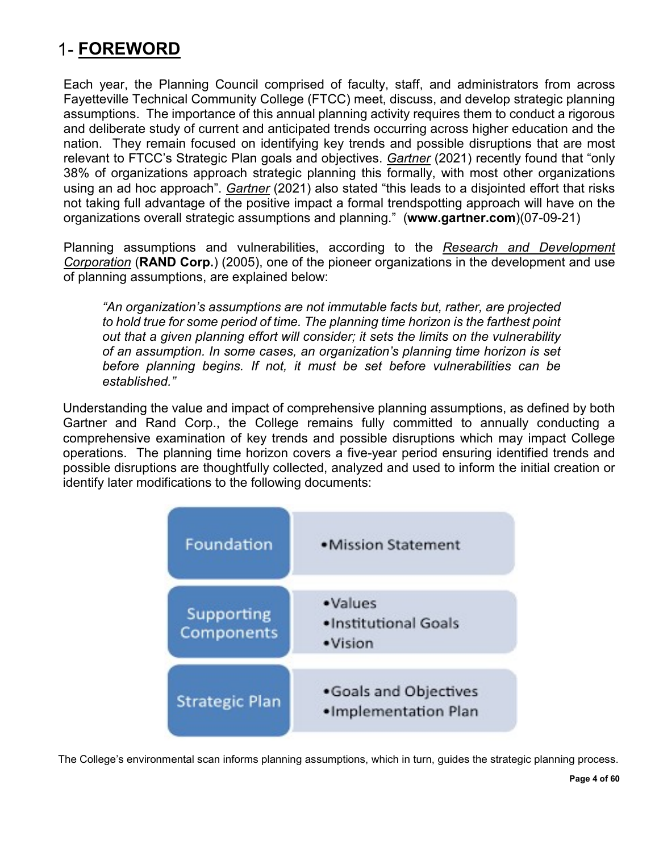## <span id="page-3-0"></span>**FOREWORD**

Each year, the Planning Council comprised of faculty, staff, and administrators from across Fayetteville Technical Community College (FTCC) meet, discuss, and develop strategic planning assumptions. The importance of this annual planning activity requires them to conduct a rigorous and deliberate study of current and anticipated trends occurring across higher education and the nation. They remain focused on identifying key trends and possible disruptions that are most relevant to FTCC's Strategic Plan goals and objectives. *Gartner* (2021) recently found that "only 38% of organizations approach strategic planning this formally, with most other organizations using an ad hoc approach". *Gartner* (2021) also stated "this leads to a disjointed effort that risks not taking full advantage of the positive impact a formal trendspotting approach will have on the organizations overall strategic assumptions and planning." (**www.gartner.com**)(07-09-21)

Planning assumptions and vulnerabilities, according to the *Research and Development Corporation* (**RAND Corp.**) (2005), one of the pioneer organizations in the development and use of planning assumptions, are explained below:

*"An organization's assumptions are not immutable facts but, rather, are projected to hold true for some period of time. The planning time horizon is the farthest point out that a given planning effort will consider; it sets the limits on the vulnerability of an assumption. In some cases, an organization's planning time horizon is set before planning begins. If not, it must be set before vulnerabilities can be established."*

Understanding the value and impact of comprehensive planning assumptions, as defined by both Gartner and Rand Corp., the College remains fully committed to annually conducting a comprehensive examination of key trends and possible disruptions which may impact College operations. The planning time horizon covers a five-year period ensuring identified trends and possible disruptions are thoughtfully collected, analyzed and used to inform the initial creation or identify later modifications to the following documents:



The College's environmental scan informs planning assumptions, which in turn, guides the strategic planning process.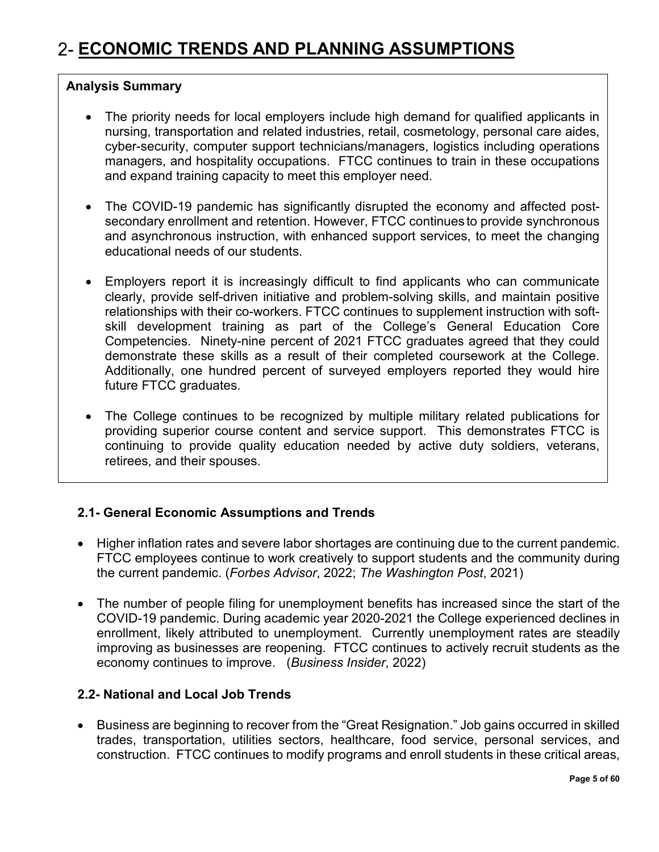#### <span id="page-4-0"></span>**Analysis Summary**

- The priority needs for local employers include high demand for qualified applicants in nursing, transportation and related industries, retail, cosmetology, personal care aides, cyber-security, computer support technicians/managers, logistics including operations managers, and hospitality occupations. FTCC continues to train in these occupations and expand training capacity to meet this employer need.
- The COVID-19 pandemic has significantly disrupted the economy and affected postsecondary enrollment and retention. However, FTCC continues to provide synchronous and asynchronous instruction, with enhanced support services, to meet the changing educational needs of our students.
- Employers report it is increasingly difficult to find applicants who can communicate clearly, provide self-driven initiative and problem-solving skills, and maintain positive relationships with their co-workers. FTCC continues to supplement instruction with softskill development training as part of the College's General Education Core Competencies. Ninety-nine percent of 2021 FTCC graduates agreed that they could demonstrate these skills as a result of their completed coursework at the College. Additionally, one hundred percent of surveyed employers reported they would hire future FTCC graduates.
- The College continues to be recognized by multiple military related publications for providing superior course content and service support. This demonstrates FTCC is continuing to provide quality education needed by active duty soldiers, veterans, retirees, and their spouses.

#### <span id="page-4-1"></span>**2.1- General Economic Assumptions and Trends**

- Higher inflation rates and severe labor shortages are continuing due to the current pandemic. FTCC employees continue to work creatively to support students and the community during the current pandemic. (*Forbes Advisor*, 2022; *The Washington Post*, 2021)
- The number of people filing for unemployment benefits has increased since the start of the COVID-19 pandemic. During academic year 2020-2021 the College experienced declines in enrollment, likely attributed to unemployment. Currently unemployment rates are steadily improving as businesses are reopening. FTCC continues to actively recruit students as the economy continues to improve. (*Business Insider*, 2022)

#### <span id="page-4-2"></span>**2.2- National and Local Job Trends**

• Business are beginning to recover from the "Great Resignation." Job gains occurred in skilled trades, transportation, utilities sectors, healthcare, food service, personal services, and construction. FTCC continues to modify programs and enroll students in these critical areas,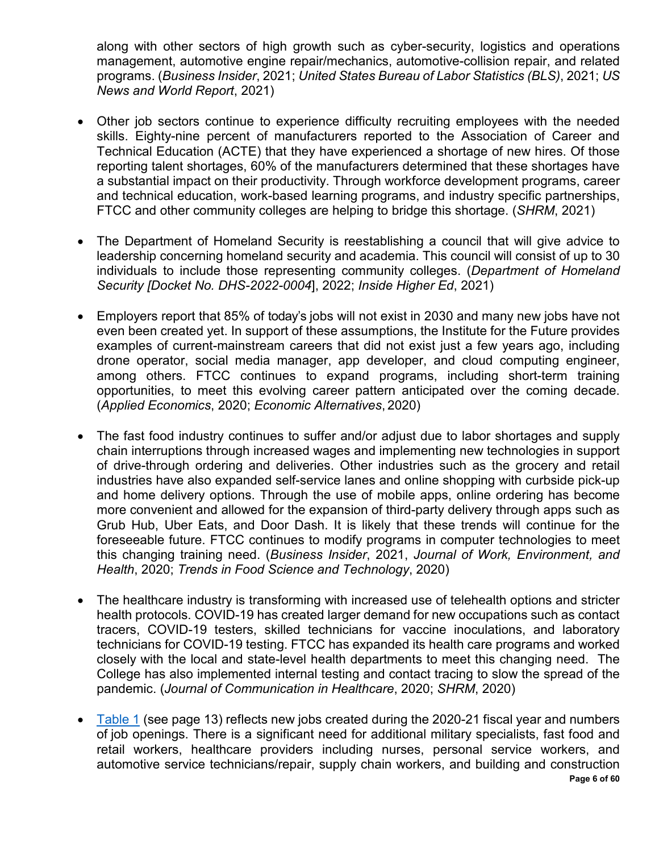along with other sectors of high growth such as cyber-security, logistics and operations management, automotive engine repair/mechanics, automotive-collision repair, and related programs. (*Business Insider*, 2021; *United States Bureau of Labor Statistics (BLS)*, 2021; *US News and World Report*, 2021)

- Other job sectors continue to experience difficulty recruiting employees with the needed skills. Eighty-nine percent of manufacturers reported to the Association of Career and Technical Education (ACTE) that they have experienced a shortage of new hires. Of those reporting talent shortages, 60% of the manufacturers determined that these shortages have a substantial impact on their productivity. Through workforce development programs, career and technical education, work-based learning programs, and industry specific partnerships, FTCC and other community colleges are helping to bridge this shortage. (*SHRM*, 2021)
- The Department of Homeland Security is reestablishing a council that will give advice to leadership concerning homeland security and academia. This council will consist of up to 30 individuals to include those representing community colleges. (*Department of Homeland Security [Docket No. DHS-2022-0004*], 2022; *Inside Higher Ed*, 2021)
- Employers report that 85% of today's jobs will not exist in 2030 and many new jobs have not even been created yet. In support of these assumptions, the Institute for the Future provides examples of current-mainstream careers that did not exist just a few years ago, including drone operator, social media manager, app developer, and cloud computing engineer, among others. FTCC continues to expand programs, including short-term training opportunities, to meet this evolving career pattern anticipated over the coming decade. (*Applied Economics*, 2020; *Economic Alternatives*, 2020)
- The fast food industry continues to suffer and/or adjust due to labor shortages and supply chain interruptions through increased wages and implementing new technologies in support of drive-through ordering and deliveries. Other industries such as the grocery and retail industries have also expanded self-service lanes and online shopping with curbside pick-up and home delivery options. Through the use of mobile apps, online ordering has become more convenient and allowed for the expansion of third-party delivery through apps such as Grub Hub, Uber Eats, and Door Dash. It is likely that these trends will continue for the foreseeable future. FTCC continues to modify programs in computer technologies to meet this changing training need. (*Business Insider*, 2021, *Journal of Work, Environment, and Health*, 2020; *Trends in Food Science and Technology*, 2020)
- The healthcare industry is transforming with increased use of telehealth options and stricter health protocols. COVID-19 has created larger demand for new occupations such as contact tracers, COVID-19 testers, skilled technicians for vaccine inoculations, and laboratory technicians for COVID-19 testing. FTCC has expanded its health care programs and worked closely with the local and state-level health departments to meet this changing need. The College has also implemented internal testing and contact tracing to slow the spread of the pandemic. (*Journal of Communication in Healthcare*, 2020; *SHRM*, 2020)
- **Page 6 of 60** • [Table 1](#page-12-1) (see page 13) reflects new jobs created during the 2020-21 fiscal year and numbers of job openings. There is a significant need for additional military specialists, fast food and retail workers, healthcare providers including nurses, personal service workers, and automotive service technicians/repair, supply chain workers, and building and construction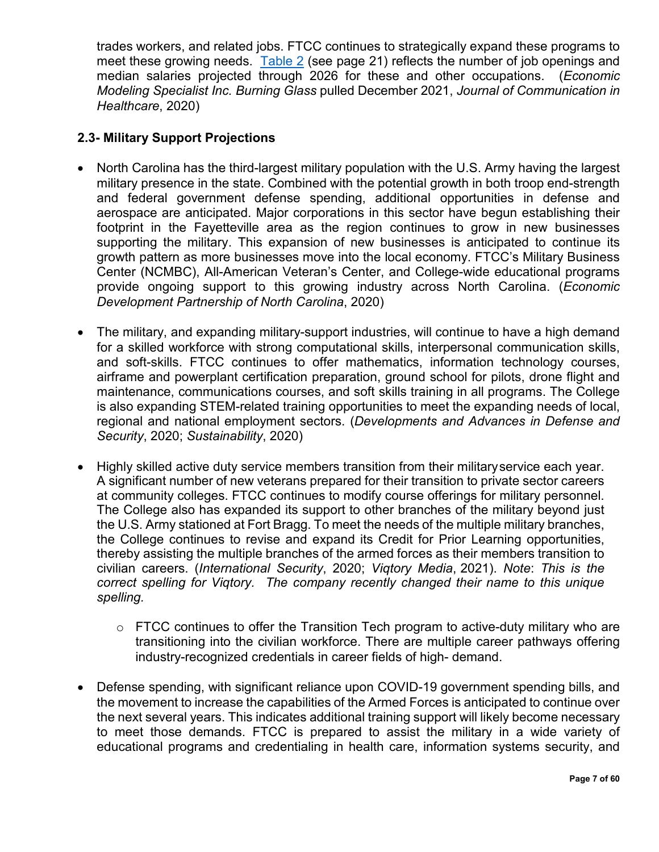trades workers, and related jobs. FTCC continues to strategically expand these programs to meet these growing needs. [Table 2](#page-20-0) (see page 21) reflects the number of job openings and median salaries projected through 2026 for these and other occupations. (*Economic Modeling Specialist Inc. Burning Glass* pulled December 2021, *Journal of Communication in Healthcare*, 2020)

#### <span id="page-6-0"></span>**2.3- Military Support Projections**

- North Carolina has the third-largest military population with the U.S. Army having the largest military presence in the state. Combined with the potential growth in both troop end-strength and federal government defense spending, additional opportunities in defense and aerospace are anticipated. Major corporations in this sector have begun establishing their footprint in the Fayetteville area as the region continues to grow in new businesses supporting the military. This expansion of new businesses is anticipated to continue its growth pattern as more businesses move into the local economy. FTCC's Military Business Center (NCMBC), All-American Veteran's Center, and College-wide educational programs provide ongoing support to this growing industry across North Carolina. (*Economic Development Partnership of North Carolina*, 2020)
- The military, and expanding military-support industries, will continue to have a high demand for a skilled workforce with strong computational skills, interpersonal communication skills, and soft-skills. FTCC continues to offer mathematics, information technology courses, airframe and powerplant certification preparation, ground school for pilots, drone flight and maintenance, communications courses, and soft skills training in all programs. The College is also expanding STEM-related training opportunities to meet the expanding needs of local, regional and national employment sectors. (*Developments and Advances in Defense and Security*, 2020; *Sustainability*, 2020)
- Highly skilled active duty service members transition from their militaryservice each year. A significant number of new veterans prepared for their transition to private sector careers at community colleges. FTCC continues to modify course offerings for military personnel. The College also has expanded its support to other branches of the military beyond just the U.S. Army stationed at Fort Bragg. To meet the needs of the multiple military branches, the College continues to revise and expand its Credit for Prior Learning opportunities, thereby assisting the multiple branches of the armed forces as their members transition to civilian careers. (*International Security*, 2020; *Viqtory Media*, 2021). *Note*: *This is the correct spelling for Viqtory. The company recently changed their name to this unique spelling.*
	- $\circ$  FTCC continues to offer the Transition Tech program to active-duty military who are transitioning into the civilian workforce. There are multiple career pathways offering industry-recognized credentials in career fields of high- demand.
- Defense spending, with significant reliance upon COVID-19 government spending bills, and the movement to increase the capabilities of the Armed Forces is anticipated to continue over the next several years. This indicates additional training support will likely become necessary to meet those demands. FTCC is prepared to assist the military in a wide variety of educational programs and credentialing in health care, information systems security, and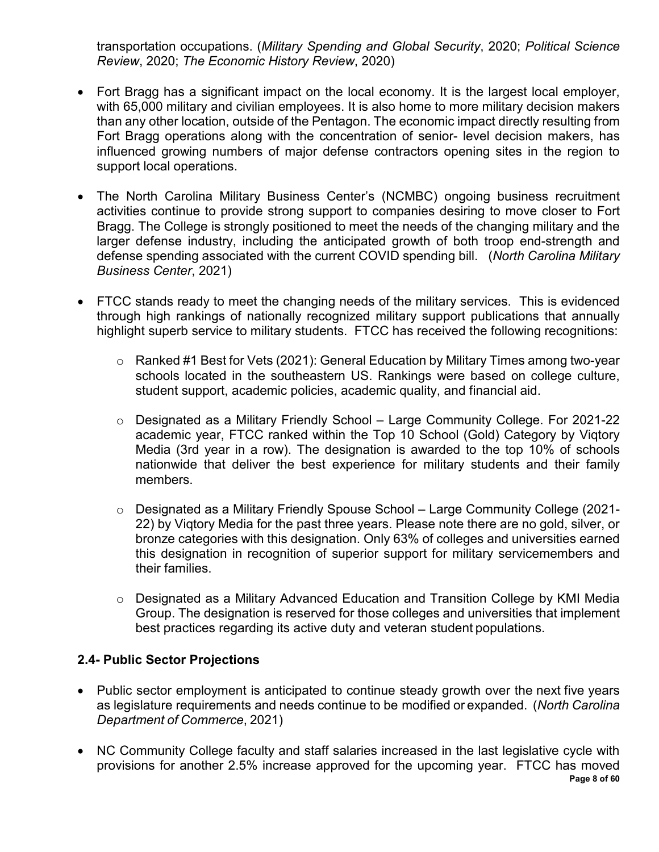transportation occupations. (*Military Spending and Global Security*, 2020; *Political Science Review*, 2020; *The Economic History Review*, 2020)

- Fort Bragg has a significant impact on the local economy. It is the largest local employer, with 65,000 military and civilian employees. It is also home to more military decision makers than any other location, outside of the Pentagon. The economic impact directly resulting from Fort Bragg operations along with the concentration of senior- level decision makers, has influenced growing numbers of major defense contractors opening sites in the region to support local operations.
- The North Carolina Military Business Center's (NCMBC) ongoing business recruitment activities continue to provide strong support to companies desiring to move closer to Fort Bragg. The College is strongly positioned to meet the needs of the changing military and the larger defense industry, including the anticipated growth of both troop end-strength and defense spending associated with the current COVID spending bill. (*North Carolina Military Business Center*, 2021)
- FTCC stands ready to meet the changing needs of the military services. This is evidenced through high rankings of nationally recognized military support publications that annually highlight superb service to military students. FTCC has received the following recognitions:
	- o Ranked #1 Best for Vets (2021): General Education by Military Times among two-year schools located in the southeastern US. Rankings were based on college culture, student support, academic policies, academic quality, and financial aid.
	- o Designated as a Military Friendly School Large Community College. For 2021-22 academic year, FTCC ranked within the Top 10 School (Gold) Category by Viqtory Media (3rd year in a row). The designation is awarded to the top 10% of schools nationwide that deliver the best experience for military students and their family members.
	- o Designated as a Military Friendly Spouse School Large Community College (2021- 22) by Viqtory Media for the past three years. Please note there are no gold, silver, or bronze categories with this designation. Only 63% of colleges and universities earned this designation in recognition of superior support for military servicemembers and their families.
	- o Designated as a Military Advanced Education and Transition College by KMI Media Group. The designation is reserved for those colleges and universities that implement best practices regarding its active duty and veteran student populations.

#### <span id="page-7-0"></span>**2.4- Public Sector Projections**

- Public sector employment is anticipated to continue steady growth over the next five years as legislature requirements and needs continue to be modified or expanded. (*North Carolina Department of Commerce*, 2021)
- **Page 8 of 60** • NC Community College faculty and staff salaries increased in the last legislative cycle with provisions for another 2.5% increase approved for the upcoming year. FTCC has moved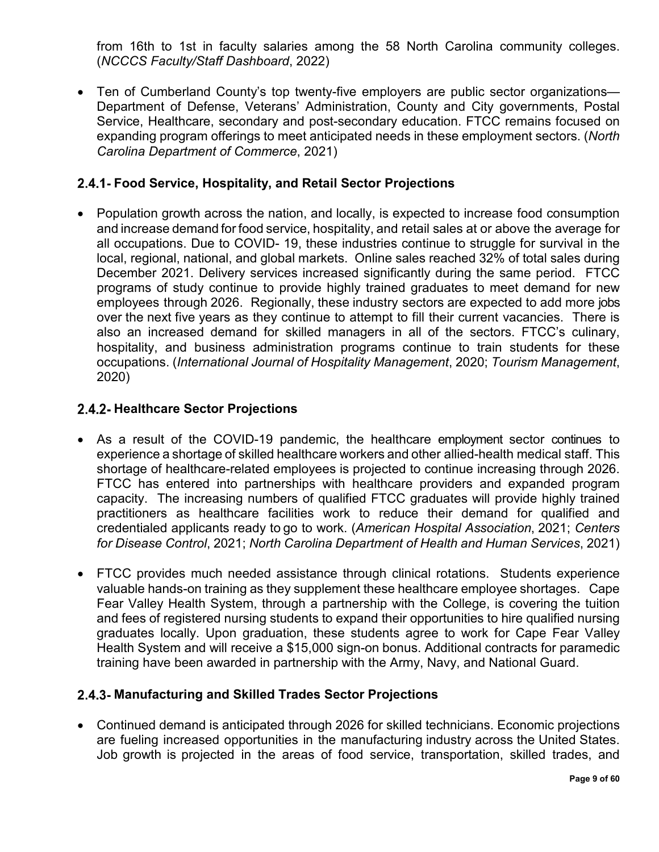from 16th to 1st in faculty salaries among the 58 North Carolina community colleges. (*NCCCS Faculty/Staff Dashboard*, 2022)

• Ten of Cumberland County's top twenty-five employers are public sector organizations— Department of Defense, Veterans' Administration, County and City governments, Postal Service, Healthcare, secondary and post-secondary education. FTCC remains focused on expanding program offerings to meet anticipated needs in these employment sectors. (*North Carolina Department of Commerce*, 2021)

#### <span id="page-8-0"></span>**Food Service, Hospitality, and Retail Sector Projections**

• Population growth across the nation, and locally, is expected to increase food consumption and increase demand for food service, hospitality, and retail sales at or above the average for all occupations. Due to COVID- 19, these industries continue to struggle for survival in the local, regional, national, and global markets. Online sales reached 32% of total sales during December 2021. Delivery services increased significantly during the same period. FTCC programs of study continue to provide highly trained graduates to meet demand for new employees through 2026. Regionally, these industry sectors are expected to add more jobs over the next five years as they continue to attempt to fill their current vacancies. There is also an increased demand for skilled managers in all of the sectors. FTCC's culinary, hospitality, and business administration programs continue to train students for these occupations. (*International Journal of Hospitality Management*, 2020; *Tourism Management*, 2020)

#### <span id="page-8-1"></span>**2.4.2- Healthcare Sector Projections**

- As a result of the COVID-19 pandemic, the healthcare employment sector continues to experience a shortage of skilled healthcare workers and other allied-health medical staff. This shortage of healthcare-related employees is projected to continue increasing through 2026. FTCC has entered into partnerships with healthcare providers and expanded program capacity. The increasing numbers of qualified FTCC graduates will provide highly trained practitioners as healthcare facilities work to reduce their demand for qualified and credentialed applicants ready to go to work. (*American Hospital Association*, 2021; *Centers for Disease Control*, 2021; *North Carolina Department of Health and Human Services*, 2021)
- FTCC provides much needed assistance through clinical rotations. Students experience valuable hands-on training as they supplement these healthcare employee shortages. Cape Fear Valley Health System, through a partnership with the College, is covering the tuition and fees of registered nursing students to expand their opportunities to hire qualified nursing graduates locally. Upon graduation, these students agree to work for Cape Fear Valley Health System and will receive a \$15,000 sign-on bonus. Additional contracts for paramedic training have been awarded in partnership with the Army, Navy, and National Guard.

#### <span id="page-8-2"></span>**Manufacturing and Skilled Trades Sector Projections**

• Continued demand is anticipated through 2026 for skilled technicians. Economic projections are fueling increased opportunities in the manufacturing industry across the United States. Job growth is projected in the areas of food service, transportation, skilled trades, and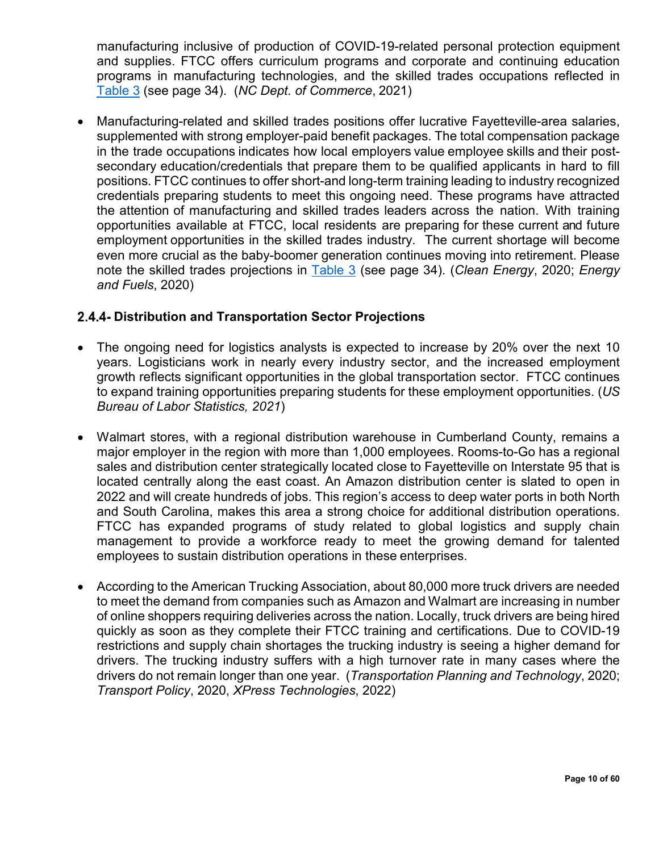manufacturing inclusive of production of COVID-19-related personal protection equipment and supplies. FTCC offers curriculum programs and corporate and continuing education programs in manufacturing technologies, and the skilled trades occupations reflected in [Table 3](#page-33-0) (see page 34). (*NC Dept. of Commerce*, 2021)

• Manufacturing-related and skilled trades positions offer lucrative Fayetteville-area salaries, supplemented with strong employer-paid benefit packages. The total compensation package in the trade occupations indicates how local employers value employee skills and their postsecondary education/credentials that prepare them to be qualified applicants in hard to fill positions. FTCC continues to offer short-and long-term training leading to industry recognized credentials preparing students to meet this ongoing need. These programs have attracted the attention of manufacturing and skilled trades leaders across the nation. With training opportunities available at FTCC, local residents are preparing for these current and future employment opportunities in the skilled trades industry. The current shortage will become even more crucial as the baby-boomer generation continues moving into retirement. Please note the skilled trades projections in [Table 3](#page-33-0) (see page 34). (*Clean Energy*, 2020; *Energy and Fuels*, 2020)

#### <span id="page-9-0"></span>**Distribution and Transportation Sector Projections**

- The ongoing need for logistics analysts is expected to increase by 20% over the next 10 years. Logisticians work in nearly every industry sector, and the increased employment growth reflects significant opportunities in the global transportation sector. FTCC continues to expand training opportunities preparing students for these employment opportunities. (*US Bureau of Labor Statistics, 2021*)
- Walmart stores, with a regional distribution warehouse in Cumberland County, remains a major employer in the region with more than 1,000 employees. Rooms-to-Go has a regional sales and distribution center strategically located close to Fayetteville on Interstate 95 that is located centrally along the east coast. An Amazon distribution center is slated to open in 2022 and will create hundreds of jobs. This region's access to deep water ports in both North and South Carolina, makes this area a strong choice for additional distribution operations. FTCC has expanded programs of study related to global logistics and supply chain management to provide a workforce ready to meet the growing demand for talented employees to sustain distribution operations in these enterprises.
- According to the American Trucking Association, about 80,000 more truck drivers are needed to meet the demand from companies such as Amazon and Walmart are increasing in number of online shoppers requiring deliveries across the nation. Locally, truck drivers are being hired quickly as soon as they complete their FTCC training and certifications. Due to COVID-19 restrictions and supply chain shortages the trucking industry is seeing a higher demand for drivers. The trucking industry suffers with a high turnover rate in many cases where the drivers do not remain longer than one year. (*Transportation Planning and Technology*, 2020; *Transport Policy*, 2020, *XPress Technologies*, 2022)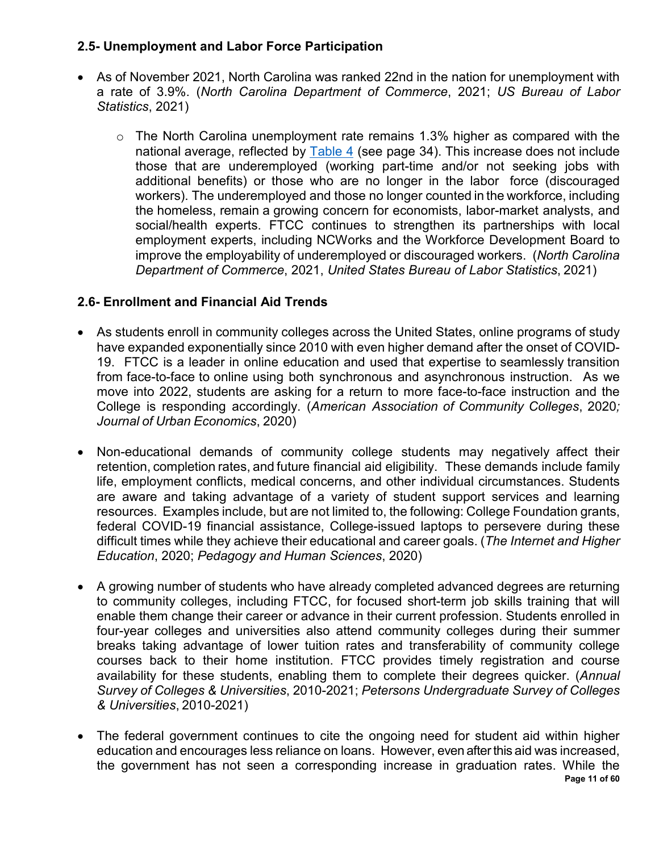#### <span id="page-10-0"></span>**2.5- Unemployment and Labor Force Participation**

- As of November 2021, North Carolina was ranked 22nd in the nation for unemployment with a rate of 3.9%. (*North Carolina Department of Commerce*, 2021; *US Bureau of Labor Statistics*, 2021)
	- $\circ$  The North Carolina unemployment rate remains 1.3% higher as compared with the national average, reflected by [Table 4](#page-33-1) (see page 34). This increase does not include those that are underemployed (working part-time and/or not seeking jobs with additional benefits) or those who are no longer in the labor force (discouraged workers). The underemployed and those no longer counted in the workforce, including the homeless, remain a growing concern for economists, labor-market analysts, and social/health experts. FTCC continues to strengthen its partnerships with local employment experts, including NCWorks and the Workforce Development Board to improve the employability of underemployed or discouraged workers. (*North Carolina Department of Commerce*, 2021, *United States Bureau of Labor Statistics*, 2021)

#### <span id="page-10-1"></span>**2.6- Enrollment and Financial Aid Trends**

- As students enroll in community colleges across the United States, online programs of study have expanded exponentially since 2010 with even higher demand after the onset of COVID-19. FTCC is a leader in online education and used that expertise to seamlessly transition from face-to-face to online using both synchronous and asynchronous instruction. As we move into 2022, students are asking for a return to more face-to-face instruction and the College is responding accordingly. (*American Association of Community Colleges*, 2020*; Journal of Urban Economics*, 2020)
- Non-educational demands of community college students may negatively affect their retention, completion rates, and future financial aid eligibility. These demands include family life, employment conflicts, medical concerns, and other individual circumstances. Students are aware and taking advantage of a variety of student support services and learning resources. Examples include, but are not limited to, the following: College Foundation grants, federal COVID-19 financial assistance, College-issued laptops to persevere during these difficult times while they achieve their educational and career goals. (*The Internet and Higher Education*, 2020; *Pedagogy and Human Sciences*, 2020)
- A growing number of students who have already completed advanced degrees are returning to community colleges, including FTCC, for focused short-term job skills training that will enable them change their career or advance in their current profession. Students enrolled in four-year colleges and universities also attend community colleges during their summer breaks taking advantage of lower tuition rates and transferability of community college courses back to their home institution. FTCC provides timely registration and course availability for these students, enabling them to complete their degrees quicker. (*Annual Survey of Colleges & Universities*, 2010-2021; *Petersons Undergraduate Survey of Colleges & Universities*, 2010-2021)
- **Page 11 of 60** • The federal government continues to cite the ongoing need for student aid within higher education and encourages less reliance on loans. However, even after this aid was increased, the government has not seen a corresponding increase in graduation rates. While the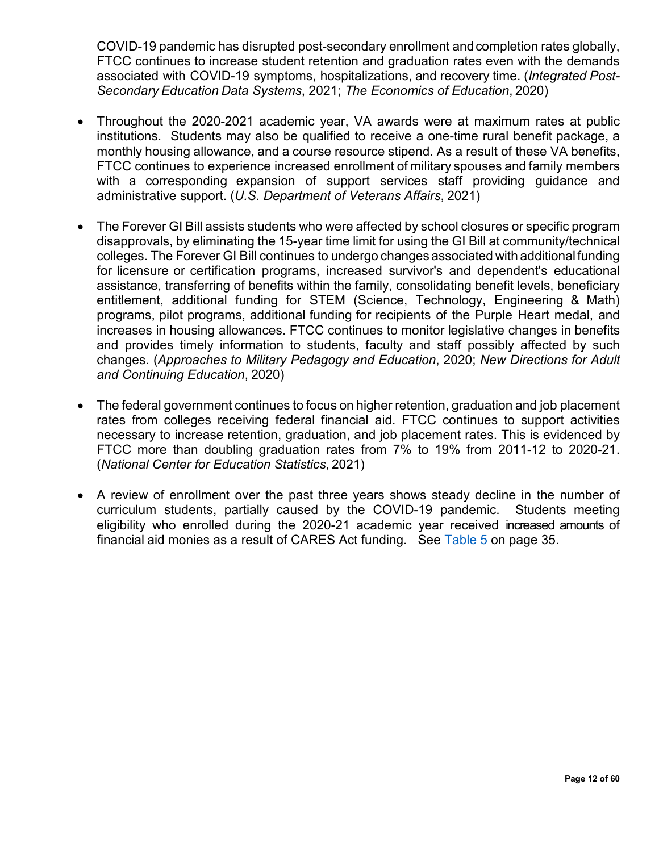COVID-19 pandemic has disrupted post-secondary enrollment andcompletion rates globally, FTCC continues to increase student retention and graduation rates even with the demands associated with COVID-19 symptoms, hospitalizations, and recovery time. (*Integrated Post-Secondary Education Data Systems*, 2021; *The Economics of Education*, 2020)

- Throughout the 2020-2021 academic year, VA awards were at maximum rates at public institutions. Students may also be qualified to receive a one-time rural benefit package, a monthly housing allowance, and a course resource stipend. As a result of these VA benefits, FTCC continues to experience increased enrollment of military spouses and family members with a corresponding expansion of support services staff providing guidance and administrative support. (*U.S. Department of Veterans Affairs*, 2021)
- The Forever GI Bill assists students who were affected by school closures or specific program disapprovals, by eliminating the 15-year time limit for using the GI Bill at community/technical colleges. The Forever GI Bill continues to undergo changes associated with additionalfunding for licensure or certification programs, increased survivor's and dependent's educational assistance, transferring of benefits within the family, consolidating benefit levels, beneficiary entitlement, additional funding for STEM (Science, Technology, Engineering & Math) programs, pilot programs, additional funding for recipients of the Purple Heart medal, and increases in housing allowances. FTCC continues to monitor legislative changes in benefits and provides timely information to students, faculty and staff possibly affected by such changes. (*Approaches to Military Pedagogy and Education*, 2020; *New Directions for Adult and Continuing Education*, 2020)
- The federal government continues to focus on higher retention, graduation and job placement rates from colleges receiving federal financial aid. FTCC continues to support activities necessary to increase retention, graduation, and job placement rates. This is evidenced by FTCC more than doubling graduation rates from 7% to 19% from 2011-12 to 2020-21. (*National Center for Education Statistics*, 2021)
- A review of enrollment over the past three years shows steady decline in the number of curriculum students, partially caused by the COVID-19 pandemic. Students meeting eligibility who enrolled during the 2020-21 academic year received increased amounts of financial aid monies as a result of CARES Act funding. See [Table 5](#page-34-0) on page 35.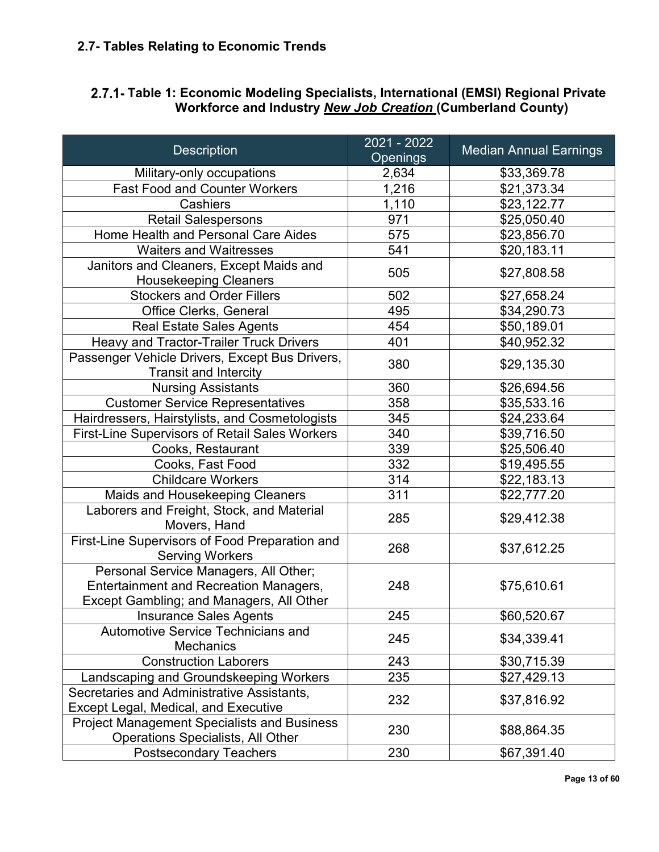#### <span id="page-12-0"></span>**2.7- Tables Relating to Economic Trends**

#### <span id="page-12-1"></span>**Table 1: Economic Modeling Specialists, International (EMSI) Regional Private Workforce and Industry** *New Job Creation* **(Cumberland County)**

| <b>Description</b>                                                                                                                 | 2021 - 2022<br><b>Openings</b> | <b>Median Annual Earnings</b> |
|------------------------------------------------------------------------------------------------------------------------------------|--------------------------------|-------------------------------|
| Military-only occupations                                                                                                          | 2,634                          | \$33,369.78                   |
| <b>Fast Food and Counter Workers</b>                                                                                               | 1,216                          | $\overline{$}21,373.34$       |
| <b>Cashiers</b>                                                                                                                    | 1,110                          | \$23,122.77                   |
| <b>Retail Salespersons</b>                                                                                                         | 971                            | \$25,050.40                   |
| Home Health and Personal Care Aides                                                                                                | 575                            | \$23,856.70                   |
| <b>Waiters and Waitresses</b>                                                                                                      | 541                            | \$20,183.11                   |
| Janitors and Cleaners, Except Maids and<br><b>Housekeeping Cleaners</b>                                                            | 505                            | \$27,808.58                   |
| <b>Stockers and Order Fillers</b>                                                                                                  | 502                            | \$27,658.24                   |
| Office Clerks, General                                                                                                             | 495                            | \$34,290.73                   |
| <b>Real Estate Sales Agents</b>                                                                                                    | 454                            | \$50,189.01                   |
| <b>Heavy and Tractor-Trailer Truck Drivers</b>                                                                                     | 401                            | \$40,952.32                   |
| Passenger Vehicle Drivers, Except Bus Drivers,<br><b>Transit and Intercity</b>                                                     | 380                            | \$29,135.30                   |
| <b>Nursing Assistants</b>                                                                                                          | 360                            | \$26,694.56                   |
| <b>Customer Service Representatives</b>                                                                                            | 358                            | \$35,533.16                   |
| Hairdressers, Hairstylists, and Cosmetologists                                                                                     | 345                            | \$24,233.64                   |
| <b>First-Line Supervisors of Retail Sales Workers</b>                                                                              | 340                            | \$39,716.50                   |
| Cooks, Restaurant                                                                                                                  | 339                            | \$25,506.40                   |
| Cooks, Fast Food                                                                                                                   | 332                            | \$19,495.55                   |
| <b>Childcare Workers</b>                                                                                                           | 314                            | \$22,183.13                   |
| Maids and Housekeeping Cleaners                                                                                                    | 311                            | \$22,777.20                   |
| Laborers and Freight, Stock, and Material<br>Movers, Hand                                                                          | 285                            | \$29,412.38                   |
| First-Line Supervisors of Food Preparation and<br><b>Serving Workers</b>                                                           | 268                            | \$37,612.25                   |
| Personal Service Managers, All Other;<br><b>Entertainment and Recreation Managers,</b><br>Except Gambling; and Managers, All Other | 248                            | \$75,610.61                   |
| <b>Insurance Sales Agents</b>                                                                                                      | 245                            | \$60,520.67                   |
| <b>Automotive Service Technicians and</b><br><b>Mechanics</b>                                                                      | 245                            | \$34,339.41                   |
| <b>Construction Laborers</b>                                                                                                       | 243                            | \$30,715.39                   |
| Landscaping and Groundskeeping Workers                                                                                             | 235                            | \$27,429.13                   |
| Secretaries and Administrative Assistants,<br>Except Legal, Medical, and Executive                                                 | 232                            | \$37,816.92                   |
| <b>Project Management Specialists and Business</b><br><b>Operations Specialists, All Other</b>                                     | 230                            | \$88,864.35                   |
| <b>Postsecondary Teachers</b>                                                                                                      | 230                            | \$67,391.40                   |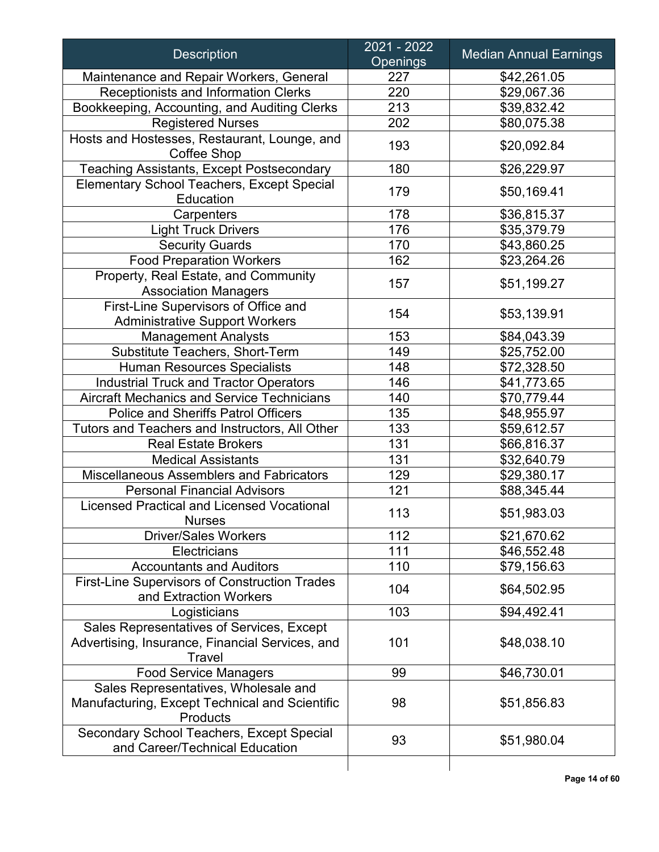| <b>Description</b>                                                                                 | 2021 - 2022<br><b>Openings</b> | <b>Median Annual Earnings</b> |
|----------------------------------------------------------------------------------------------------|--------------------------------|-------------------------------|
| Maintenance and Repair Workers, General                                                            | 227                            | \$42,261.05                   |
| Receptionists and Information Clerks                                                               | 220                            | \$29,067.36                   |
| Bookkeeping, Accounting, and Auditing Clerks                                                       | 213                            | \$39,832.42                   |
| <b>Registered Nurses</b>                                                                           | 202                            | \$80,075.38                   |
| Hosts and Hostesses, Restaurant, Lounge, and<br>Coffee Shop                                        | 193                            | \$20,092.84                   |
| <b>Teaching Assistants, Except Postsecondary</b>                                                   | 180                            | \$26,229.97                   |
| <b>Elementary School Teachers, Except Special</b><br>Education                                     | 179                            | \$50,169.41                   |
| Carpenters                                                                                         | 178                            | \$36,815.37                   |
| <b>Light Truck Drivers</b>                                                                         | 176                            | \$35,379.79                   |
| <b>Security Guards</b>                                                                             | 170                            | \$43,860.25                   |
| <b>Food Preparation Workers</b>                                                                    | 162                            | \$23,264.26                   |
| Property, Real Estate, and Community<br><b>Association Managers</b>                                | 157                            | \$51,199.27                   |
| First-Line Supervisors of Office and<br><b>Administrative Support Workers</b>                      | 154                            | \$53,139.91                   |
| <b>Management Analysts</b>                                                                         | 153                            | \$84,043.39                   |
| Substitute Teachers, Short-Term                                                                    | 149                            | \$25,752.00                   |
| <b>Human Resources Specialists</b>                                                                 | 148                            | \$72,328.50                   |
| <b>Industrial Truck and Tractor Operators</b>                                                      | 146                            | \$41,773.65                   |
| <b>Aircraft Mechanics and Service Technicians</b>                                                  | 140                            | \$70,779.44                   |
| <b>Police and Sheriffs Patrol Officers</b>                                                         | 135                            | \$48,955.97                   |
| Tutors and Teachers and Instructors, All Other                                                     | 133                            | \$59,612.57                   |
| <b>Real Estate Brokers</b>                                                                         | 131                            | \$66,816.37                   |
| <b>Medical Assistants</b>                                                                          | 131                            | \$32,640.79                   |
| Miscellaneous Assemblers and Fabricators                                                           | 129                            | \$29,380.17                   |
| <b>Personal Financial Advisors</b>                                                                 | 121                            | \$88,345.44                   |
| <b>Licensed Practical and Licensed Vocational</b><br><b>Nurses</b>                                 | 113                            | \$51,983.03                   |
| <b>Driver/Sales Workers</b>                                                                        | 112                            | \$21,670.62                   |
| Electricians                                                                                       | 111                            | \$46,552.48                   |
| <b>Accountants and Auditors</b>                                                                    | 110                            | \$79,156.63                   |
| <b>First-Line Supervisors of Construction Trades</b><br>and Extraction Workers                     | 104                            | \$64,502.95                   |
| Logisticians                                                                                       | 103                            | \$94,492.41                   |
| Sales Representatives of Services, Except                                                          |                                |                               |
| Advertising, Insurance, Financial Services, and<br>Travel                                          | 101                            | \$48,038.10                   |
| <b>Food Service Managers</b>                                                                       | 99                             | \$46,730.01                   |
| Sales Representatives, Wholesale and<br>Manufacturing, Except Technical and Scientific<br>Products | 98                             | \$51,856.83                   |
| Secondary School Teachers, Except Special<br>and Career/Technical Education                        | 93                             | \$51,980.04                   |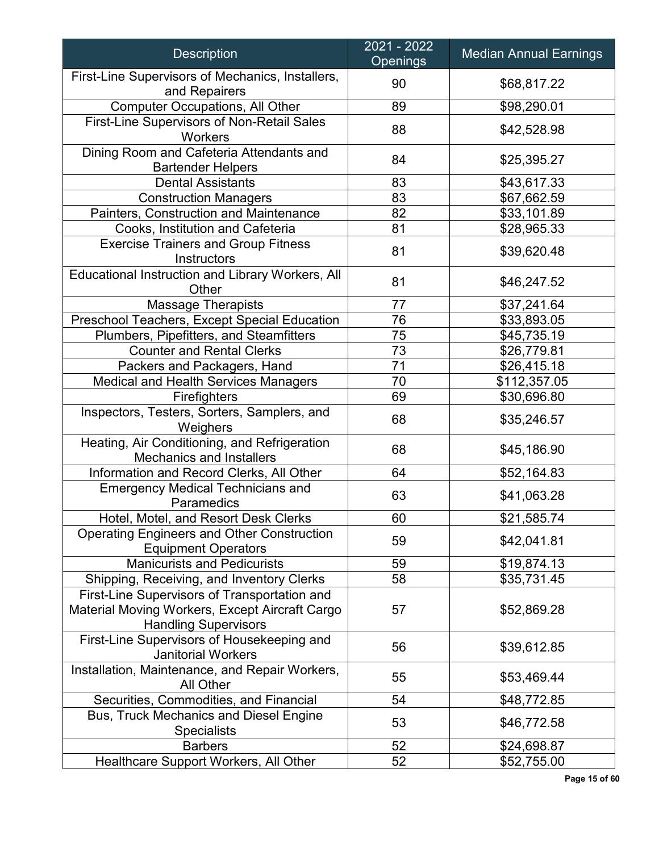| <b>Description</b>                                                                                                            | 2021 - 2022<br><b>Openings</b> | <b>Median Annual Earnings</b> |
|-------------------------------------------------------------------------------------------------------------------------------|--------------------------------|-------------------------------|
| First-Line Supervisors of Mechanics, Installers,<br>and Repairers                                                             | 90                             | \$68,817.22                   |
| <b>Computer Occupations, All Other</b>                                                                                        | 89                             | \$98,290.01                   |
| First-Line Supervisors of Non-Retail Sales<br>Workers                                                                         | 88                             | \$42,528.98                   |
| Dining Room and Cafeteria Attendants and<br><b>Bartender Helpers</b>                                                          | 84                             | \$25,395.27                   |
| <b>Dental Assistants</b>                                                                                                      | 83                             | \$43,617.33                   |
| <b>Construction Managers</b>                                                                                                  | 83                             | \$67,662.59                   |
| Painters, Construction and Maintenance                                                                                        | 82                             | \$33,101.89                   |
| Cooks, Institution and Cafeteria                                                                                              | 81                             | \$28,965.33                   |
| <b>Exercise Trainers and Group Fitness</b><br>Instructors                                                                     | 81                             | \$39,620.48                   |
| Educational Instruction and Library Workers, All<br>Other                                                                     | 81                             | \$46,247.52                   |
| <b>Massage Therapists</b>                                                                                                     | 77                             | \$37,241.64                   |
| Preschool Teachers, Except Special Education                                                                                  | 76                             | \$33,893.05                   |
| Plumbers, Pipefitters, and Steamfitters                                                                                       | 75                             | \$45,735.19                   |
| <b>Counter and Rental Clerks</b>                                                                                              | 73                             | \$26,779.81                   |
| Packers and Packagers, Hand                                                                                                   | 71                             | \$26,415.18                   |
| Medical and Health Services Managers                                                                                          | 70                             | \$112,357.05                  |
| Firefighters                                                                                                                  | 69                             | \$30,696.80                   |
| Inspectors, Testers, Sorters, Samplers, and<br>Weighers                                                                       | 68                             | \$35,246.57                   |
| Heating, Air Conditioning, and Refrigeration<br><b>Mechanics and Installers</b>                                               | 68                             | \$45,186.90                   |
| Information and Record Clerks, All Other                                                                                      | 64                             | \$52,164.83                   |
| <b>Emergency Medical Technicians and</b><br>Paramedics                                                                        | 63                             | \$41,063.28                   |
| Hotel, Motel, and Resort Desk Clerks                                                                                          | 60                             | \$21,585.74                   |
| <b>Operating Engineers and Other Construction</b><br><b>Equipment Operators</b>                                               | 59                             | \$42,041.81                   |
| <b>Manicurists and Pedicurists</b>                                                                                            | 59                             | \$19,874.13                   |
| Shipping, Receiving, and Inventory Clerks                                                                                     | 58                             | \$35,731.45                   |
| First-Line Supervisors of Transportation and<br>Material Moving Workers, Except Aircraft Cargo<br><b>Handling Supervisors</b> | 57                             | \$52,869.28                   |
| First-Line Supervisors of Housekeeping and<br><b>Janitorial Workers</b>                                                       | 56                             | \$39,612.85                   |
| Installation, Maintenance, and Repair Workers,<br>All Other                                                                   | 55                             | \$53,469.44                   |
| Securities, Commodities, and Financial                                                                                        | 54                             | \$48,772.85                   |
| <b>Bus, Truck Mechanics and Diesel Engine</b><br><b>Specialists</b>                                                           | 53                             | \$46,772.58                   |
| <b>Barbers</b>                                                                                                                | 52                             | \$24,698.87                   |
| Healthcare Support Workers, All Other                                                                                         | 52                             | \$52,755.00                   |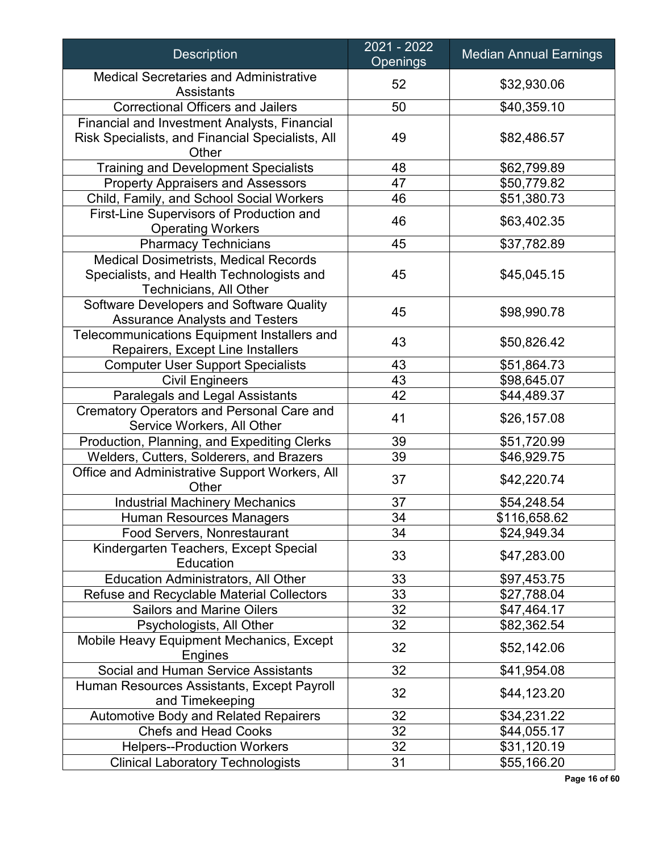| <b>Description</b>                                                                                                  | 2021 - 2022<br><b>Openings</b> | <b>Median Annual Earnings</b> |
|---------------------------------------------------------------------------------------------------------------------|--------------------------------|-------------------------------|
| <b>Medical Secretaries and Administrative</b><br><b>Assistants</b>                                                  | 52                             | \$32,930.06                   |
| <b>Correctional Officers and Jailers</b>                                                                            | 50                             | \$40,359.10                   |
| <b>Financial and Investment Analysts, Financial</b><br>Risk Specialists, and Financial Specialists, All<br>Other    | 49                             | \$82,486.57                   |
| <b>Training and Development Specialists</b>                                                                         | 48                             | \$62,799.89                   |
| <b>Property Appraisers and Assessors</b>                                                                            | 47                             | \$50,779.82                   |
| Child, Family, and School Social Workers                                                                            | 46                             | \$51,380.73                   |
| First-Line Supervisors of Production and<br><b>Operating Workers</b>                                                | 46                             | \$63,402.35                   |
| <b>Pharmacy Technicians</b>                                                                                         | 45                             | \$37,782.89                   |
| <b>Medical Dosimetrists, Medical Records</b><br>Specialists, and Health Technologists and<br>Technicians, All Other | 45                             | \$45,045.15                   |
| Software Developers and Software Quality<br><b>Assurance Analysts and Testers</b>                                   | 45                             | \$98,990.78                   |
| Telecommunications Equipment Installers and<br>Repairers, Except Line Installers                                    | 43                             | \$50,826.42                   |
| <b>Computer User Support Specialists</b>                                                                            | 43                             | \$51,864.73                   |
| <b>Civil Engineers</b>                                                                                              | 43                             | \$98,645.07                   |
| Paralegals and Legal Assistants                                                                                     | 42                             | \$44,489.37                   |
| <b>Crematory Operators and Personal Care and</b><br>Service Workers, All Other                                      | 41                             | \$26,157.08                   |
| Production, Planning, and Expediting Clerks                                                                         | 39                             | \$51,720.99                   |
| Welders, Cutters, Solderers, and Brazers                                                                            | 39                             | \$46,929.75                   |
| Office and Administrative Support Workers, All<br>Other                                                             | 37                             | \$42,220.74                   |
| <b>Industrial Machinery Mechanics</b>                                                                               | 37                             | \$54,248.54                   |
| <b>Human Resources Managers</b>                                                                                     | 34                             | \$116,658.62                  |
| Food Servers, Nonrestaurant                                                                                         | 34                             | \$24,949.34                   |
| Kindergarten Teachers, Except Special<br>Education                                                                  | 33                             | \$47,283.00                   |
| <b>Education Administrators, All Other</b>                                                                          | 33                             | \$97,453.75                   |
| <b>Refuse and Recyclable Material Collectors</b>                                                                    | 33                             | \$27,788.04                   |
| <b>Sailors and Marine Oilers</b>                                                                                    | 32                             | \$47,464.17                   |
| Psychologists, All Other                                                                                            | 32                             | \$82,362.54                   |
| Mobile Heavy Equipment Mechanics, Except<br>Engines                                                                 | 32                             | \$52,142.06                   |
| <b>Social and Human Service Assistants</b>                                                                          | 32                             | \$41,954.08                   |
| Human Resources Assistants, Except Payroll<br>and Timekeeping                                                       | 32                             | \$44,123.20                   |
| <b>Automotive Body and Related Repairers</b>                                                                        | 32                             | \$34,231.22                   |
| <b>Chefs and Head Cooks</b>                                                                                         | 32                             | \$44,055.17                   |
| <b>Helpers--Production Workers</b>                                                                                  | 32                             | \$31,120.19                   |
| <b>Clinical Laboratory Technologists</b>                                                                            | 31                             | \$55,166.20                   |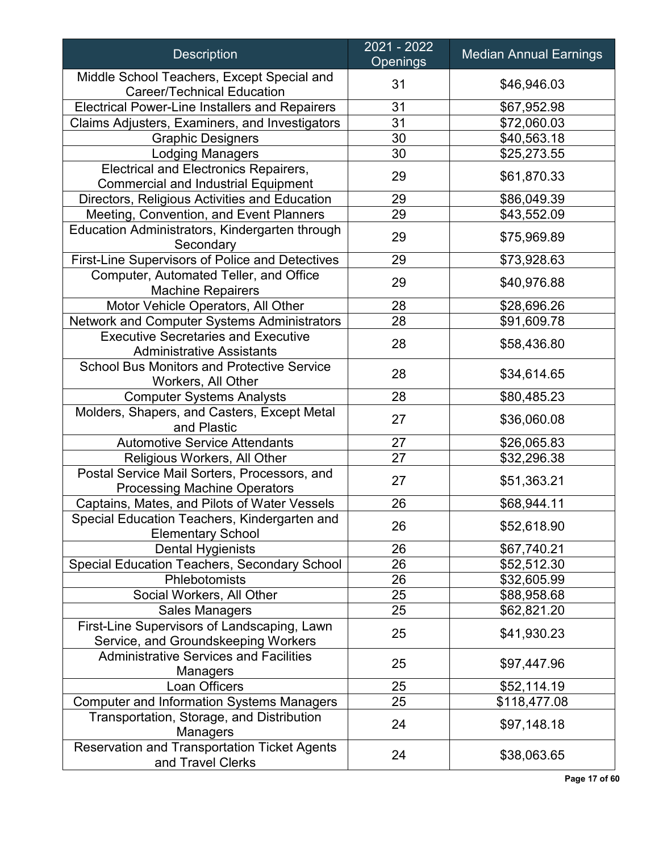| <b>Description</b>                                                                         | 2021 - 2022<br><b>Openings</b> | <b>Median Annual Earnings</b> |
|--------------------------------------------------------------------------------------------|--------------------------------|-------------------------------|
| Middle School Teachers, Except Special and<br><b>Career/Technical Education</b>            | 31                             | \$46,946.03                   |
| <b>Electrical Power-Line Installers and Repairers</b>                                      | 31                             | \$67,952.98                   |
| Claims Adjusters, Examiners, and Investigators                                             | 31                             | \$72,060.03                   |
| <b>Graphic Designers</b>                                                                   | 30                             | \$40,563.18                   |
| <b>Lodging Managers</b>                                                                    | 30                             | \$25,273.55                   |
| <b>Electrical and Electronics Repairers,</b><br><b>Commercial and Industrial Equipment</b> | 29                             | \$61,870.33                   |
| Directors, Religious Activities and Education                                              | 29                             | \$86,049.39                   |
| Meeting, Convention, and Event Planners                                                    | 29                             | \$43,552.09                   |
| Education Administrators, Kindergarten through<br>Secondary                                | 29                             | \$75,969.89                   |
| First-Line Supervisors of Police and Detectives                                            | 29                             | \$73,928.63                   |
| Computer, Automated Teller, and Office                                                     |                                |                               |
| <b>Machine Repairers</b>                                                                   | 29                             | \$40,976.88                   |
| Motor Vehicle Operators, All Other                                                         | 28                             | \$28,696.26                   |
| Network and Computer Systems Administrators                                                | 28                             | \$91,609.78                   |
| <b>Executive Secretaries and Executive</b><br><b>Administrative Assistants</b>             | 28                             | \$58,436.80                   |
| <b>School Bus Monitors and Protective Service</b><br>Workers, All Other                    | 28                             | \$34,614.65                   |
| <b>Computer Systems Analysts</b>                                                           | 28                             | \$80,485.23                   |
| Molders, Shapers, and Casters, Except Metal<br>and Plastic                                 | 27                             | \$36,060.08                   |
| <b>Automotive Service Attendants</b>                                                       | 27                             | \$26,065.83                   |
| Religious Workers, All Other                                                               | 27                             | \$32,296.38                   |
| Postal Service Mail Sorters, Processors, and<br><b>Processing Machine Operators</b>        | 27                             | \$51,363.21                   |
| Captains, Mates, and Pilots of Water Vessels                                               | 26                             | \$68,944.11                   |
| Special Education Teachers, Kindergarten and<br><b>Elementary School</b>                   | 26                             | \$52,618.90                   |
| <b>Dental Hygienists</b>                                                                   | 26                             | \$67,740.21                   |
| Special Education Teachers, Secondary School                                               | 26                             | \$52,512.30                   |
| Phlebotomists                                                                              | 26                             | \$32,605.99                   |
| Social Workers, All Other                                                                  | 25                             | \$88,958.68                   |
| <b>Sales Managers</b>                                                                      | 25                             | \$62,821.20                   |
| First-Line Supervisors of Landscaping, Lawn<br>Service, and Groundskeeping Workers         | 25                             | \$41,930.23                   |
| <b>Administrative Services and Facilities</b><br>Managers                                  | 25                             | \$97,447.96                   |
| Loan Officers                                                                              | 25                             | \$52,114.19                   |
| <b>Computer and Information Systems Managers</b>                                           | 25                             | \$118,477.08                  |
| Transportation, Storage, and Distribution<br><b>Managers</b>                               | 24                             | \$97,148.18                   |
| <b>Reservation and Transportation Ticket Agents</b><br>and Travel Clerks                   | 24                             | \$38,063.65                   |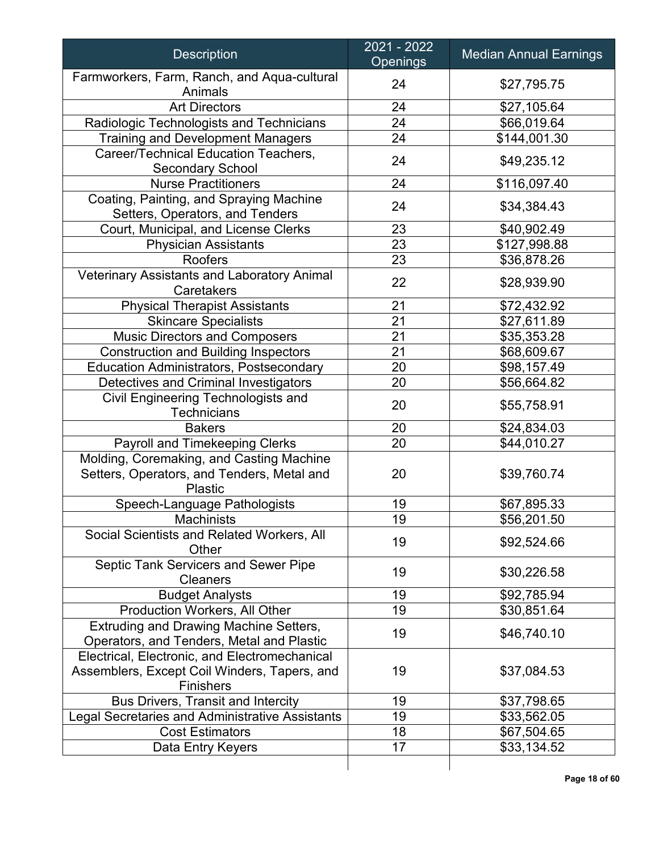| Farmworkers, Farm, Ranch, and Aqua-cultural<br>\$27,795.75<br>24<br>Animals<br>24<br><b>Art Directors</b><br>\$27,105.64<br>24<br>\$66,019.64<br>Radiologic Technologists and Technicians<br>24<br><b>Training and Development Managers</b><br>\$144,001.30<br>Career/Technical Education Teachers,<br>24<br>\$49,235.12<br><b>Secondary School</b><br><b>Nurse Practitioners</b><br>24<br>\$116,097.40<br>Coating, Painting, and Spraying Machine<br>24<br>\$34,384.43<br>Setters, Operators, and Tenders<br>Court, Municipal, and License Clerks<br>\$40,902.49<br>23<br>23<br><b>Physician Assistants</b><br>\$127,998.88<br><b>Roofers</b><br>23<br>\$36,878.26<br>Veterinary Assistants and Laboratory Animal<br>22<br>\$28,939.90<br>Caretakers<br>21<br><b>Physical Therapist Assistants</b><br>\$72,432.92<br>21<br>\$27,611.89<br><b>Skincare Specialists</b><br>21<br><b>Music Directors and Composers</b><br>\$35,353.28<br>21<br><b>Construction and Building Inspectors</b><br>\$68,609.67<br>20<br><b>Education Administrators, Postsecondary</b><br>\$98,157.49<br>Detectives and Criminal Investigators<br>20<br>\$56,664.82<br>Civil Engineering Technologists and<br>20<br>\$55,758.91<br><b>Technicians</b><br>20<br>\$24,834.03<br><b>Bakers</b><br>Payroll and Timekeeping Clerks<br>20<br>\$44,010.27<br>Molding, Coremaking, and Casting Machine<br>Setters, Operators, and Tenders, Metal and<br>20<br>\$39,760.74<br>Plastic<br>19<br>Speech-Language Pathologists<br>\$67,895.33<br>19<br>\$56,201.50<br>Machinists<br>Social Scientists and Related Workers, All<br>19<br>\$92,524.66<br>Other<br>Septic Tank Servicers and Sewer Pipe<br>19<br>\$30,226.58<br><b>Cleaners</b><br><b>Budget Analysts</b><br>19<br>\$92,785.94<br>19<br>Production Workers, All Other<br>\$30,851.64<br><b>Extruding and Drawing Machine Setters,</b><br>19<br>\$46,740.10<br>Operators, and Tenders, Metal and Plastic<br>Electrical, Electronic, and Electromechanical<br>19<br>Assemblers, Except Coil Winders, Tapers, and<br>\$37,084.53<br><b>Finishers</b><br><b>Bus Drivers, Transit and Intercity</b><br>19<br>\$37,798.65<br>19<br>Legal Secretaries and Administrative Assistants<br>\$33,562.05<br><b>Cost Estimators</b><br>18<br>\$67,504.65<br>\$33,134.52<br>Data Entry Keyers<br>17 | <b>Description</b> | 2021 - 2022<br><b>Openings</b> | <b>Median Annual Earnings</b> |
|----------------------------------------------------------------------------------------------------------------------------------------------------------------------------------------------------------------------------------------------------------------------------------------------------------------------------------------------------------------------------------------------------------------------------------------------------------------------------------------------------------------------------------------------------------------------------------------------------------------------------------------------------------------------------------------------------------------------------------------------------------------------------------------------------------------------------------------------------------------------------------------------------------------------------------------------------------------------------------------------------------------------------------------------------------------------------------------------------------------------------------------------------------------------------------------------------------------------------------------------------------------------------------------------------------------------------------------------------------------------------------------------------------------------------------------------------------------------------------------------------------------------------------------------------------------------------------------------------------------------------------------------------------------------------------------------------------------------------------------------------------------------------------------------------------------------------------------------------------------------------------------------------------------------------------------------------------------------------------------------------------------------------------------------------------------------------------------------------------------------------------------------------------------------------------------------------------------------------------------------------------------------------------------------------------------|--------------------|--------------------------------|-------------------------------|
|                                                                                                                                                                                                                                                                                                                                                                                                                                                                                                                                                                                                                                                                                                                                                                                                                                                                                                                                                                                                                                                                                                                                                                                                                                                                                                                                                                                                                                                                                                                                                                                                                                                                                                                                                                                                                                                                                                                                                                                                                                                                                                                                                                                                                                                                                                                |                    |                                |                               |
|                                                                                                                                                                                                                                                                                                                                                                                                                                                                                                                                                                                                                                                                                                                                                                                                                                                                                                                                                                                                                                                                                                                                                                                                                                                                                                                                                                                                                                                                                                                                                                                                                                                                                                                                                                                                                                                                                                                                                                                                                                                                                                                                                                                                                                                                                                                |                    |                                |                               |
|                                                                                                                                                                                                                                                                                                                                                                                                                                                                                                                                                                                                                                                                                                                                                                                                                                                                                                                                                                                                                                                                                                                                                                                                                                                                                                                                                                                                                                                                                                                                                                                                                                                                                                                                                                                                                                                                                                                                                                                                                                                                                                                                                                                                                                                                                                                |                    |                                |                               |
|                                                                                                                                                                                                                                                                                                                                                                                                                                                                                                                                                                                                                                                                                                                                                                                                                                                                                                                                                                                                                                                                                                                                                                                                                                                                                                                                                                                                                                                                                                                                                                                                                                                                                                                                                                                                                                                                                                                                                                                                                                                                                                                                                                                                                                                                                                                |                    |                                |                               |
|                                                                                                                                                                                                                                                                                                                                                                                                                                                                                                                                                                                                                                                                                                                                                                                                                                                                                                                                                                                                                                                                                                                                                                                                                                                                                                                                                                                                                                                                                                                                                                                                                                                                                                                                                                                                                                                                                                                                                                                                                                                                                                                                                                                                                                                                                                                |                    |                                |                               |
|                                                                                                                                                                                                                                                                                                                                                                                                                                                                                                                                                                                                                                                                                                                                                                                                                                                                                                                                                                                                                                                                                                                                                                                                                                                                                                                                                                                                                                                                                                                                                                                                                                                                                                                                                                                                                                                                                                                                                                                                                                                                                                                                                                                                                                                                                                                |                    |                                |                               |
|                                                                                                                                                                                                                                                                                                                                                                                                                                                                                                                                                                                                                                                                                                                                                                                                                                                                                                                                                                                                                                                                                                                                                                                                                                                                                                                                                                                                                                                                                                                                                                                                                                                                                                                                                                                                                                                                                                                                                                                                                                                                                                                                                                                                                                                                                                                |                    |                                |                               |
|                                                                                                                                                                                                                                                                                                                                                                                                                                                                                                                                                                                                                                                                                                                                                                                                                                                                                                                                                                                                                                                                                                                                                                                                                                                                                                                                                                                                                                                                                                                                                                                                                                                                                                                                                                                                                                                                                                                                                                                                                                                                                                                                                                                                                                                                                                                |                    |                                |                               |
|                                                                                                                                                                                                                                                                                                                                                                                                                                                                                                                                                                                                                                                                                                                                                                                                                                                                                                                                                                                                                                                                                                                                                                                                                                                                                                                                                                                                                                                                                                                                                                                                                                                                                                                                                                                                                                                                                                                                                                                                                                                                                                                                                                                                                                                                                                                |                    |                                |                               |
|                                                                                                                                                                                                                                                                                                                                                                                                                                                                                                                                                                                                                                                                                                                                                                                                                                                                                                                                                                                                                                                                                                                                                                                                                                                                                                                                                                                                                                                                                                                                                                                                                                                                                                                                                                                                                                                                                                                                                                                                                                                                                                                                                                                                                                                                                                                |                    |                                |                               |
|                                                                                                                                                                                                                                                                                                                                                                                                                                                                                                                                                                                                                                                                                                                                                                                                                                                                                                                                                                                                                                                                                                                                                                                                                                                                                                                                                                                                                                                                                                                                                                                                                                                                                                                                                                                                                                                                                                                                                                                                                                                                                                                                                                                                                                                                                                                |                    |                                |                               |
|                                                                                                                                                                                                                                                                                                                                                                                                                                                                                                                                                                                                                                                                                                                                                                                                                                                                                                                                                                                                                                                                                                                                                                                                                                                                                                                                                                                                                                                                                                                                                                                                                                                                                                                                                                                                                                                                                                                                                                                                                                                                                                                                                                                                                                                                                                                |                    |                                |                               |
|                                                                                                                                                                                                                                                                                                                                                                                                                                                                                                                                                                                                                                                                                                                                                                                                                                                                                                                                                                                                                                                                                                                                                                                                                                                                                                                                                                                                                                                                                                                                                                                                                                                                                                                                                                                                                                                                                                                                                                                                                                                                                                                                                                                                                                                                                                                |                    |                                |                               |
|                                                                                                                                                                                                                                                                                                                                                                                                                                                                                                                                                                                                                                                                                                                                                                                                                                                                                                                                                                                                                                                                                                                                                                                                                                                                                                                                                                                                                                                                                                                                                                                                                                                                                                                                                                                                                                                                                                                                                                                                                                                                                                                                                                                                                                                                                                                |                    |                                |                               |
|                                                                                                                                                                                                                                                                                                                                                                                                                                                                                                                                                                                                                                                                                                                                                                                                                                                                                                                                                                                                                                                                                                                                                                                                                                                                                                                                                                                                                                                                                                                                                                                                                                                                                                                                                                                                                                                                                                                                                                                                                                                                                                                                                                                                                                                                                                                |                    |                                |                               |
|                                                                                                                                                                                                                                                                                                                                                                                                                                                                                                                                                                                                                                                                                                                                                                                                                                                                                                                                                                                                                                                                                                                                                                                                                                                                                                                                                                                                                                                                                                                                                                                                                                                                                                                                                                                                                                                                                                                                                                                                                                                                                                                                                                                                                                                                                                                |                    |                                |                               |
|                                                                                                                                                                                                                                                                                                                                                                                                                                                                                                                                                                                                                                                                                                                                                                                                                                                                                                                                                                                                                                                                                                                                                                                                                                                                                                                                                                                                                                                                                                                                                                                                                                                                                                                                                                                                                                                                                                                                                                                                                                                                                                                                                                                                                                                                                                                |                    |                                |                               |
|                                                                                                                                                                                                                                                                                                                                                                                                                                                                                                                                                                                                                                                                                                                                                                                                                                                                                                                                                                                                                                                                                                                                                                                                                                                                                                                                                                                                                                                                                                                                                                                                                                                                                                                                                                                                                                                                                                                                                                                                                                                                                                                                                                                                                                                                                                                |                    |                                |                               |
|                                                                                                                                                                                                                                                                                                                                                                                                                                                                                                                                                                                                                                                                                                                                                                                                                                                                                                                                                                                                                                                                                                                                                                                                                                                                                                                                                                                                                                                                                                                                                                                                                                                                                                                                                                                                                                                                                                                                                                                                                                                                                                                                                                                                                                                                                                                |                    |                                |                               |
|                                                                                                                                                                                                                                                                                                                                                                                                                                                                                                                                                                                                                                                                                                                                                                                                                                                                                                                                                                                                                                                                                                                                                                                                                                                                                                                                                                                                                                                                                                                                                                                                                                                                                                                                                                                                                                                                                                                                                                                                                                                                                                                                                                                                                                                                                                                |                    |                                |                               |
|                                                                                                                                                                                                                                                                                                                                                                                                                                                                                                                                                                                                                                                                                                                                                                                                                                                                                                                                                                                                                                                                                                                                                                                                                                                                                                                                                                                                                                                                                                                                                                                                                                                                                                                                                                                                                                                                                                                                                                                                                                                                                                                                                                                                                                                                                                                |                    |                                |                               |
|                                                                                                                                                                                                                                                                                                                                                                                                                                                                                                                                                                                                                                                                                                                                                                                                                                                                                                                                                                                                                                                                                                                                                                                                                                                                                                                                                                                                                                                                                                                                                                                                                                                                                                                                                                                                                                                                                                                                                                                                                                                                                                                                                                                                                                                                                                                |                    |                                |                               |
|                                                                                                                                                                                                                                                                                                                                                                                                                                                                                                                                                                                                                                                                                                                                                                                                                                                                                                                                                                                                                                                                                                                                                                                                                                                                                                                                                                                                                                                                                                                                                                                                                                                                                                                                                                                                                                                                                                                                                                                                                                                                                                                                                                                                                                                                                                                |                    |                                |                               |
|                                                                                                                                                                                                                                                                                                                                                                                                                                                                                                                                                                                                                                                                                                                                                                                                                                                                                                                                                                                                                                                                                                                                                                                                                                                                                                                                                                                                                                                                                                                                                                                                                                                                                                                                                                                                                                                                                                                                                                                                                                                                                                                                                                                                                                                                                                                |                    |                                |                               |
|                                                                                                                                                                                                                                                                                                                                                                                                                                                                                                                                                                                                                                                                                                                                                                                                                                                                                                                                                                                                                                                                                                                                                                                                                                                                                                                                                                                                                                                                                                                                                                                                                                                                                                                                                                                                                                                                                                                                                                                                                                                                                                                                                                                                                                                                                                                |                    |                                |                               |
|                                                                                                                                                                                                                                                                                                                                                                                                                                                                                                                                                                                                                                                                                                                                                                                                                                                                                                                                                                                                                                                                                                                                                                                                                                                                                                                                                                                                                                                                                                                                                                                                                                                                                                                                                                                                                                                                                                                                                                                                                                                                                                                                                                                                                                                                                                                |                    |                                |                               |
|                                                                                                                                                                                                                                                                                                                                                                                                                                                                                                                                                                                                                                                                                                                                                                                                                                                                                                                                                                                                                                                                                                                                                                                                                                                                                                                                                                                                                                                                                                                                                                                                                                                                                                                                                                                                                                                                                                                                                                                                                                                                                                                                                                                                                                                                                                                |                    |                                |                               |
|                                                                                                                                                                                                                                                                                                                                                                                                                                                                                                                                                                                                                                                                                                                                                                                                                                                                                                                                                                                                                                                                                                                                                                                                                                                                                                                                                                                                                                                                                                                                                                                                                                                                                                                                                                                                                                                                                                                                                                                                                                                                                                                                                                                                                                                                                                                |                    |                                |                               |
|                                                                                                                                                                                                                                                                                                                                                                                                                                                                                                                                                                                                                                                                                                                                                                                                                                                                                                                                                                                                                                                                                                                                                                                                                                                                                                                                                                                                                                                                                                                                                                                                                                                                                                                                                                                                                                                                                                                                                                                                                                                                                                                                                                                                                                                                                                                |                    |                                |                               |
|                                                                                                                                                                                                                                                                                                                                                                                                                                                                                                                                                                                                                                                                                                                                                                                                                                                                                                                                                                                                                                                                                                                                                                                                                                                                                                                                                                                                                                                                                                                                                                                                                                                                                                                                                                                                                                                                                                                                                                                                                                                                                                                                                                                                                                                                                                                |                    |                                |                               |
|                                                                                                                                                                                                                                                                                                                                                                                                                                                                                                                                                                                                                                                                                                                                                                                                                                                                                                                                                                                                                                                                                                                                                                                                                                                                                                                                                                                                                                                                                                                                                                                                                                                                                                                                                                                                                                                                                                                                                                                                                                                                                                                                                                                                                                                                                                                |                    |                                |                               |
|                                                                                                                                                                                                                                                                                                                                                                                                                                                                                                                                                                                                                                                                                                                                                                                                                                                                                                                                                                                                                                                                                                                                                                                                                                                                                                                                                                                                                                                                                                                                                                                                                                                                                                                                                                                                                                                                                                                                                                                                                                                                                                                                                                                                                                                                                                                |                    |                                |                               |
|                                                                                                                                                                                                                                                                                                                                                                                                                                                                                                                                                                                                                                                                                                                                                                                                                                                                                                                                                                                                                                                                                                                                                                                                                                                                                                                                                                                                                                                                                                                                                                                                                                                                                                                                                                                                                                                                                                                                                                                                                                                                                                                                                                                                                                                                                                                |                    |                                |                               |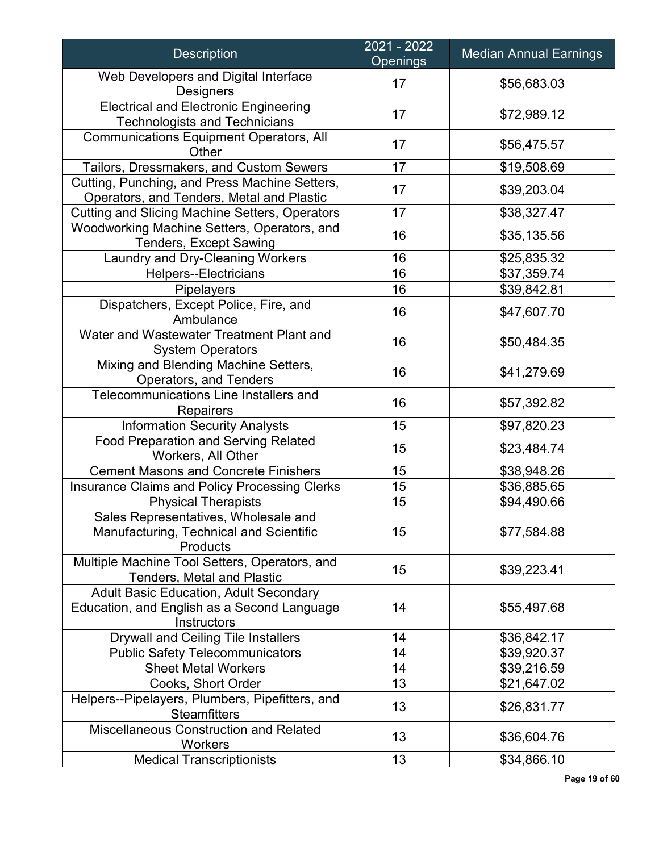| <b>Description</b>                                                                                          | 2021 - 2022<br><b>Openings</b> | <b>Median Annual Earnings</b> |
|-------------------------------------------------------------------------------------------------------------|--------------------------------|-------------------------------|
| Web Developers and Digital Interface<br><b>Designers</b>                                                    | 17                             | \$56,683.03                   |
| <b>Electrical and Electronic Engineering</b><br><b>Technologists and Technicians</b>                        | 17                             | \$72,989.12                   |
| <b>Communications Equipment Operators, All</b><br>Other                                                     | 17                             | \$56,475.57                   |
| Tailors, Dressmakers, and Custom Sewers                                                                     | 17                             | \$19,508.69                   |
| Cutting, Punching, and Press Machine Setters,<br>Operators, and Tenders, Metal and Plastic                  | 17                             | \$39,203.04                   |
| <b>Cutting and Slicing Machine Setters, Operators</b>                                                       | 17                             | \$38,327.47                   |
| Woodworking Machine Setters, Operators, and<br><b>Tenders, Except Sawing</b>                                | 16                             | \$35,135.56                   |
| Laundry and Dry-Cleaning Workers                                                                            | 16                             | \$25,835.32                   |
| <b>Helpers--Electricians</b>                                                                                | 16                             | \$37,359.74                   |
| Pipelayers                                                                                                  | 16                             | \$39,842.81                   |
| Dispatchers, Except Police, Fire, and<br>Ambulance                                                          | 16                             | \$47,607.70                   |
| Water and Wastewater Treatment Plant and<br><b>System Operators</b>                                         | 16                             | \$50,484.35                   |
| Mixing and Blending Machine Setters,<br>Operators, and Tenders                                              | 16                             | \$41,279.69                   |
| Telecommunications Line Installers and<br><b>Repairers</b>                                                  | 16                             | \$57,392.82                   |
| <b>Information Security Analysts</b>                                                                        | 15                             | \$97,820.23                   |
| <b>Food Preparation and Serving Related</b><br>Workers, All Other                                           | 15                             | \$23,484.74                   |
| <b>Cement Masons and Concrete Finishers</b>                                                                 | 15                             | \$38,948.26                   |
| Insurance Claims and Policy Processing Clerks                                                               | 15                             | \$36,885.65                   |
| <b>Physical Therapists</b>                                                                                  | 15                             | \$94,490.66                   |
| Sales Representatives, Wholesale and<br>Manufacturing, Technical and Scientific<br>Products                 | 15                             | \$77,584.88                   |
| Multiple Machine Tool Setters, Operators, and<br><b>Tenders, Metal and Plastic</b>                          | 15                             | \$39,223.41                   |
| <b>Adult Basic Education, Adult Secondary</b><br>Education, and English as a Second Language<br>Instructors | 14                             | \$55,497.68                   |
| Drywall and Ceiling Tile Installers                                                                         | 14                             | \$36,842.17                   |
| <b>Public Safety Telecommunicators</b>                                                                      | 14                             | \$39,920.37                   |
| <b>Sheet Metal Workers</b>                                                                                  | 14                             | \$39,216.59                   |
| Cooks, Short Order                                                                                          | 13                             | \$21,647.02                   |
| Helpers--Pipelayers, Plumbers, Pipefitters, and<br><b>Steamfitters</b>                                      | 13                             | \$26,831.77                   |
| <b>Miscellaneous Construction and Related</b><br>Workers                                                    | 13                             | \$36,604.76                   |
| <b>Medical Transcriptionists</b>                                                                            | 13                             | \$34,866.10                   |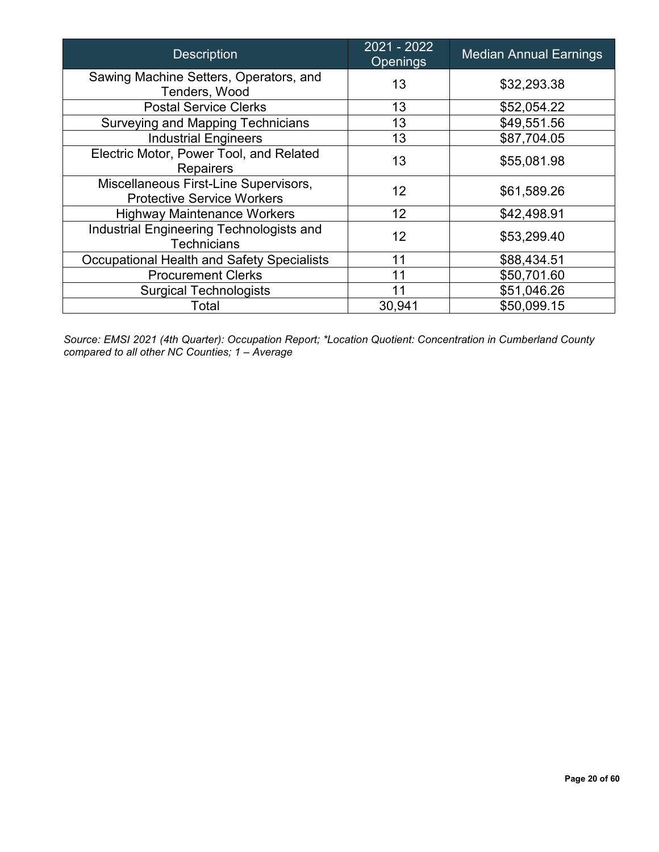| <b>Description</b>                                                         | 2021 - 2022<br><b>Openings</b> | <b>Median Annual Earnings</b> |
|----------------------------------------------------------------------------|--------------------------------|-------------------------------|
| Sawing Machine Setters, Operators, and<br>Tenders, Wood                    | 13                             | \$32,293.38                   |
| <b>Postal Service Clerks</b>                                               | 13                             | \$52,054.22                   |
| Surveying and Mapping Technicians                                          | 13                             | \$49,551.56                   |
| <b>Industrial Engineers</b>                                                | 13                             | \$87,704.05                   |
| Electric Motor, Power Tool, and Related<br><b>Repairers</b>                | 13                             | \$55,081.98                   |
| Miscellaneous First-Line Supervisors,<br><b>Protective Service Workers</b> | 12 <sup>2</sup>                | \$61,589.26                   |
| <b>Highway Maintenance Workers</b>                                         | 12                             | \$42,498.91                   |
| Industrial Engineering Technologists and<br><b>Technicians</b>             | 12                             | \$53,299.40                   |
| <b>Occupational Health and Safety Specialists</b>                          | 11                             | \$88,434.51                   |
| <b>Procurement Clerks</b>                                                  | 11                             | \$50,701.60                   |
| <b>Surgical Technologists</b>                                              | 11                             | \$51,046.26                   |
| Total                                                                      | 30,941                         | \$50,099.15                   |

*Source: EMSI 2021 (4th Quarter): Occupation Report; \*Location Quotient: Concentration in Cumberland County compared to all other NC Counties; 1 – Average*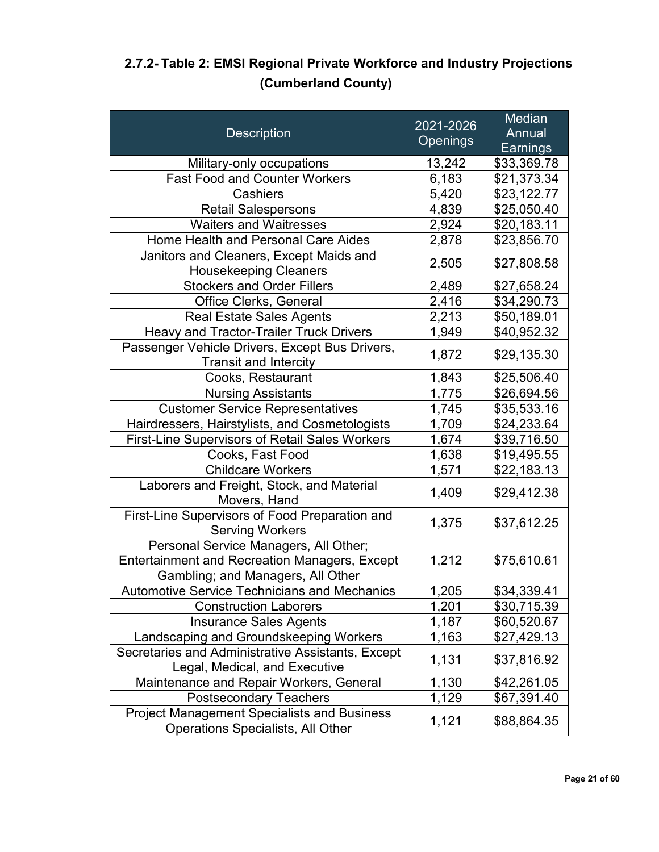|                                                                          |                 | Median          |
|--------------------------------------------------------------------------|-----------------|-----------------|
| <b>Description</b>                                                       | 2021-2026       | Annual          |
|                                                                          | <b>Openings</b> | <b>Earnings</b> |
| Military-only occupations                                                | 13,242          | \$33,369.78     |
| <b>Fast Food and Counter Workers</b>                                     | 6,183           | \$21,373.34     |
| Cashiers                                                                 | 5,420           | \$23,122.77     |
| <b>Retail Salespersons</b>                                               | 4,839           | \$25,050.40     |
| <b>Waiters and Waitresses</b>                                            | 2,924           | \$20,183.11     |
| Home Health and Personal Care Aides                                      | 2,878           | \$23,856.70     |
| Janitors and Cleaners, Except Maids and                                  |                 |                 |
| <b>Housekeeping Cleaners</b>                                             | 2,505           | \$27,808.58     |
| <b>Stockers and Order Fillers</b>                                        | 2,489           | \$27,658.24     |
| Office Clerks, General                                                   | 2,416           | \$34,290.73     |
| <b>Real Estate Sales Agents</b>                                          | 2,213           | \$50,189.01     |
| Heavy and Tractor-Trailer Truck Drivers                                  | 1,949           | \$40,952.32     |
| Passenger Vehicle Drivers, Except Bus Drivers,                           | 1,872           | \$29,135.30     |
| <b>Transit and Intercity</b>                                             |                 |                 |
| Cooks, Restaurant                                                        | 1,843           | \$25,506.40     |
| <b>Nursing Assistants</b>                                                | 1,775           | \$26,694.56     |
| <b>Customer Service Representatives</b>                                  | 1,745           | \$35,533.16     |
| Hairdressers, Hairstylists, and Cosmetologists                           | 1,709           | \$24,233.64     |
| First-Line Supervisors of Retail Sales Workers                           | 1,674           | \$39,716.50     |
| Cooks, Fast Food                                                         | 1,638           | \$19,495.55     |
| <b>Childcare Workers</b>                                                 | 1,571           | \$22,183.13     |
| Laborers and Freight, Stock, and Material<br>Movers, Hand                | 1,409           | \$29,412.38     |
| First-Line Supervisors of Food Preparation and<br><b>Serving Workers</b> | 1,375           | \$37,612.25     |
| Personal Service Managers, All Other;                                    |                 |                 |
| <b>Entertainment and Recreation Managers, Except</b>                     | 1,212           | \$75,610.61     |
| Gambling; and Managers, All Other                                        |                 |                 |
| <b>Automotive Service Technicians and Mechanics</b>                      | 1,205           | \$34,339.41     |
| <b>Construction Laborers</b>                                             | 1,201           | \$30,715.39     |
| <b>Insurance Sales Agents</b>                                            | 1,187           | \$60,520.67     |
| Landscaping and Groundskeeping Workers                                   | 1,163           | \$27,429.13     |
| Secretaries and Administrative Assistants, Except                        |                 |                 |
| Legal, Medical, and Executive                                            | 1,131           | \$37,816.92     |
| Maintenance and Repair Workers, General                                  | 1,130           | \$42,261.05     |
| <b>Postsecondary Teachers</b>                                            | 1,129           | \$67,391.40     |
| <b>Project Management Specialists and Business</b>                       | 1,121           | \$88,864.35     |
| Operations Specialists, All Other                                        |                 |                 |

### <span id="page-20-0"></span>**Table 2: EMSI Regional Private Workforce and Industry Projections (Cumberland County)**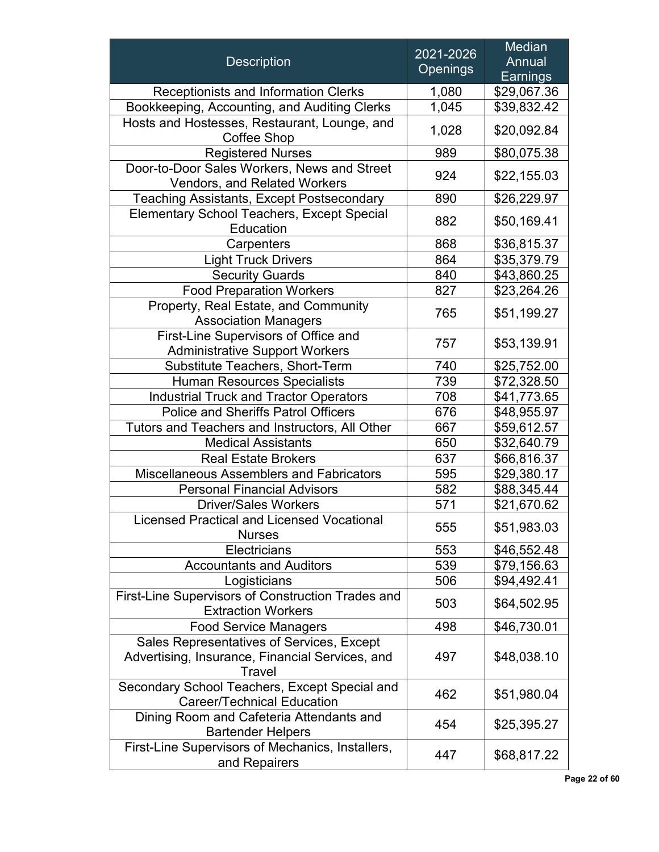| <b>Description</b><br><b>Receptionists and Information Clerks</b><br>Bookkeeping, Accounting, and Auditing Clerks<br>Hosts and Hostesses, Restaurant, Lounge, and<br>Coffee Shop<br><b>Registered Nurses</b> | 2021-2026<br><b>Openings</b><br>1,080<br>1,045<br>1,028<br>989<br>924<br>890<br>882 | Annual<br>Earnings<br>\$29,067.36<br>\$39,832.42<br>\$20,092.84<br>\$80,075.38<br>\$22,155.03<br>\$26,229.97<br>\$50,169.41 |
|--------------------------------------------------------------------------------------------------------------------------------------------------------------------------------------------------------------|-------------------------------------------------------------------------------------|-----------------------------------------------------------------------------------------------------------------------------|
|                                                                                                                                                                                                              |                                                                                     |                                                                                                                             |
|                                                                                                                                                                                                              |                                                                                     |                                                                                                                             |
|                                                                                                                                                                                                              |                                                                                     |                                                                                                                             |
|                                                                                                                                                                                                              |                                                                                     |                                                                                                                             |
|                                                                                                                                                                                                              |                                                                                     |                                                                                                                             |
|                                                                                                                                                                                                              |                                                                                     |                                                                                                                             |
|                                                                                                                                                                                                              |                                                                                     |                                                                                                                             |
| Door-to-Door Sales Workers, News and Street<br>Vendors, and Related Workers                                                                                                                                  |                                                                                     |                                                                                                                             |
| <b>Teaching Assistants, Except Postsecondary</b>                                                                                                                                                             |                                                                                     |                                                                                                                             |
| <b>Elementary School Teachers, Except Special</b>                                                                                                                                                            |                                                                                     |                                                                                                                             |
| Education                                                                                                                                                                                                    |                                                                                     |                                                                                                                             |
| Carpenters                                                                                                                                                                                                   | 868                                                                                 | \$36,815.37                                                                                                                 |
| <b>Light Truck Drivers</b>                                                                                                                                                                                   | 864                                                                                 | \$35,379.79                                                                                                                 |
| <b>Security Guards</b>                                                                                                                                                                                       | 840                                                                                 | \$43,860.25                                                                                                                 |
| <b>Food Preparation Workers</b>                                                                                                                                                                              | 827                                                                                 | \$23,264.26                                                                                                                 |
| Property, Real Estate, and Community<br><b>Association Managers</b>                                                                                                                                          | 765                                                                                 | \$51,199.27                                                                                                                 |
| First-Line Supervisors of Office and                                                                                                                                                                         |                                                                                     |                                                                                                                             |
| <b>Administrative Support Workers</b>                                                                                                                                                                        | 757                                                                                 | \$53,139.91                                                                                                                 |
| Substitute Teachers, Short-Term                                                                                                                                                                              | 740                                                                                 | \$25,752.00                                                                                                                 |
| <b>Human Resources Specialists</b>                                                                                                                                                                           | 739                                                                                 | \$72,328.50                                                                                                                 |
| <b>Industrial Truck and Tractor Operators</b>                                                                                                                                                                | 708                                                                                 | \$41,773.65                                                                                                                 |
| <b>Police and Sheriffs Patrol Officers</b>                                                                                                                                                                   | 676                                                                                 | \$48,955.97                                                                                                                 |
| Tutors and Teachers and Instructors, All Other                                                                                                                                                               | 667                                                                                 | \$59,612.57                                                                                                                 |
| <b>Medical Assistants</b>                                                                                                                                                                                    | 650                                                                                 | \$32,640.79                                                                                                                 |
| <b>Real Estate Brokers</b>                                                                                                                                                                                   | 637                                                                                 | \$66,816.37                                                                                                                 |
| <b>Miscellaneous Assemblers and Fabricators</b>                                                                                                                                                              | 595                                                                                 | \$29,380.17                                                                                                                 |
| <b>Personal Financial Advisors</b>                                                                                                                                                                           | 582                                                                                 | \$88,345.44                                                                                                                 |
| <b>Driver/Sales Workers</b>                                                                                                                                                                                  | 571                                                                                 | \$21,670.62                                                                                                                 |
| <b>Licensed Practical and Licensed Vocational</b>                                                                                                                                                            |                                                                                     |                                                                                                                             |
| <b>Nurses</b>                                                                                                                                                                                                | 555                                                                                 | \$51,983.03                                                                                                                 |
| Electricians                                                                                                                                                                                                 | 553                                                                                 | \$46,552.48                                                                                                                 |
| <b>Accountants and Auditors</b>                                                                                                                                                                              | 539                                                                                 | \$79,156.63                                                                                                                 |
| Logisticians                                                                                                                                                                                                 | 506                                                                                 | \$94,492.41                                                                                                                 |
| First-Line Supervisors of Construction Trades and<br><b>Extraction Workers</b>                                                                                                                               | 503                                                                                 | \$64,502.95                                                                                                                 |
| <b>Food Service Managers</b>                                                                                                                                                                                 | 498                                                                                 | \$46,730.01                                                                                                                 |
| Sales Representatives of Services, Except                                                                                                                                                                    |                                                                                     |                                                                                                                             |
| Advertising, Insurance, Financial Services, and                                                                                                                                                              | 497                                                                                 | \$48,038.10                                                                                                                 |
| Travel                                                                                                                                                                                                       |                                                                                     |                                                                                                                             |
| Secondary School Teachers, Except Special and<br><b>Career/Technical Education</b>                                                                                                                           | 462                                                                                 | \$51,980.04                                                                                                                 |
| Dining Room and Cafeteria Attendants and<br><b>Bartender Helpers</b>                                                                                                                                         | 454                                                                                 | \$25,395.27                                                                                                                 |
| First-Line Supervisors of Mechanics, Installers,<br>and Repairers                                                                                                                                            | 447                                                                                 | \$68,817.22                                                                                                                 |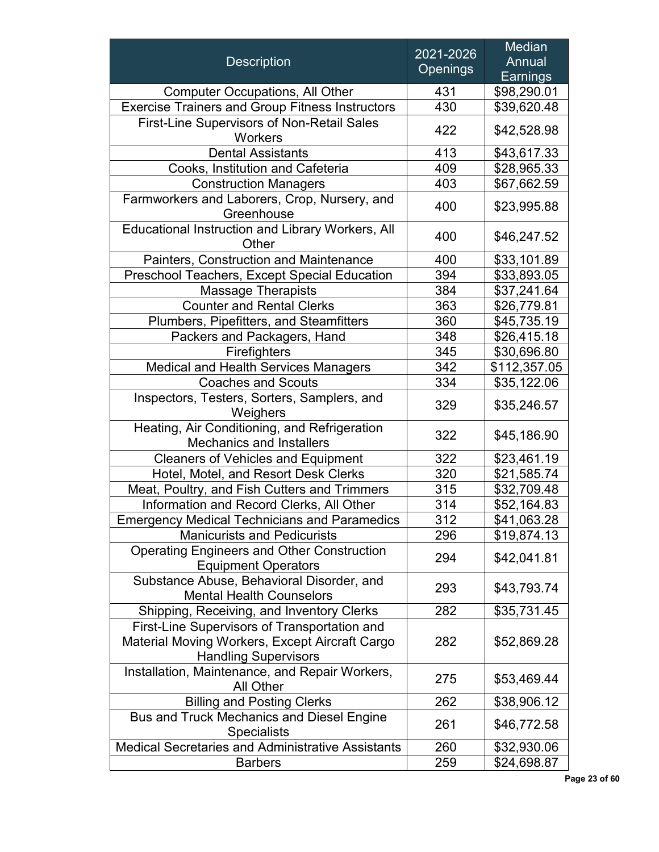|                                                                                 | 2021-2026       | Median       |
|---------------------------------------------------------------------------------|-----------------|--------------|
| <b>Description</b>                                                              | <b>Openings</b> | Annual       |
|                                                                                 |                 | Earnings     |
| <b>Computer Occupations, All Other</b>                                          | 431             | \$98,290.01  |
| <b>Exercise Trainers and Group Fitness Instructors</b>                          | 430             | \$39,620.48  |
| <b>First-Line Supervisors of Non-Retail Sales</b><br><b>Workers</b>             | 422             | \$42,528.98  |
| <b>Dental Assistants</b>                                                        | 413             | \$43,617.33  |
| Cooks, Institution and Cafeteria                                                | 409             | \$28,965.33  |
| <b>Construction Managers</b>                                                    | 403             | \$67,662.59  |
| Farmworkers and Laborers, Crop, Nursery, and<br>Greenhouse                      | 400             | \$23,995.88  |
| Educational Instruction and Library Workers, All<br>Other                       | 400             | \$46,247.52  |
| Painters, Construction and Maintenance                                          | 400             | \$33,101.89  |
| Preschool Teachers, Except Special Education                                    | 394             | \$33,893.05  |
| <b>Massage Therapists</b>                                                       | 384             | \$37,241.64  |
| <b>Counter and Rental Clerks</b>                                                | 363             | \$26,779.81  |
| Plumbers, Pipefitters, and Steamfitters                                         | 360             | \$45,735.19  |
| Packers and Packagers, Hand                                                     | 348             | \$26,415.18  |
| Firefighters                                                                    | 345             | \$30,696.80  |
| Medical and Health Services Managers                                            | 342             | \$112,357.05 |
| <b>Coaches and Scouts</b>                                                       | 334             | \$35,122.06  |
| Inspectors, Testers, Sorters, Samplers, and<br>Weighers                         | 329             | \$35,246.57  |
| Heating, Air Conditioning, and Refrigeration<br><b>Mechanics and Installers</b> | 322             | \$45,186.90  |
| <b>Cleaners of Vehicles and Equipment</b>                                       | 322             | \$23,461.19  |
| Hotel, Motel, and Resort Desk Clerks                                            | 320             | \$21,585.74  |
| Meat, Poultry, and Fish Cutters and Trimmers                                    | 315             | \$32,709.48  |
| Information and Record Clerks, All Other                                        | 314             | \$52,164.83  |
| <b>Emergency Medical Technicians and Paramedics</b>                             | 312             | \$41,063.28  |
| <b>Manicurists and Pedicurists</b>                                              | 296             | \$19,874.13  |
| <b>Operating Engineers and Other Construction</b><br><b>Equipment Operators</b> | 294             | \$42,041.81  |
| Substance Abuse, Behavioral Disorder, and<br><b>Mental Health Counselors</b>    | 293             | \$43,793.74  |
| Shipping, Receiving, and Inventory Clerks                                       | 282             | \$35,731.45  |
| First-Line Supervisors of Transportation and                                    |                 |              |
| Material Moving Workers, Except Aircraft Cargo<br><b>Handling Supervisors</b>   | 282             | \$52,869.28  |
| Installation, Maintenance, and Repair Workers,<br>All Other                     | 275             | \$53,469.44  |
| <b>Billing and Posting Clerks</b>                                               | 262             | \$38,906.12  |
| <b>Bus and Truck Mechanics and Diesel Engine</b><br><b>Specialists</b>          | 261             | \$46,772.58  |
| Medical Secretaries and Administrative Assistants                               | 260             | \$32,930.06  |
| <b>Barbers</b>                                                                  | 259             | \$24,698.87  |

**Page 23 of 60**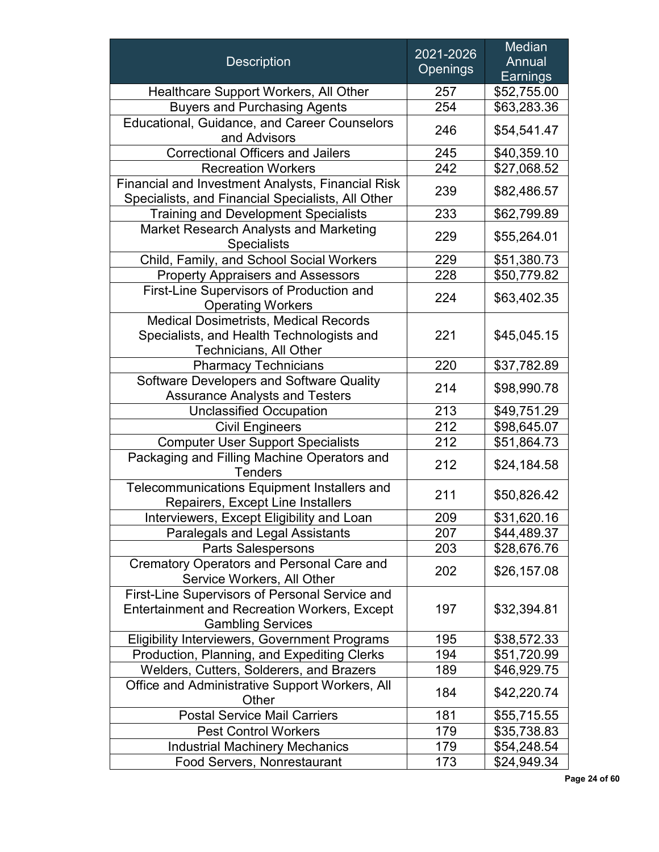|                                                                                                                                   | 2021-2026       | Median          |
|-----------------------------------------------------------------------------------------------------------------------------------|-----------------|-----------------|
| <b>Description</b>                                                                                                                | <b>Openings</b> | Annual          |
|                                                                                                                                   |                 | <b>Earnings</b> |
| Healthcare Support Workers, All Other                                                                                             | 257             | \$52,755.00     |
| <b>Buyers and Purchasing Agents</b>                                                                                               | 254             | \$63,283.36     |
| <b>Educational, Guidance, and Career Counselors</b><br>and Advisors                                                               | 246             | \$54,541.47     |
| <b>Correctional Officers and Jailers</b>                                                                                          | 245             | \$40,359.10     |
| <b>Recreation Workers</b>                                                                                                         | 242             | \$27,068.52     |
| Financial and Investment Analysts, Financial Risk<br>Specialists, and Financial Specialists, All Other                            | 239             | \$82,486.57     |
| <b>Training and Development Specialists</b>                                                                                       | 233             | \$62,799.89     |
| <b>Market Research Analysts and Marketing</b><br><b>Specialists</b>                                                               | 229             | \$55,264.01     |
| Child, Family, and School Social Workers                                                                                          | 229             | \$51,380.73     |
| <b>Property Appraisers and Assessors</b>                                                                                          | 228             | \$50,779.82     |
| First-Line Supervisors of Production and<br><b>Operating Workers</b>                                                              | 224             | \$63,402.35     |
| <b>Medical Dosimetrists, Medical Records</b><br>Specialists, and Health Technologists and<br><b>Technicians, All Other</b>        | 221             | \$45,045.15     |
| <b>Pharmacy Technicians</b>                                                                                                       | 220             | \$37,782.89     |
| Software Developers and Software Quality<br><b>Assurance Analysts and Testers</b>                                                 | 214             | \$98,990.78     |
| <b>Unclassified Occupation</b>                                                                                                    | 213             | \$49,751.29     |
| <b>Civil Engineers</b>                                                                                                            | 212             | \$98,645.07     |
| <b>Computer User Support Specialists</b>                                                                                          | 212             | \$51,864.73     |
| Packaging and Filling Machine Operators and<br><b>Tenders</b>                                                                     | 212             | \$24,184.58     |
| Telecommunications Equipment Installers and<br>Repairers, Except Line Installers                                                  | 211             | \$50,826.42     |
| Interviewers, Except Eligibility and Loan                                                                                         | 209             | \$31,620.16     |
| <b>Paralegals and Legal Assistants</b>                                                                                            | 207             | \$44,489.37     |
| <b>Parts Salespersons</b>                                                                                                         | 203             | \$28,676.76     |
| <b>Crematory Operators and Personal Care and</b><br>Service Workers, All Other                                                    | 202             | \$26,157.08     |
| First-Line Supervisors of Personal Service and<br><b>Entertainment and Recreation Workers, Except</b><br><b>Gambling Services</b> | 197             | \$32,394.81     |
| <b>Eligibility Interviewers, Government Programs</b>                                                                              | 195             | \$38,572.33     |
| Production, Planning, and Expediting Clerks                                                                                       | 194             | \$51,720.99     |
| Welders, Cutters, Solderers, and Brazers                                                                                          | 189             | \$46,929.75     |
| Office and Administrative Support Workers, All<br>Other                                                                           | 184             | \$42,220.74     |
| <b>Postal Service Mail Carriers</b>                                                                                               | 181             | \$55,715.55     |
| <b>Pest Control Workers</b>                                                                                                       | 179             | \$35,738.83     |
| <b>Industrial Machinery Mechanics</b>                                                                                             | 179             | \$54,248.54     |
| <b>Food Servers, Nonrestaurant</b>                                                                                                | 173             | \$24,949.34     |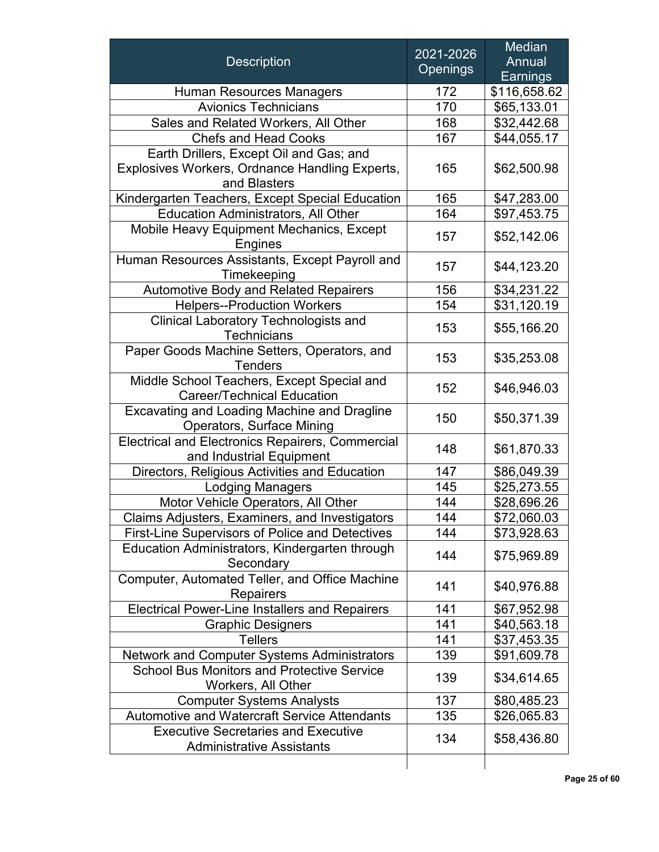|                                                                                       | 2021-2026       | <b>Median</b>      |
|---------------------------------------------------------------------------------------|-----------------|--------------------|
| <b>Description</b>                                                                    | <b>Openings</b> | Annual<br>Earnings |
|                                                                                       |                 |                    |
| <b>Human Resources Managers</b>                                                       | 172             | \$116,658.62       |
| <b>Avionics Technicians</b>                                                           | 170             | \$65,133.01        |
| Sales and Related Workers, All Other                                                  | 168             | \$32,442.68        |
| <b>Chefs and Head Cooks</b>                                                           | 167             | \$44,055.17        |
| Earth Drillers, Except Oil and Gas; and                                               |                 |                    |
| Explosives Workers, Ordnance Handling Experts,<br>and Blasters                        | 165             | \$62,500.98        |
| Kindergarten Teachers, Except Special Education                                       | 165             | \$47,283.00        |
| <b>Education Administrators, All Other</b>                                            | 164             | \$97,453.75        |
| Mobile Heavy Equipment Mechanics, Except<br><b>Engines</b>                            | 157             | \$52,142.06        |
| Human Resources Assistants, Except Payroll and<br>Timekeeping                         | 157             | \$44,123.20        |
| Automotive Body and Related Repairers                                                 | 156             | \$34,231.22        |
| <b>Helpers--Production Workers</b>                                                    | 154             | \$31,120.19        |
| <b>Clinical Laboratory Technologists and</b><br><b>Technicians</b>                    | 153             | \$55,166.20        |
| Paper Goods Machine Setters, Operators, and<br><b>Tenders</b>                         | 153             | \$35,253.08        |
| Middle School Teachers, Except Special and<br><b>Career/Technical Education</b>       | 152             | \$46,946.03        |
| Excavating and Loading Machine and Dragline<br><b>Operators, Surface Mining</b>       | 150             | \$50,371.39        |
| <b>Electrical and Electronics Repairers, Commercial</b><br>and Industrial Equipment   | 148             | \$61,870.33        |
| Directors, Religious Activities and Education                                         | 147             | \$86,049.39        |
| <b>Lodging Managers</b>                                                               | 145             | \$25,273.55        |
| Motor Vehicle Operators, All Other                                                    | 144             | \$28,696.26        |
| <b>Claims Adjusters, Examiners, and Investigators</b>                                 | 144             | \$72,060.03        |
| <b>First-Line Supervisors of Police and Detectives</b>                                | 144             | \$73,928.63        |
| Education Administrators, Kindergarten through<br>Secondary                           | 144             | \$75,969.89        |
| Computer, Automated Teller, and Office Machine<br><b>Repairers</b>                    | 141             | \$40,976.88        |
| <b>Electrical Power-Line Installers and Repairers</b>                                 | 141             | \$67,952.98        |
| <b>Graphic Designers</b>                                                              | 141             | \$40,563.18        |
| <b>Tellers</b>                                                                        | 141             | \$37,453.35        |
| Network and Computer Systems Administrators                                           | 139             | \$91,609.78        |
| <b>School Bus Monitors and Protective Service</b><br>Workers, All Other               | 139             | \$34,614.65        |
| <b>Computer Systems Analysts</b>                                                      | 137             | \$80,485.23        |
| <b>Automotive and Watercraft Service Attendants</b>                                   | 135             | \$26,065.83        |
| <b>Executive Secretaries and Executive</b><br>134<br><b>Administrative Assistants</b> |                 | \$58,436.80        |
|                                                                                       |                 | Ρ                  |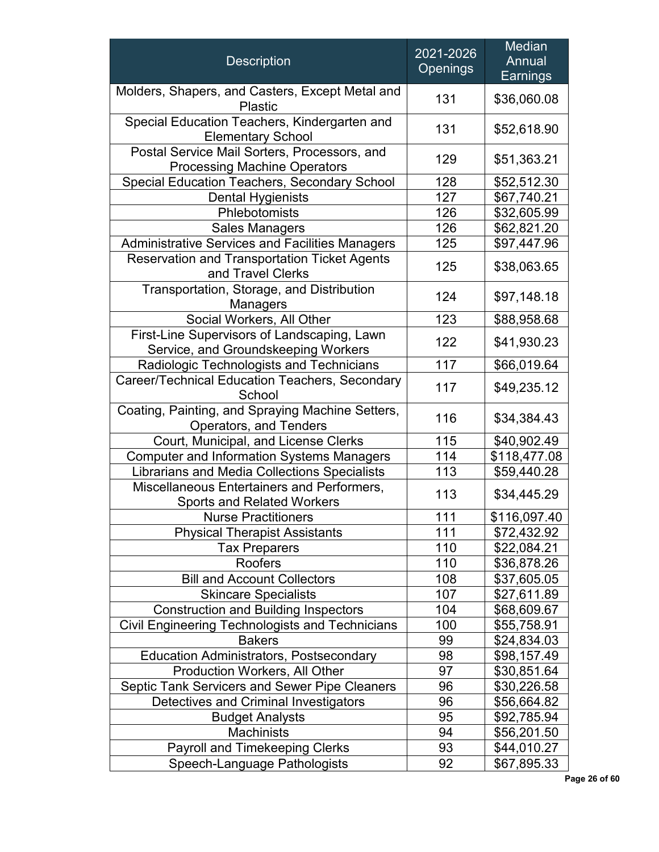| <b>Description</b>                                                                  | 2021-2026<br><b>Openings</b> | Median<br>Annual<br>Earnings |
|-------------------------------------------------------------------------------------|------------------------------|------------------------------|
| Molders, Shapers, and Casters, Except Metal and<br><b>Plastic</b>                   | 131                          | \$36,060.08                  |
| Special Education Teachers, Kindergarten and<br><b>Elementary School</b>            | 131                          | \$52,618.90                  |
| Postal Service Mail Sorters, Processors, and<br><b>Processing Machine Operators</b> | 129                          | \$51,363.21                  |
| <b>Special Education Teachers, Secondary School</b>                                 | 128                          | \$52,512.30                  |
| <b>Dental Hygienists</b>                                                            | 127                          | \$67,740.21                  |
| Phlebotomists                                                                       | 126                          | \$32,605.99                  |
| <b>Sales Managers</b>                                                               | 126                          | \$62,821.20                  |
| Administrative Services and Facilities Managers                                     | 125                          | \$97,447.96                  |
| <b>Reservation and Transportation Ticket Agents</b><br>and Travel Clerks            | 125                          | \$38,063.65                  |
| Transportation, Storage, and Distribution<br><b>Managers</b>                        | 124                          | \$97,148.18                  |
| Social Workers, All Other                                                           | 123                          | \$88,958.68                  |
| First-Line Supervisors of Landscaping, Lawn<br>Service, and Groundskeeping Workers  | 122                          | \$41,930.23                  |
| 117<br>Radiologic Technologists and Technicians                                     |                              | \$66,019.64                  |
| Career/Technical Education Teachers, Secondary<br>School                            | 117                          | \$49,235.12                  |
| Coating, Painting, and Spraying Machine Setters,<br>Operators, and Tenders          | 116                          | \$34,384.43                  |
| Court, Municipal, and License Clerks                                                | 115                          | \$40,902.49                  |
| <b>Computer and Information Systems Managers</b>                                    | 114                          | \$118,477.08                 |
| Librarians and Media Collections Specialists                                        | 113                          | \$59,440.28                  |
| Miscellaneous Entertainers and Performers,<br><b>Sports and Related Workers</b>     | 113                          | \$34,445.29                  |
| <b>Nurse Practitioners</b>                                                          | 111                          | \$116,097.40                 |
| <b>Physical Therapist Assistants</b>                                                | 111                          | \$72,432.92                  |
| <b>Tax Preparers</b>                                                                | 110                          | \$22,084.21                  |
| Roofers                                                                             | 110                          | \$36,878.26                  |
| <b>Bill and Account Collectors</b>                                                  | 108                          | \$37,605.05                  |
| <b>Skincare Specialists</b>                                                         | 107                          | \$27,611.89                  |
| <b>Construction and Building Inspectors</b>                                         | 104                          | \$68,609.67                  |
| Civil Engineering Technologists and Technicians                                     | 100                          | \$55,758.91                  |
| <b>Bakers</b>                                                                       | 99                           | \$24,834.03                  |
| Education Administrators, Postsecondary                                             | 98                           | \$98,157.49                  |
| <b>Production Workers, All Other</b>                                                | 97                           | \$30,851.64                  |
| <b>Septic Tank Servicers and Sewer Pipe Cleaners</b>                                | 96                           | \$30,226.58                  |
| Detectives and Criminal Investigators                                               | 96                           | \$56,664.82                  |
| <b>Budget Analysts</b>                                                              | 95                           | \$92,785.94                  |
| Machinists                                                                          | 94                           | \$56,201.50                  |
| Payroll and Timekeeping Clerks                                                      | 93                           | \$44,010.27                  |
| Speech-Language Pathologists                                                        | 92                           | \$67,895.33                  |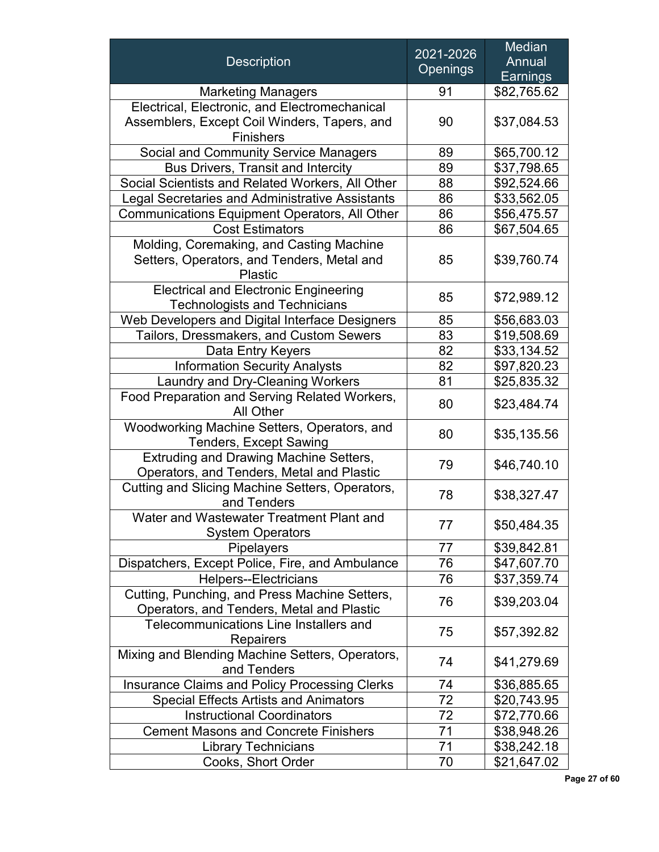|                                                      | 2021-2026       | Median          |
|------------------------------------------------------|-----------------|-----------------|
| <b>Description</b>                                   | <b>Openings</b> | Annual          |
|                                                      |                 | <b>Earnings</b> |
| <b>Marketing Managers</b>                            | 91              | \$82,765.62     |
| Electrical, Electronic, and Electromechanical        |                 |                 |
| Assemblers, Except Coil Winders, Tapers, and         | 90              | \$37,084.53     |
| Finishers                                            |                 |                 |
| <b>Social and Community Service Managers</b>         | 89              | \$65,700.12     |
| <b>Bus Drivers, Transit and Intercity</b>            | 89              | \$37,798.65     |
| Social Scientists and Related Workers, All Other     | 88              | \$92,524.66     |
| Legal Secretaries and Administrative Assistants      | 86              | \$33,562.05     |
| <b>Communications Equipment Operators, All Other</b> | 86              | \$56,475.57     |
| <b>Cost Estimators</b>                               | 86              | \$67,504.65     |
| Molding, Coremaking, and Casting Machine             |                 |                 |
| Setters, Operators, and Tenders, Metal and           | 85              | \$39,760.74     |
| <b>Plastic</b>                                       |                 |                 |
| <b>Electrical and Electronic Engineering</b>         | 85              | \$72,989.12     |
| <b>Technologists and Technicians</b>                 |                 |                 |
| Web Developers and Digital Interface Designers       | 85              | \$56,683.03     |
| Tailors, Dressmakers, and Custom Sewers              | 83              | \$19,508.69     |
| Data Entry Keyers                                    | 82              | \$33,134.52     |
| <b>Information Security Analysts</b>                 | 82              | \$97,820.23     |
| Laundry and Dry-Cleaning Workers                     | 81              | \$25,835.32     |
| Food Preparation and Serving Related Workers,        | 80              | \$23,484.74     |
| <b>All Other</b>                                     |                 |                 |
| Woodworking Machine Setters, Operators, and          | 80              | \$35,135.56     |
| <b>Tenders, Except Sawing</b>                        |                 |                 |
| <b>Extruding and Drawing Machine Setters,</b>        | 79              | \$46,740.10     |
| Operators, and Tenders, Metal and Plastic            |                 |                 |
| Cutting and Slicing Machine Setters, Operators,      | 78              | \$38,327.47     |
| and Tenders                                          |                 |                 |
| Water and Wastewater Treatment Plant and             | 77              | \$50,484.35     |
| <b>System Operators</b>                              |                 |                 |
| Pipelayers                                           | 77              | \$39,842.81     |
| Dispatchers, Except Police, Fire, and Ambulance      | 76              | \$47,607.70     |
| <b>Helpers--Electricians</b>                         | 76              | \$37,359.74     |
| Cutting, Punching, and Press Machine Setters,        | 76              | \$39,203.04     |
| Operators, and Tenders, Metal and Plastic            |                 |                 |
| Telecommunications Line Installers and               | 75              | \$57,392.82     |
| <b>Repairers</b>                                     |                 |                 |
| Mixing and Blending Machine Setters, Operators,      | 74              | \$41,279.69     |
| and Tenders                                          |                 |                 |
| <b>Insurance Claims and Policy Processing Clerks</b> | 74              | \$36,885.65     |
| <b>Special Effects Artists and Animators</b>         | 72              | \$20,743.95     |
| <b>Instructional Coordinators</b>                    | 72              | \$72,770.66     |
| <b>Cement Masons and Concrete Finishers</b>          | 71              | \$38,948.26     |
| <b>Library Technicians</b>                           | 71              | \$38,242.18     |
| Cooks, Short Order                                   | 70              | \$21,647.02     |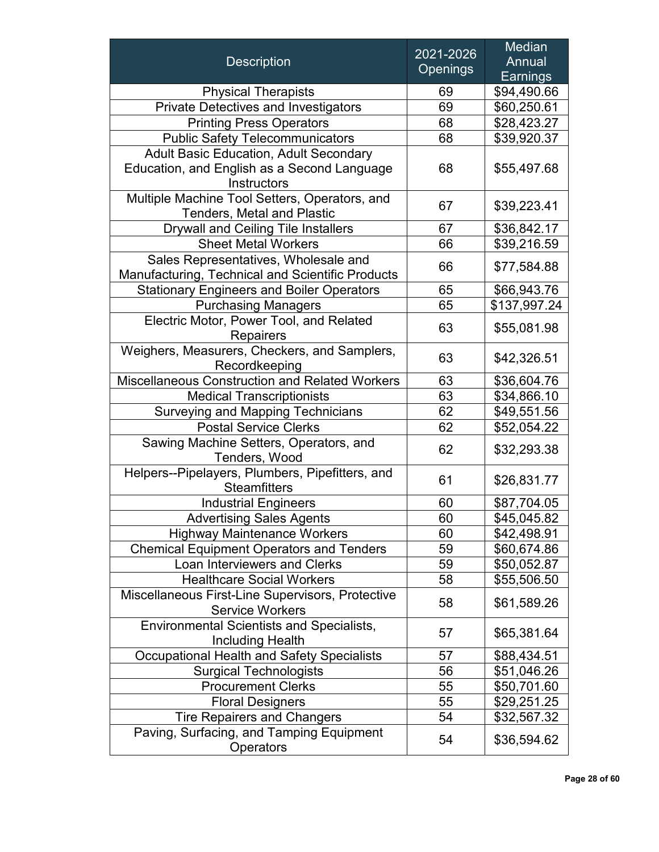|                                                                        | 2021-2026       | <b>Median</b>              |
|------------------------------------------------------------------------|-----------------|----------------------------|
| <b>Description</b>                                                     | <b>Openings</b> | Annual                     |
|                                                                        |                 | Earnings                   |
| <b>Physical Therapists</b>                                             | 69              | \$94,490.66                |
| <b>Private Detectives and Investigators</b>                            | 69              | \$60,250.61                |
| <b>Printing Press Operators</b>                                        | 68              | \$28,423.27                |
| <b>Public Safety Telecommunicators</b>                                 | 68              | \$39,920.37                |
| <b>Adult Basic Education, Adult Secondary</b>                          |                 |                            |
| Education, and English as a Second Language                            | 68              | \$55,497.68                |
| Instructors                                                            |                 |                            |
| Multiple Machine Tool Setters, Operators, and                          | 67              | \$39,223.41                |
| <b>Tenders, Metal and Plastic</b>                                      |                 |                            |
| <b>Drywall and Ceiling Tile Installers</b>                             | 67              | \$36,842.17                |
| <b>Sheet Metal Workers</b>                                             | 66              | \$39,216.59                |
| Sales Representatives, Wholesale and                                   | 66              | \$77,584.88                |
| Manufacturing, Technical and Scientific Products                       |                 |                            |
| <b>Stationary Engineers and Boiler Operators</b>                       | 65              | \$66,943.76                |
| <b>Purchasing Managers</b>                                             | 65              | \$137,997.24               |
| Electric Motor, Power Tool, and Related                                | 63              | \$55,081.98                |
| <b>Repairers</b>                                                       |                 |                            |
| Weighers, Measurers, Checkers, and Samplers,                           | 63              | \$42,326.51                |
| Recordkeeping<br><b>Miscellaneous Construction and Related Workers</b> | 63              |                            |
| <b>Medical Transcriptionists</b>                                       | 63              | \$36,604.76<br>\$34,866.10 |
| <b>Surveying and Mapping Technicians</b>                               | 62              | \$49,551.56                |
| <b>Postal Service Clerks</b>                                           | 62              | \$52,054.22                |
| Sawing Machine Setters, Operators, and                                 |                 |                            |
| Tenders, Wood                                                          | 62              | \$32,293.38                |
| Helpers--Pipelayers, Plumbers, Pipefitters, and                        |                 |                            |
| <b>Steamfitters</b>                                                    | 61              | \$26,831.77                |
| <b>Industrial Engineers</b>                                            | 60              | \$87,704.05                |
| <b>Advertising Sales Agents</b>                                        | 60              | \$45,045.82                |
| <b>Highway Maintenance Workers</b>                                     | 60              | \$42,498.91                |
| <b>Chemical Equipment Operators and Tenders</b>                        | 59              | \$60,674.86                |
| Loan Interviewers and Clerks                                           | 59              | \$50,052.87                |
| <b>Healthcare Social Workers</b>                                       | 58              | \$55,506.50                |
| Miscellaneous First-Line Supervisors, Protective                       |                 |                            |
| <b>Service Workers</b>                                                 | 58              | \$61,589.26                |
| Environmental Scientists and Specialists,                              |                 |                            |
| Including Health                                                       | 57              | \$65,381.64                |
| <b>Occupational Health and Safety Specialists</b>                      | 57              | \$88,434.51                |
| <b>Surgical Technologists</b>                                          | 56              | \$51,046.26                |
| <b>Procurement Clerks</b>                                              | 55              | \$50,701.60                |
| <b>Floral Designers</b>                                                | 55              | \$29,251.25                |
| <b>Tire Repairers and Changers</b>                                     | 54              | \$32,567.32                |
| Paving, Surfacing, and Tamping Equipment<br>Operators                  | 54              | \$36,594.62                |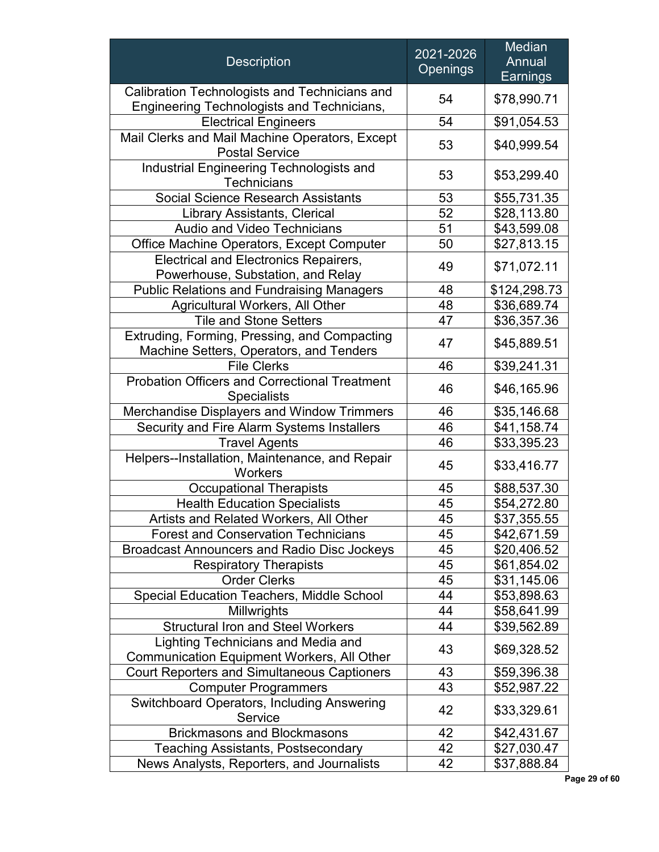| <b>Description</b>                                                                                 | 2021-2026<br><b>Openings</b> | <b>Median</b><br>Annual<br>Earnings |
|----------------------------------------------------------------------------------------------------|------------------------------|-------------------------------------|
| Calibration Technologists and Technicians and<br><b>Engineering Technologists and Technicians,</b> | 54                           | \$78,990.71                         |
| <b>Electrical Engineers</b>                                                                        | 54                           | \$91,054.53                         |
| Mail Clerks and Mail Machine Operators, Except<br><b>Postal Service</b>                            | 53                           | \$40,999.54                         |
| Industrial Engineering Technologists and<br><b>Technicians</b>                                     | 53                           | \$53,299.40                         |
| <b>Social Science Research Assistants</b>                                                          | 53                           | \$55,731.35                         |
| <b>Library Assistants, Clerical</b>                                                                | 52                           | \$28,113.80                         |
| <b>Audio and Video Technicians</b>                                                                 | 51                           | \$43,599.08                         |
| Office Machine Operators, Except Computer                                                          | 50                           | \$27,813.15                         |
| <b>Electrical and Electronics Repairers,</b><br>Powerhouse, Substation, and Relay                  | 49                           | \$71,072.11                         |
| <b>Public Relations and Fundraising Managers</b>                                                   | 48                           | \$124,298.73                        |
| <b>Agricultural Workers, All Other</b>                                                             | 48                           | \$36,689.74                         |
| <b>Tile and Stone Setters</b>                                                                      | 47                           | \$36,357.36                         |
| Extruding, Forming, Pressing, and Compacting<br>47<br>Machine Setters, Operators, and Tenders      |                              | \$45,889.51                         |
| <b>File Clerks</b>                                                                                 | 46                           | \$39,241.31                         |
| <b>Probation Officers and Correctional Treatment</b><br><b>Specialists</b>                         | 46                           | \$46,165.96                         |
| Merchandise Displayers and Window Trimmers                                                         | 46                           | \$35,146.68                         |
| Security and Fire Alarm Systems Installers                                                         | 46                           | \$41,158.74                         |
| <b>Travel Agents</b>                                                                               | 46                           | \$33,395.23                         |
| Helpers--Installation, Maintenance, and Repair<br><b>Workers</b>                                   | 45                           | \$33,416.77                         |
| <b>Occupational Therapists</b>                                                                     | 45                           | \$88,537.30                         |
| <b>Health Education Specialists</b>                                                                | 45                           | \$54,272.80                         |
| Artists and Related Workers, All Other                                                             | 45                           | \$37,355.55                         |
| <b>Forest and Conservation Technicians</b>                                                         | 45                           | \$42,671.59                         |
| <b>Broadcast Announcers and Radio Disc Jockeys</b>                                                 | 45                           | \$20,406.52                         |
| <b>Respiratory Therapists</b>                                                                      | 45                           | \$61,854.02                         |
| <b>Order Clerks</b>                                                                                | 45                           | \$31,145.06                         |
| <b>Special Education Teachers, Middle School</b>                                                   | 44                           | \$53,898.63                         |
| Millwrights                                                                                        | 44                           | \$58,641.99                         |
| <b>Structural Iron and Steel Workers</b>                                                           | 44                           | \$39,562.89                         |
| Lighting Technicians and Media and<br><b>Communication Equipment Workers, All Other</b>            | 43                           | \$69,328.52                         |
| <b>Court Reporters and Simultaneous Captioners</b>                                                 | 43                           | \$59,396.38                         |
| <b>Computer Programmers</b>                                                                        | 43                           | \$52,987.22                         |
| Switchboard Operators, Including Answering<br>Service                                              | 42                           | \$33,329.61                         |
| <b>Brickmasons and Blockmasons</b>                                                                 | 42                           | \$42,431.67                         |
| <b>Teaching Assistants, Postsecondary</b>                                                          | 42                           | \$27,030.47                         |
| News Analysts, Reporters, and Journalists                                                          | 42                           | \$37,888.84                         |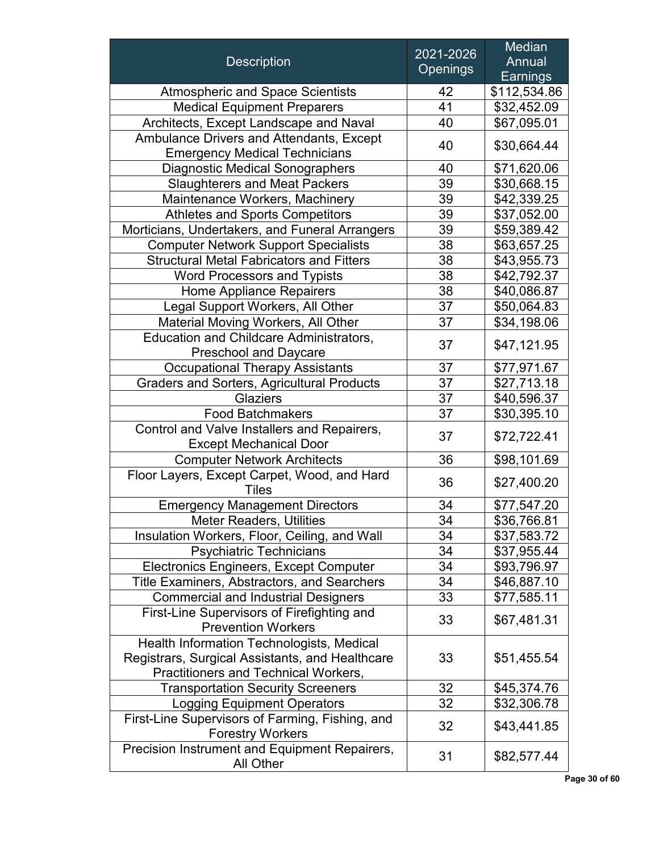|                                                   | 2021-2026       | Median       |
|---------------------------------------------------|-----------------|--------------|
| <b>Description</b>                                | <b>Openings</b> | Annual       |
|                                                   |                 | Earnings     |
| <b>Atmospheric and Space Scientists</b>           | 42              | \$112,534.86 |
| <b>Medical Equipment Preparers</b>                | 41              | \$32,452.09  |
| Architects, Except Landscape and Naval            | 40              | \$67,095.01  |
| Ambulance Drivers and Attendants, Except          | 40              | \$30,664.44  |
| <b>Emergency Medical Technicians</b>              |                 |              |
| <b>Diagnostic Medical Sonographers</b>            | 40              | \$71,620.06  |
| <b>Slaughterers and Meat Packers</b>              | 39              | \$30,668.15  |
| Maintenance Workers, Machinery                    | 39              | \$42,339.25  |
| <b>Athletes and Sports Competitors</b>            | 39              | \$37,052.00  |
| Morticians, Undertakers, and Funeral Arrangers    | 39              | \$59,389.42  |
| <b>Computer Network Support Specialists</b>       | 38              | \$63,657.25  |
| <b>Structural Metal Fabricators and Fitters</b>   | 38              | \$43,955.73  |
| <b>Word Processors and Typists</b>                | 38              | \$42,792.37  |
| <b>Home Appliance Repairers</b>                   | 38              | \$40,086.87  |
| Legal Support Workers, All Other                  | 37              | \$50,064.83  |
| <b>Material Moving Workers, All Other</b>         | 37              | \$34,198.06  |
| <b>Education and Childcare Administrators,</b>    |                 |              |
| <b>Preschool and Daycare</b>                      | 37              | \$47,121.95  |
| <b>Occupational Therapy Assistants</b>            | 37              | \$77,971.67  |
| <b>Graders and Sorters, Agricultural Products</b> | 37              | \$27,713.18  |
| <b>Glaziers</b>                                   | 37              | \$40,596.37  |
| <b>Food Batchmakers</b>                           | 37              | \$30,395.10  |
| Control and Valve Installers and Repairers,       |                 |              |
| <b>Except Mechanical Door</b>                     | 37              | \$72,722.41  |
| <b>Computer Network Architects</b>                | 36              | \$98,101.69  |
| Floor Layers, Except Carpet, Wood, and Hard       |                 |              |
| <b>Tiles</b>                                      | 36              | \$27,400.20  |
| <b>Emergency Management Directors</b>             | 34              | \$77,547.20  |
| <b>Meter Readers, Utilities</b>                   | 34              | \$36,766.81  |
| Insulation Workers, Floor, Ceiling, and Wall      | 34              | \$37,583.72  |
| <b>Psychiatric Technicians</b>                    | 34              | \$37,955.44  |
| Electronics Engineers, Except Computer            | 34              | \$93,796.97  |
| Title Examiners, Abstractors, and Searchers       | 34              | \$46,887.10  |
| <b>Commercial and Industrial Designers</b>        | 33              | \$77,585.11  |
| First-Line Supervisors of Firefighting and        |                 |              |
| <b>Prevention Workers</b>                         | 33              | \$67,481.31  |
| Health Information Technologists, Medical         |                 |              |
| Registrars, Surgical Assistants, and Healthcare   | 33              | \$51,455.54  |
| Practitioners and Technical Workers,              |                 |              |
| <b>Transportation Security Screeners</b>          | 32              | \$45,374.76  |
| <b>Logging Equipment Operators</b>                | 32              | \$32,306.78  |
| First-Line Supervisors of Farming, Fishing, and   |                 |              |
| <b>Forestry Workers</b>                           | 32              | \$43,441.85  |
| Precision Instrument and Equipment Repairers,     | 31              |              |
| All Other                                         |                 | \$82,577.44  |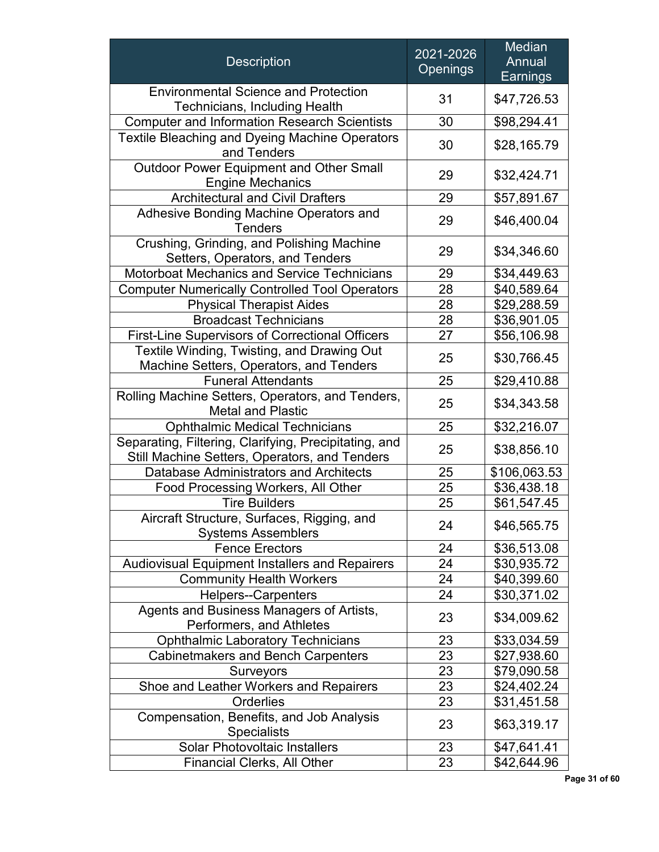| <b>Description</b>                                                                                     | 2021-2026<br><b>Openings</b> | <b>Median</b><br>Annual<br>Earnings |
|--------------------------------------------------------------------------------------------------------|------------------------------|-------------------------------------|
| <b>Environmental Science and Protection</b><br>Technicians, Including Health                           | 31                           | \$47,726.53                         |
| <b>Computer and Information Research Scientists</b>                                                    | 30                           | \$98,294.41                         |
| Textile Bleaching and Dyeing Machine Operators<br>and Tenders                                          | 30                           | \$28,165.79                         |
| <b>Outdoor Power Equipment and Other Small</b><br><b>Engine Mechanics</b>                              | 29                           | \$32,424.71                         |
| <b>Architectural and Civil Drafters</b>                                                                | 29                           | \$57,891.67                         |
| Adhesive Bonding Machine Operators and<br><b>Tenders</b>                                               | 29                           | \$46,400.04                         |
| Crushing, Grinding, and Polishing Machine<br>Setters, Operators, and Tenders                           | 29                           | \$34,346.60                         |
| <b>Motorboat Mechanics and Service Technicians</b>                                                     | 29                           | \$34,449.63                         |
| <b>Computer Numerically Controlled Tool Operators</b>                                                  | 28                           | \$40,589.64                         |
| <b>Physical Therapist Aides</b>                                                                        | 28                           | \$29,288.59                         |
| <b>Broadcast Technicians</b>                                                                           | 28                           | \$36,901.05                         |
| <b>First-Line Supervisors of Correctional Officers</b>                                                 | 27                           | \$56,106.98                         |
| Textile Winding, Twisting, and Drawing Out<br>Machine Setters, Operators, and Tenders                  | 25                           | \$30,766.45                         |
| <b>Funeral Attendants</b>                                                                              | 25                           | \$29,410.88                         |
| Rolling Machine Setters, Operators, and Tenders,<br><b>Metal and Plastic</b>                           | 25                           | \$34,343.58                         |
| <b>Ophthalmic Medical Technicians</b>                                                                  | 25                           | \$32,216.07                         |
| Separating, Filtering, Clarifying, Precipitating, and<br>Still Machine Setters, Operators, and Tenders | 25                           | \$38,856.10                         |
| Database Administrators and Architects                                                                 | 25                           | \$106,063.53                        |
| Food Processing Workers, All Other                                                                     | 25                           | \$36,438.18                         |
| <b>Tire Builders</b>                                                                                   | 25                           | \$61,547.45                         |
| Aircraft Structure, Surfaces, Rigging, and<br><b>Systems Assemblers</b>                                | 24                           | \$46,565.75                         |
| <b>Fence Erectors</b>                                                                                  | 24                           | \$36,513.08                         |
| <b>Audiovisual Equipment Installers and Repairers</b>                                                  | 24                           | \$30,935.72                         |
| <b>Community Health Workers</b>                                                                        | 24                           | \$40,399.60                         |
| <b>Helpers--Carpenters</b>                                                                             | 24                           | \$30,371.02                         |
| Agents and Business Managers of Artists,<br>Performers, and Athletes                                   | 23                           | \$34,009.62                         |
| <b>Ophthalmic Laboratory Technicians</b>                                                               | 23                           | \$33,034.59                         |
| <b>Cabinetmakers and Bench Carpenters</b>                                                              | 23                           | \$27,938.60                         |
| Surveyors                                                                                              | 23                           | \$79,090.58                         |
| Shoe and Leather Workers and Repairers                                                                 | 23                           | \$24,402.24                         |
| Orderlies                                                                                              | 23                           | \$31,451.58                         |
| Compensation, Benefits, and Job Analysis<br><b>Specialists</b>                                         | 23                           | \$63,319.17                         |
| <b>Solar Photovoltaic Installers</b>                                                                   | 23                           | \$47,641.41                         |
| <b>Financial Clerks, All Other</b>                                                                     | 23                           | \$42,644.96                         |

**Page 31 of 60**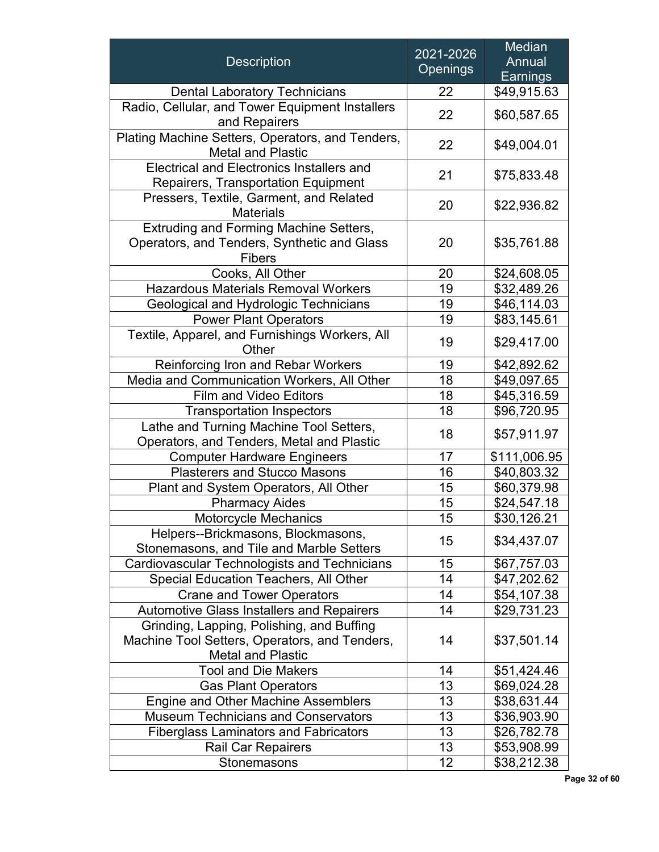| <b>Description</b>                                                                                                     | 2021-2026<br><b>Openings</b> | Median<br>Annual<br>Earnings |
|------------------------------------------------------------------------------------------------------------------------|------------------------------|------------------------------|
| <b>Dental Laboratory Technicians</b>                                                                                   | 22                           | \$49,915.63                  |
| Radio, Cellular, and Tower Equipment Installers<br>and Repairers                                                       | 22                           | \$60,587.65                  |
| Plating Machine Setters, Operators, and Tenders,<br><b>Metal and Plastic</b>                                           | 22                           | \$49,004.01                  |
| Electrical and Electronics Installers and<br><b>Repairers, Transportation Equipment</b>                                | 21                           | \$75,833.48                  |
| Pressers, Textile, Garment, and Related<br><b>Materials</b>                                                            | 20                           | \$22,936.82                  |
| Extruding and Forming Machine Setters,<br>Operators, and Tenders, Synthetic and Glass<br><b>Fibers</b>                 | 20                           | \$35,761.88                  |
| Cooks, All Other                                                                                                       | 20                           | \$24,608.05                  |
| <b>Hazardous Materials Removal Workers</b>                                                                             | 19                           | \$32,489.26                  |
| Geological and Hydrologic Technicians                                                                                  | 19                           | \$46,114.03                  |
| <b>Power Plant Operators</b>                                                                                           | 19                           | \$83,145.61                  |
| Textile, Apparel, and Furnishings Workers, All<br>Other                                                                | 19                           | \$29,417.00                  |
| <b>Reinforcing Iron and Rebar Workers</b>                                                                              | 19                           | \$42,892.62                  |
| Media and Communication Workers, All Other                                                                             | 18                           | \$49,097.65                  |
| <b>Film and Video Editors</b>                                                                                          | 18                           | \$45,316.59                  |
| <b>Transportation Inspectors</b>                                                                                       | 18                           | \$96,720.95                  |
| Lathe and Turning Machine Tool Setters,<br>Operators, and Tenders, Metal and Plastic                                   | 18                           | \$57,911.97                  |
| <b>Computer Hardware Engineers</b>                                                                                     | 17                           | \$111,006.95                 |
| <b>Plasterers and Stucco Masons</b>                                                                                    | 16                           | \$40,803.32                  |
| Plant and System Operators, All Other                                                                                  | 15                           | \$60,379.98                  |
| <b>Pharmacy Aides</b>                                                                                                  | 15                           | \$24,547.18                  |
| <b>Motorcycle Mechanics</b>                                                                                            | 15                           | \$30,126.21                  |
| Helpers--Brickmasons, Blockmasons,<br>Stonemasons, and Tile and Marble Setters                                         | 15                           | \$34,437.07                  |
| Cardiovascular Technologists and Technicians                                                                           | 15                           | \$67,757.03                  |
| Special Education Teachers, All Other                                                                                  | 14                           | \$47,202.62                  |
| <b>Crane and Tower Operators</b>                                                                                       | 14                           | \$54,107.38                  |
| <b>Automotive Glass Installers and Repairers</b>                                                                       | 14                           | \$29,731.23                  |
| Grinding, Lapping, Polishing, and Buffing<br>Machine Tool Setters, Operators, and Tenders,<br><b>Metal and Plastic</b> | 14                           | \$37,501.14                  |
| <b>Tool and Die Makers</b>                                                                                             | 14                           | \$51,424.46                  |
| <b>Gas Plant Operators</b>                                                                                             | 13                           | \$69,024.28                  |
| <b>Engine and Other Machine Assemblers</b>                                                                             | 13                           | \$38,631.44                  |
| <b>Museum Technicians and Conservators</b>                                                                             | 13                           | \$36,903.90                  |
| <b>Fiberglass Laminators and Fabricators</b>                                                                           | 13                           | \$26,782.78                  |
| <b>Rail Car Repairers</b>                                                                                              | 13                           | \$53,908.99                  |
| <b>Stonemasons</b>                                                                                                     | 12                           | \$38,212.38                  |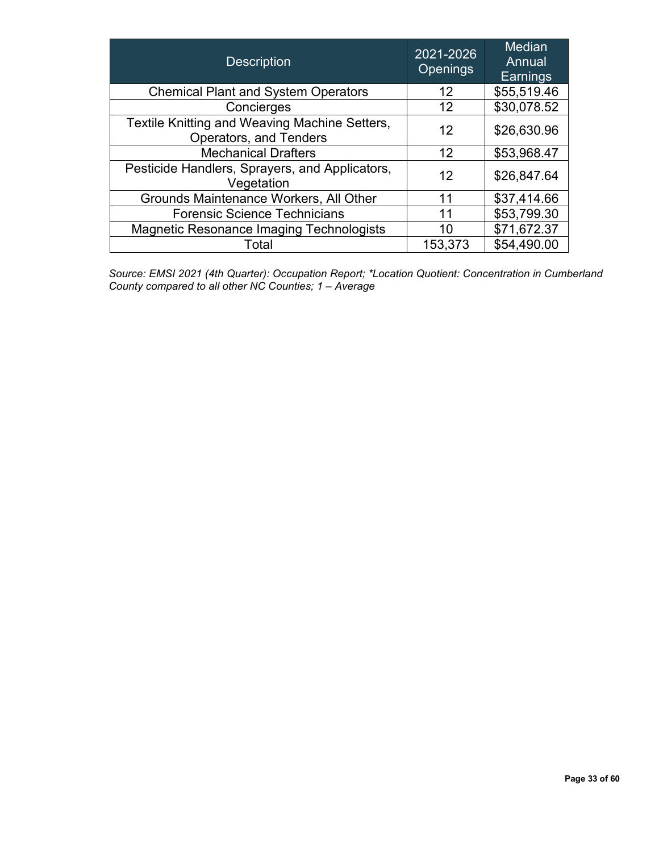| 2021-2026<br><b>Description</b><br><b>Openings</b>                      |         | <b>Median</b><br>Annual<br>Earnings |
|-------------------------------------------------------------------------|---------|-------------------------------------|
| <b>Chemical Plant and System Operators</b>                              | 12      | \$55,519.46                         |
| Concierges                                                              | 12      | \$30,078.52                         |
| Textile Knitting and Weaving Machine Setters,<br>Operators, and Tenders | 12      | \$26,630.96                         |
| <b>Mechanical Drafters</b>                                              | 12      | \$53,968.47                         |
| Pesticide Handlers, Sprayers, and Applicators,<br>Vegetation            | 12      | \$26,847.64                         |
| Grounds Maintenance Workers, All Other                                  | 11      | \$37,414.66                         |
| <b>Forensic Science Technicians</b>                                     | 11      | \$53,799.30                         |
| <b>Magnetic Resonance Imaging Technologists</b>                         | 10      | \$71,672.37                         |
| Total                                                                   | 153,373 | \$54,490.00                         |

 *Source: EMSI 2021 (4th Quarter): Occupation Report; \*Location Quotient: Concentration in Cumberland County compared to all other NC Counties; 1 – Average*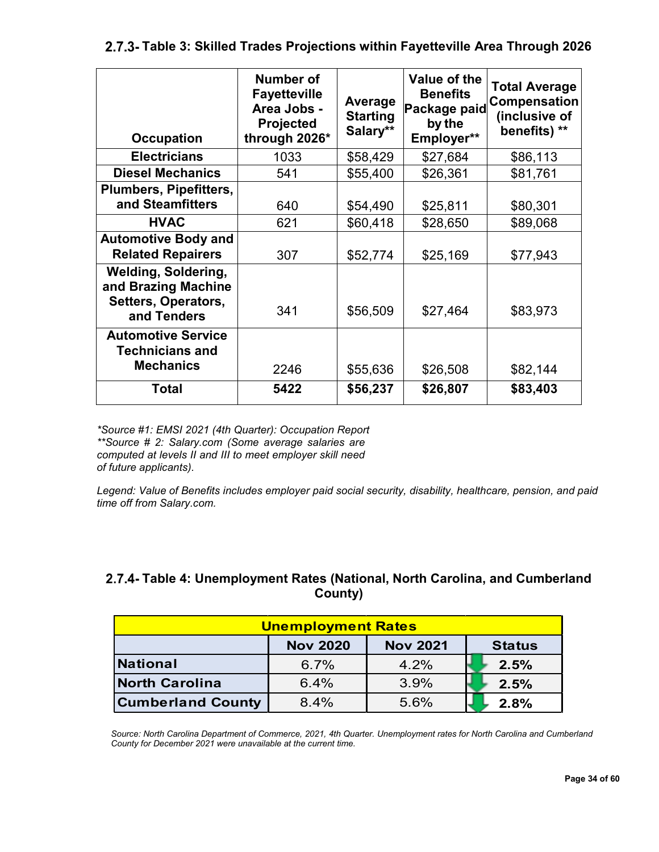<span id="page-33-0"></span>**Table 3: Skilled Trades Projections within Fayetteville Area Through 2026**

| <b>Occupation</b>                                                                       | Number of<br><b>Fayetteville</b><br>Area Jobs -<br>Projected<br>through 2026* | Average<br><b>Starting</b><br>Salary** | Value of the<br><b>Benefits</b><br>Package paid<br>by the<br>Employer** | <b>Total Average</b><br>Compensation<br>(inclusive of<br>benefits) ** |
|-----------------------------------------------------------------------------------------|-------------------------------------------------------------------------------|----------------------------------------|-------------------------------------------------------------------------|-----------------------------------------------------------------------|
| <b>Electricians</b>                                                                     | 1033                                                                          | \$58,429                               | \$27,684                                                                | \$86,113                                                              |
| <b>Diesel Mechanics</b>                                                                 | 541                                                                           | \$55,400                               | \$26,361                                                                | \$81,761                                                              |
| <b>Plumbers, Pipefitters,</b><br>and Steamfitters                                       | 640                                                                           | \$54,490                               | \$25,811                                                                | \$80,301                                                              |
| <b>HVAC</b>                                                                             | 621                                                                           | \$60,418                               | \$28,650                                                                | \$89,068                                                              |
| <b>Automotive Body and</b><br><b>Related Repairers</b>                                  | 307                                                                           | \$52,774                               | \$25,169                                                                | \$77,943                                                              |
| <b>Welding, Soldering,</b><br>and Brazing Machine<br>Setters, Operators,<br>and Tenders | 341                                                                           | \$56,509                               | \$27,464                                                                | \$83,973                                                              |
| <b>Automotive Service</b><br><b>Technicians and</b><br><b>Mechanics</b>                 | 2246                                                                          | \$55,636                               | \$26,508                                                                | \$82,144                                                              |
| <b>Total</b>                                                                            | 5422                                                                          | \$56,237                               | \$26,807                                                                | \$83,403                                                              |

*\*Source #1: EMSI 2021 (4th Quarter): Occupation Report \*\*Source # 2: Salary.com (Some average salaries are computed at levels II and III to meet employer skill need of future applicants).*

*Legend: Value of Benefits includes employer paid social security, disability, healthcare, pension, and paid time off from Salary.com.*

#### <span id="page-33-1"></span>**Table 4: Unemployment Rates (National, North Carolina, and Cumberland County)**

| <b>Unemployment Rates</b>                           |      |      |      |  |  |  |
|-----------------------------------------------------|------|------|------|--|--|--|
| <b>Nov 2021</b><br><b>Nov 2020</b><br><b>Status</b> |      |      |      |  |  |  |
| <b>National</b>                                     | 6.7% | 4.2% | 2.5% |  |  |  |
| North Carolina                                      | 6.4% | 3.9% | 2.5% |  |  |  |
| <b>Cumberland County</b>                            | 8.4% | 5.6% | 2.8% |  |  |  |

*Source: North Carolina Department of Commerce, 2021, 4th Quarter. Unemployment rates for North Carolina and Cumberland County for December 2021 were unavailable at the current time.*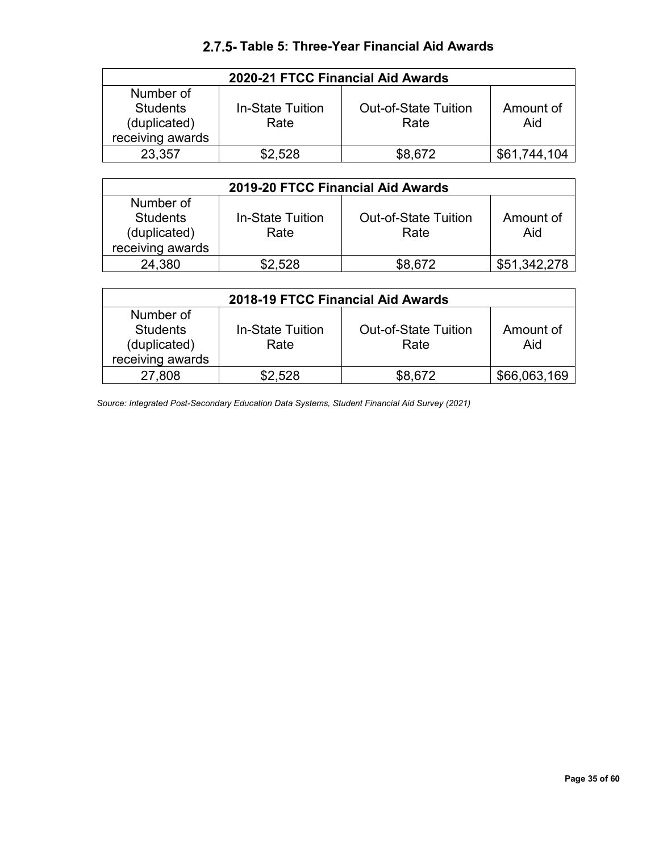#### **Table 5: Three-Year Financial Aid Awards**

<span id="page-34-0"></span>

| 2020-21 FTCC Financial Aid Awards                                |                                 |                                     |                  |  |  |
|------------------------------------------------------------------|---------------------------------|-------------------------------------|------------------|--|--|
| Number of<br><b>Students</b><br>(duplicated)<br>receiving awards | <b>In-State Tuition</b><br>Rate | <b>Out-of-State Tuition</b><br>Rate | Amount of<br>Aid |  |  |
| 23.357                                                           | \$2.528                         | \$8,672                             | \$61,744,104     |  |  |

| 2019-20 FTCC Financial Aid Awards                                |                                 |                                     |                  |  |  |
|------------------------------------------------------------------|---------------------------------|-------------------------------------|------------------|--|--|
| Number of<br><b>Students</b><br>(duplicated)<br>receiving awards | <b>In-State Tuition</b><br>Rate | <b>Out-of-State Tuition</b><br>Rate | Amount of<br>Aid |  |  |
| 24,380                                                           | \$2.528                         | \$8.672                             | \$51.342.278     |  |  |

| 2018-19 FTCC Financial Aid Awards |                  |                             |              |  |  |
|-----------------------------------|------------------|-----------------------------|--------------|--|--|
| Number of                         |                  |                             |              |  |  |
| <b>Students</b>                   | In-State Tuition | <b>Out-of-State Tuition</b> | Amount of    |  |  |
| (duplicated)                      | Rate             | Rate                        | Aid          |  |  |
| receiving awards                  |                  |                             |              |  |  |
| 27,808                            | \$2,528          | \$8,672                     | \$66,063,169 |  |  |

*Source: Integrated Post-Secondary Education Data Systems, Student Financial Aid Survey (2021)*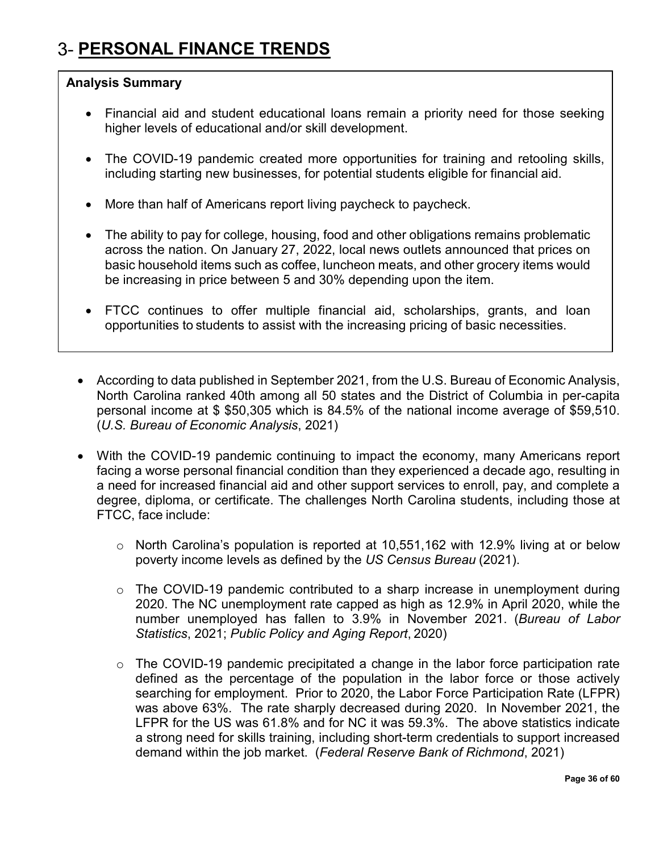## <span id="page-35-0"></span>**PERSONAL FINANCE TRENDS**

#### **Analysis Summary**

- Financial aid and student educational loans remain a priority need for those seeking higher levels of educational and/or skill development.
- The COVID-19 pandemic created more opportunities for training and retooling skills, including starting new businesses, for potential students eligible for financial aid.
- More than half of Americans report living paycheck to paycheck.
- The ability to pay for college, housing, food and other obligations remains problematic across the nation. On January 27, 2022, local news outlets announced that prices on basic household items such as coffee, luncheon meats, and other grocery items would be increasing in price between 5 and 30% depending upon the item.
- FTCC continues to offer multiple financial aid, scholarships, grants, and loan opportunities to students to assist with the increasing pricing of basic necessities.
- According to data published in September 2021, from the U.S. Bureau of Economic Analysis, North Carolina ranked 40th among all 50 states and the District of Columbia in per-capita personal income at \$ \$50,305 which is 84.5% of the national income average of \$59,510. (*U.S. Bureau of Economic Analysis*, 2021)
- With the COVID-19 pandemic continuing to impact the economy, many Americans report facing a worse personal financial condition than they experienced a decade ago, resulting in a need for increased financial aid and other support services to enroll, pay, and complete a degree, diploma, or certificate. The challenges North Carolina students, including those at FTCC, face include:
	- o North Carolina's population is reported at 10,551,162 with 12.9% living at or below poverty income levels as defined by the *US Census Bureau* (2021).
	- o The COVID-19 pandemic contributed to a sharp increase in unemployment during 2020. The NC unemployment rate capped as high as 12.9% in April 2020, while the number unemployed has fallen to 3.9% in November 2021. (*Bureau of Labor Statistics*, 2021; *Public Policy and Aging Report*, 2020)
	- $\circ$  The COVID-19 pandemic precipitated a change in the labor force participation rate defined as the percentage of the population in the labor force or those actively searching for employment. Prior to 2020, the Labor Force Participation Rate (LFPR) was above 63%. The rate sharply decreased during 2020. In November 2021, the LFPR for the US was 61.8% and for NC it was 59.3%. The above statistics indicate a strong need for skills training, including short-term credentials to support increased demand within the job market. (*Federal Reserve Bank of Richmond*, 2021)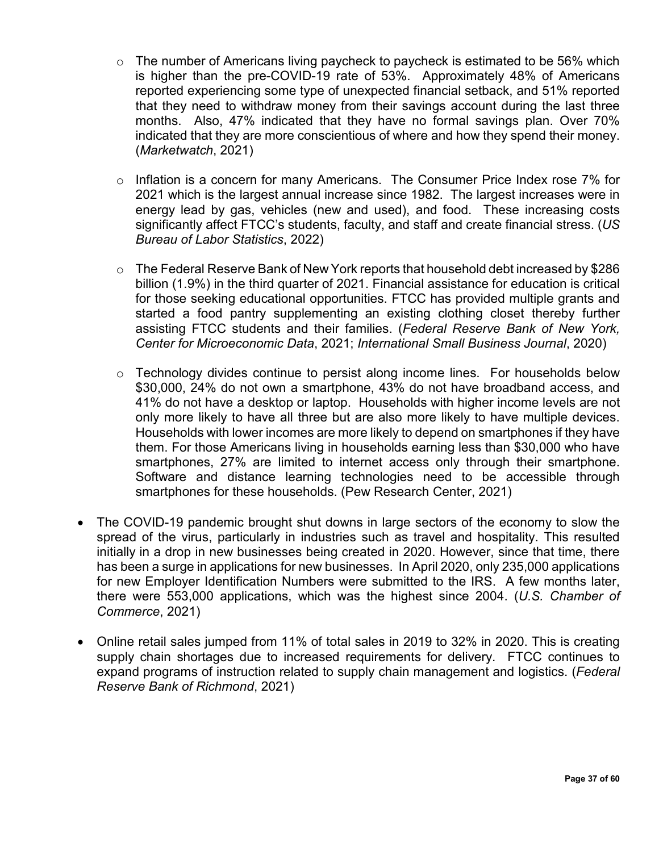- $\circ$  The number of Americans living paycheck to paycheck is estimated to be 56% which is higher than the pre-COVID-19 rate of 53%. Approximately 48% of Americans reported experiencing some type of unexpected financial setback, and 51% reported that they need to withdraw money from their savings account during the last three months. Also, 47% indicated that they have no formal savings plan. Over 70% indicated that they are more conscientious of where and how they spend their money. (*Marketwatch*, 2021)
- o Inflation is a concern for many Americans. The Consumer Price Index rose 7% for 2021 which is the largest annual increase since 1982. The largest increases were in energy lead by gas, vehicles (new and used), and food. These increasing costs significantly affect FTCC's students, faculty, and staff and create financial stress. (*US Bureau of Labor Statistics*, 2022)
- o The Federal Reserve Bank of New York reports that household debt increased by \$286 billion (1.9%) in the third quarter of 2021. Financial assistance for education is critical for those seeking educational opportunities. FTCC has provided multiple grants and started a food pantry supplementing an existing clothing closet thereby further assisting FTCC students and their families. (*Federal Reserve Bank of New York, Center for Microeconomic Data*, 2021; *International Small Business Journal*, 2020)
- o Technology divides continue to persist along income lines. For households below \$30,000, 24% do not own a smartphone, 43% do not have broadband access, and 41% do not have a desktop or laptop. Households with higher income levels are not only more likely to have all three but are also more likely to have multiple devices. Households with lower incomes are more likely to depend on smartphones if they have them. For those Americans living in households earning less than \$30,000 who have smartphones, 27% are limited to internet access only through their smartphone. Software and distance learning technologies need to be accessible through smartphones for these households. (Pew Research Center, 2021)
- The COVID-19 pandemic brought shut downs in large sectors of the economy to slow the spread of the virus, particularly in industries such as travel and hospitality. This resulted initially in a drop in new businesses being created in 2020. However, since that time, there has been a surge in applications for new businesses. In April 2020, only 235,000 applications for new Employer Identification Numbers were submitted to the IRS. A few months later, there were 553,000 applications, which was the highest since 2004. (*U.S. Chamber of Commerce*, 2021)
- Online retail sales jumped from 11% of total sales in 2019 to 32% in 2020. This is creating supply chain shortages due to increased requirements for delivery. FTCC continues to expand programs of instruction related to supply chain management and logistics. (*Federal Reserve Bank of Richmond*, 2021)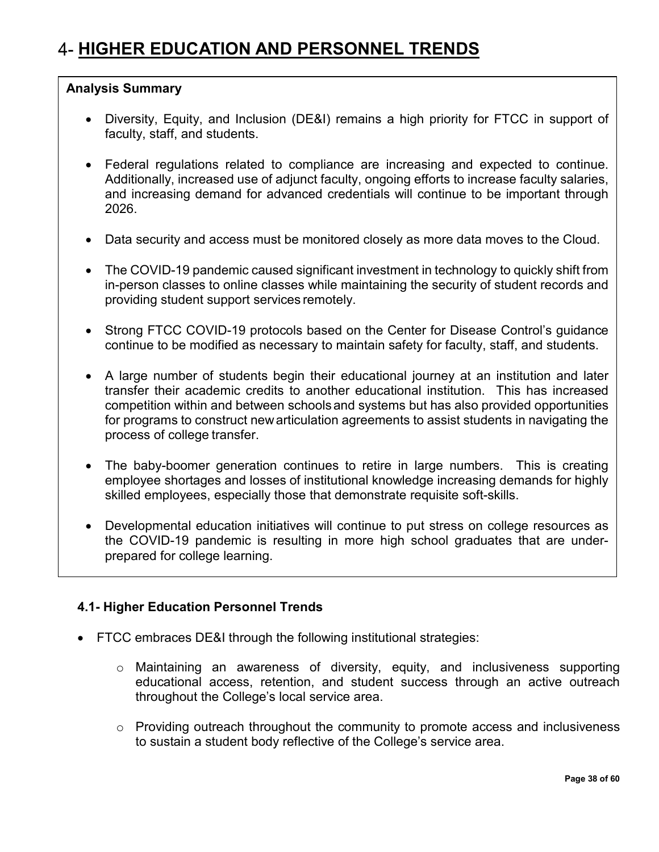#### <span id="page-37-0"></span>**Analysis Summary**

- Diversity, Equity, and Inclusion (DE&I) remains a high priority for FTCC in support of faculty, staff, and students.
- Federal regulations related to compliance are increasing and expected to continue. Additionally, increased use of adjunct faculty, ongoing efforts to increase faculty salaries, and increasing demand for advanced credentials will continue to be important through 2026.
- Data security and access must be monitored closely as more data moves to the Cloud.
- The COVID-19 pandemic caused significant investment in technology to quickly shift from in-person classes to online classes while maintaining the security of student records and providing student support services remotely.
- Strong FTCC COVID-19 protocols based on the Center for Disease Control's guidance continue to be modified as necessary to maintain safety for faculty, staff, and students.
- A large number of students begin their educational journey at an institution and later transfer their academic credits to another educational institution. This has increased competition within and between schools and systems but has also provided opportunities for programs to construct newarticulation agreements to assist students in navigating the process of college transfer.
- The baby-boomer generation continues to retire in large numbers. This is creating employee shortages and losses of institutional knowledge increasing demands for highly skilled employees, especially those that demonstrate requisite soft-skills.
- Developmental education initiatives will continue to put stress on college resources as the COVID-19 pandemic is resulting in more high school graduates that are underprepared for college learning.

#### <span id="page-37-1"></span>**4.1- Higher Education Personnel Trends**

- FTCC embraces DE&I through the following institutional strategies:
	- o Maintaining an awareness of diversity, equity, and inclusiveness supporting educational access, retention, and student success through an active outreach throughout the College's local service area.
	- o Providing outreach throughout the community to promote access and inclusiveness to sustain a student body reflective of the College's service area.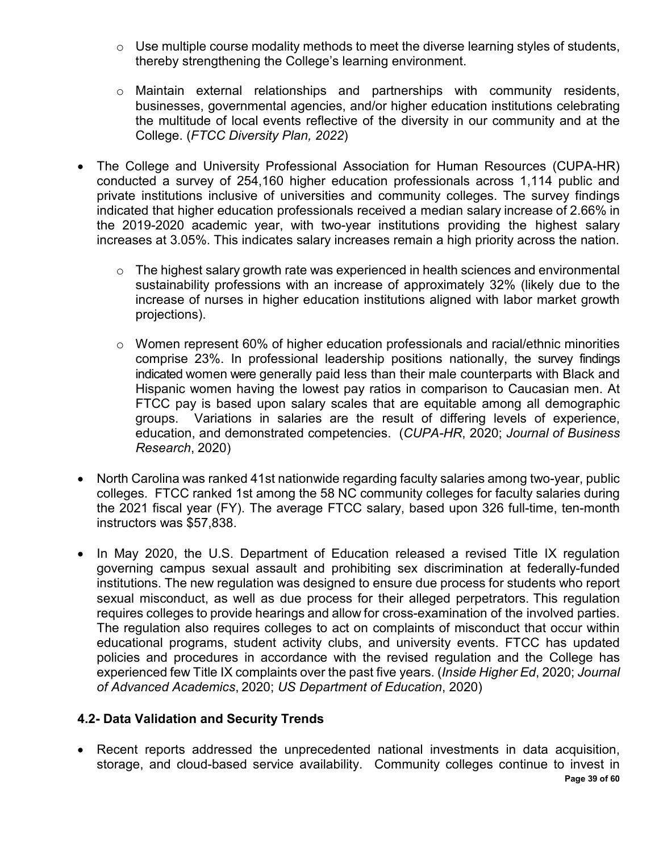- $\circ$  Use multiple course modality methods to meet the diverse learning styles of students, thereby strengthening the College's learning environment.
- o Maintain external relationships and partnerships with community residents, businesses, governmental agencies, and/or higher education institutions celebrating the multitude of local events reflective of the diversity in our community and at the College. (*FTCC Diversity Plan, 2022*)
- The College and University Professional Association for Human Resources (CUPA-HR) conducted a survey of 254,160 higher education professionals across 1,114 public and private institutions inclusive of universities and community colleges. The survey findings indicated that higher education professionals received a median salary increase of 2.66% in the 2019-2020 academic year, with two-year institutions providing the highest salary increases at 3.05%. This indicates salary increases remain a high priority across the nation.
	- o The highest salary growth rate was experienced in health sciences and environmental sustainability professions with an increase of approximately 32% (likely due to the increase of nurses in higher education institutions aligned with labor market growth projections).
	- o Women represent 60% of higher education professionals and racial/ethnic minorities comprise 23%. In professional leadership positions nationally, the survey findings indicated women were generally paid less than their male counterparts with Black and Hispanic women having the lowest pay ratios in comparison to Caucasian men. At FTCC pay is based upon salary scales that are equitable among all demographic groups. Variations in salaries are the result of differing levels of experience, education, and demonstrated competencies. (*CUPA-HR*, 2020; *Journal of Business Research*, 2020)
- North Carolina was ranked 41st nationwide regarding faculty salaries among two-year, public colleges. FTCC ranked 1st among the 58 NC community colleges for faculty salaries during the 2021 fiscal year (FY). The average FTCC salary, based upon 326 full-time, ten-month instructors was \$57,838.
- In May 2020, the U.S. Department of Education released a revised Title IX regulation governing campus sexual assault and prohibiting sex discrimination at federally-funded institutions. The new regulation was designed to ensure due process for students who report sexual misconduct, as well as due process for their alleged perpetrators. This regulation requires colleges to provide hearings and allow for cross-examination of the involved parties. The regulation also requires colleges to act on complaints of misconduct that occur within educational programs, student activity clubs, and university events. FTCC has updated policies and procedures in accordance with the revised regulation and the College has experienced few Title IX complaints over the past five years. (*Inside Higher Ed*, 2020; *Journal of Advanced Academics*, 2020; *US Department of Education*, 2020)

#### <span id="page-38-0"></span>**4.2- Data Validation and Security Trends**

**Page 39 of 60** • Recent reports addressed the unprecedented national investments in data acquisition, storage, and cloud-based service availability. Community colleges continue to invest in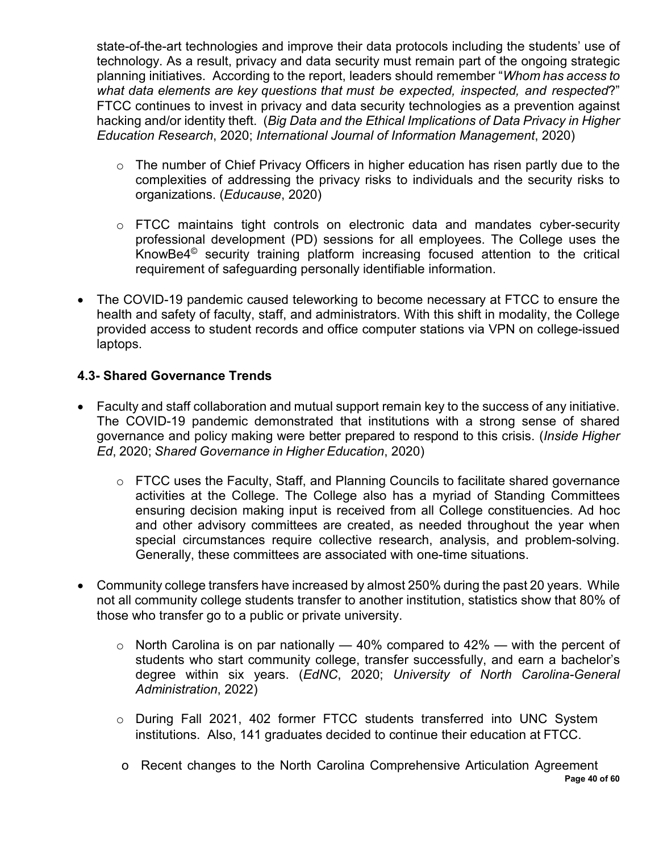state-of-the-art technologies and improve their data protocols including the students' use of technology. As a result, privacy and data security must remain part of the ongoing strategic planning initiatives. According to the report, leaders should remember "*Whom has access to what data elements are key questions that must be expected, inspected, and respected*?" FTCC continues to invest in privacy and data security technologies as a prevention against hacking and/or identity theft. (*Big Data and the Ethical Implications of Data Privacy in Higher Education Research*, 2020; *International Journal of Information Management*, 2020)

- o The number of Chief Privacy Officers in higher education has risen partly due to the complexities of addressing the privacy risks to individuals and the security risks to organizations. (*Educause*, 2020)
- o FTCC maintains tight controls on electronic data and mandates cyber-security professional development (PD) sessions for all employees. The College uses the KnowBe4© security training platform increasing focused attention to the critical requirement of safeguarding personally identifiable information.
- The COVID-19 pandemic caused teleworking to become necessary at FTCC to ensure the health and safety of faculty, staff, and administrators. With this shift in modality, the College provided access to student records and office computer stations via VPN on college-issued laptops.

#### <span id="page-39-0"></span>**4.3- Shared Governance Trends**

- Faculty and staff collaboration and mutual support remain key to the success of any initiative. The COVID-19 pandemic demonstrated that institutions with a strong sense of shared governance and policy making were better prepared to respond to this crisis. (*Inside Higher Ed*, 2020; *Shared Governance in Higher Education*, 2020)
	- o FTCC uses the Faculty, Staff, and Planning Councils to facilitate shared governance activities at the College. The College also has a myriad of Standing Committees ensuring decision making input is received from all College constituencies. Ad hoc and other advisory committees are created, as needed throughout the year when special circumstances require collective research, analysis, and problem-solving. Generally, these committees are associated with one-time situations.
- Community college transfers have increased by almost 250% during the past 20 years. While not all community college students transfer to another institution, statistics show that 80% of those who transfer go to a public or private university.
	- $\circ$  North Carolina is on par nationally  $-40\%$  compared to 42%  $-$  with the percent of students who start community college, transfer successfully, and earn a bachelor's degree within six years. (*EdNC*, 2020; *University of North Carolina-General Administration*, 2022)
	- o During Fall 2021, 402 former FTCC students transferred into UNC System institutions. Also, 141 graduates decided to continue their education at FTCC.
	- **Page 40 of 60** o Recent changes to the North Carolina Comprehensive Articulation Agreement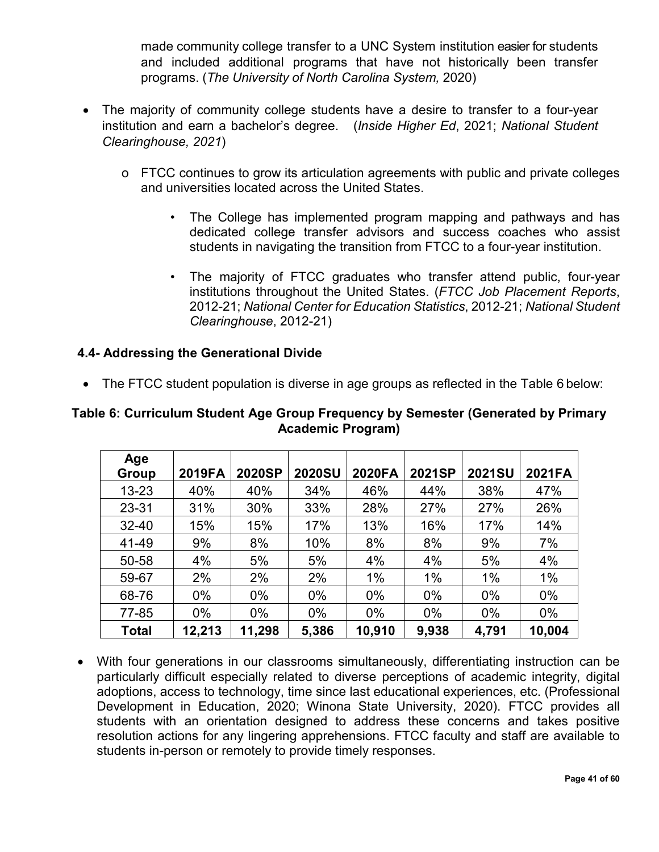made community college transfer to a UNC System institution easier for students and included additional programs that have not historically been transfer programs. (*The University of North Carolina System,* 2020)

- The majority of community college students have a desire to transfer to a four-year institution and earn a bachelor's degree. (*Inside Higher Ed*, 2021; *National Student Clearinghouse, 2021*)
	- o FTCC continues to grow its articulation agreements with public and private colleges and universities located across the United States.
		- The College has implemented program mapping and pathways and has dedicated college transfer advisors and success coaches who assist students in navigating the transition from FTCC to a four-year institution.
		- The majority of FTCC graduates who transfer attend public, four-year institutions throughout the United States. (*FTCC Job Placement Reports*, 2012-21; *National Center for Education Statistics*, 2012-21; *National Student Clearinghouse*, 2012-21)

#### <span id="page-40-0"></span>**4.4- Addressing the Generational Divide**

• The FTCC student population is diverse in age groups as reflected in the Table 6 below:

| Age          |        |        |               |        |        |               |        |
|--------------|--------|--------|---------------|--------|--------|---------------|--------|
| <b>Group</b> | 2019FA | 2020SP | <b>2020SU</b> | 2020FA | 2021SP | <b>2021SU</b> | 2021FA |
| $13 - 23$    | 40%    | 40%    | 34%           | 46%    | 44%    | 38%           | 47%    |
| 23-31        | 31%    | 30%    | 33%           | 28%    | 27%    | 27%           | 26%    |
| $32 - 40$    | 15%    | 15%    | 17%           | 13%    | 16%    | 17%           | 14%    |
| 41-49        | 9%     | 8%     | 10%           | 8%     | 8%     | 9%            | 7%     |
| 50-58        | 4%     | 5%     | 5%            | 4%     | 4%     | 5%            | 4%     |
| 59-67        | 2%     | 2%     | 2%            | 1%     | 1%     | 1%            | 1%     |
| 68-76        | $0\%$  | $0\%$  | $0\%$         | $0\%$  | $0\%$  | $0\%$         | $0\%$  |
| 77-85        | $0\%$  | $0\%$  | $0\%$         | $0\%$  | 0%     | $0\%$         | $0\%$  |
| Total        | 12,213 | 11,298 | 5,386         | 10,910 | 9,938  | 4,791         | 10,004 |

#### **Table 6: Curriculum Student Age Group Frequency by Semester (Generated by Primary Academic Program)**

• With four generations in our classrooms simultaneously, differentiating instruction can be particularly difficult especially related to diverse perceptions of academic integrity, digital adoptions, access to technology, time since last educational experiences, etc. (Professional Development in Education, 2020; Winona State University, 2020). FTCC provides all students with an orientation designed to address these concerns and takes positive resolution actions for any lingering apprehensions. FTCC faculty and staff are available to students in-person or remotely to provide timely responses.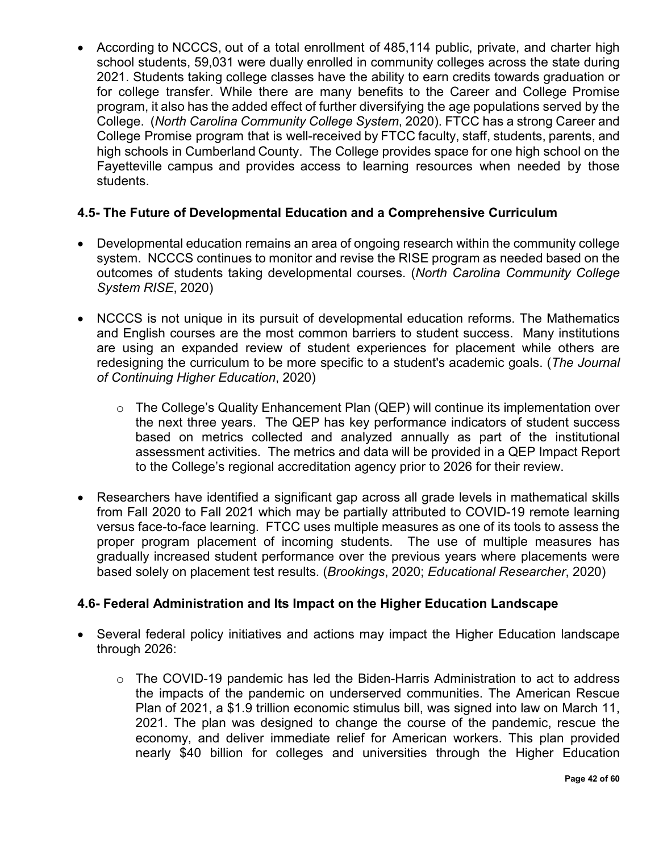• According to NCCCS, out of a total enrollment of 485,114 public, private, and charter high school students, 59,031 were dually enrolled in community colleges across the state during 2021. Students taking college classes have the ability to earn credits towards graduation or for college transfer. While there are many benefits to the Career and College Promise program, it also has the added effect of further diversifying the age populations served by the College. (*North Carolina Community College System*, 2020). FTCC has a strong Career and College Promise program that is well-received by FTCC faculty, staff, students, parents, and high schools in Cumberland County. The College provides space for one high school on the Fayetteville campus and provides access to learning resources when needed by those students.

#### <span id="page-41-0"></span>**4.5- The Future of Developmental Education and a Comprehensive Curriculum**

- Developmental education remains an area of ongoing research within the community college system. NCCCS continues to monitor and revise the RISE program as needed based on the outcomes of students taking developmental courses. (*North Carolina Community College System RISE*, 2020)
- NCCCS is not unique in its pursuit of developmental education reforms. The Mathematics and English courses are the most common barriers to student success. Many institutions are using an expanded review of student experiences for placement while others are redesigning the curriculum to be more specific to a student's academic goals. (*The Journal of Continuing Higher Education*, 2020)
	- o The College's Quality Enhancement Plan (QEP) will continue its implementation over the next three years. The QEP has key performance indicators of student success based on metrics collected and analyzed annually as part of the institutional assessment activities. The metrics and data will be provided in a QEP Impact Report to the College's regional accreditation agency prior to 2026 for their review.
- Researchers have identified a significant gap across all grade levels in mathematical skills from Fall 2020 to Fall 2021 which may be partially attributed to COVID-19 remote learning versus face-to-face learning. FTCC uses multiple measures as one of its tools to assess the proper program placement of incoming students. The use of multiple measures has gradually increased student performance over the previous years where placements were based solely on placement test results. (*Brookings*, 2020; *Educational Researcher*, 2020)

#### <span id="page-41-1"></span>**4.6- Federal Administration and Its Impact on the Higher Education Landscape**

- Several federal policy initiatives and actions may impact the Higher Education landscape through 2026:
	- o The COVID-19 pandemic has led the Biden-Harris Administration to act to address the impacts of the pandemic on underserved communities. The American Rescue Plan of 2021, a \$1.9 trillion economic stimulus bill, was signed into law on March 11, 2021. The plan was designed to change the course of the pandemic, rescue the economy, and deliver immediate relief for American workers. This plan provided nearly \$40 billion for colleges and universities through the Higher Education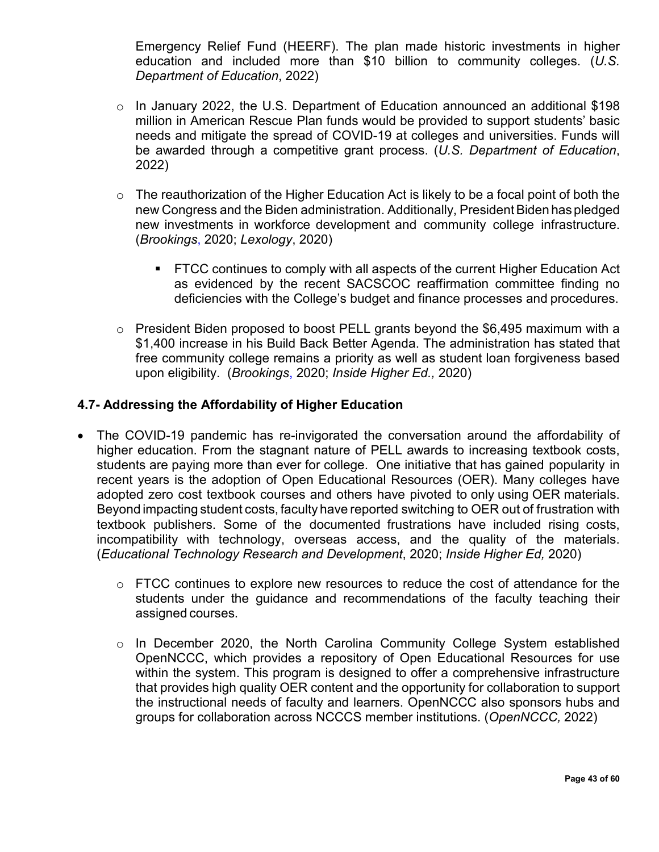Emergency Relief Fund (HEERF). The plan made historic investments in higher education and included more than \$10 billion to community colleges. (*U.S. Department of Education*, 2022)

- o In January 2022, the U.S. Department of Education announced an additional \$198 million in American Rescue Plan funds would be provided to support students' basic needs and mitigate the spread of COVID-19 at colleges and universities. Funds will be awarded through a competitive grant process. (*U.S. Department of Education*, 2022)
- $\circ$  The reauthorization of the Higher Education Act is likely to be a focal point of both the new Congress and the Biden administration. Additionally, President Biden has pledged new investments in workforce development and community college infrastructure. (*Brookings*, 2020; *Lexology*, 2020)
	- **FTCC continues to comply with all aspects of the current Higher Education Act** as evidenced by the recent SACSCOC reaffirmation committee finding no deficiencies with the College's budget and finance processes and procedures.
- o President Biden proposed to boost PELL grants beyond the \$6,495 maximum with a \$1,400 increase in his Build Back Better Agenda. The administration has stated that free community college remains a priority as well as student loan forgiveness based upon eligibility. (*Brookings*, 2020; *Inside Higher Ed.,* 2020)

#### <span id="page-42-0"></span>**4.7- Addressing the Affordability of Higher Education**

- The COVID-19 pandemic has re-invigorated the conversation around the affordability of higher education. From the stagnant nature of PELL awards to increasing textbook costs, students are paying more than ever for college. One initiative that has gained popularity in recent years is the adoption of Open Educational Resources (OER). Many colleges have adopted zero cost textbook courses and others have pivoted to only using OER materials. Beyond impacting student costs, faculty have reported switching to OER out of frustration with textbook publishers. Some of the documented frustrations have included rising costs, incompatibility with technology, overseas access, and the quality of the materials. (*Educational Technology Research and Development*, 2020; *Inside Higher Ed,* 2020)
	- $\circ$  FTCC continues to explore new resources to reduce the cost of attendance for the students under the guidance and recommendations of the faculty teaching their assigned courses.
	- o In December 2020, the North Carolina Community College System established OpenNCCC, which provides a repository of Open Educational Resources for use within the system. This program is designed to offer a comprehensive infrastructure that provides high quality OER content and the opportunity for collaboration to support the instructional needs of faculty and learners. OpenNCCC also sponsors hubs and groups for collaboration across NCCCS member institutions. (*OpenNCCC,* 2022)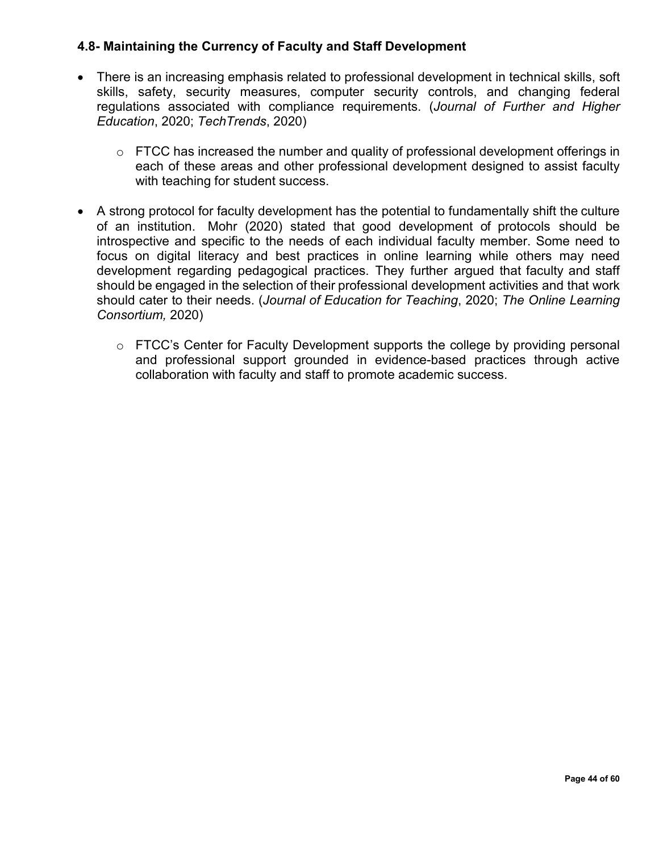#### <span id="page-43-0"></span>**4.8- Maintaining the Currency of Faculty and Staff Development**

- There is an increasing emphasis related to professional development in technical skills, soft skills, safety, security measures, computer security controls, and changing federal regulations associated with compliance requirements. (*Journal of Further and Higher Education*, 2020; *TechTrends*, 2020)
	- o FTCC has increased the number and quality of professional development offerings in each of these areas and other professional development designed to assist faculty with teaching for student success.
- A strong protocol for faculty development has the potential to fundamentally shift the culture of an institution. Mohr (2020) stated that good development of protocols should be introspective and specific to the needs of each individual faculty member. Some need to focus on digital literacy and best practices in online learning while others may need development regarding pedagogical practices. They further argued that faculty and staff should be engaged in the selection of their professional development activities and that work should cater to their needs. (*Journal of Education for Teaching*, 2020; *The Online Learning Consortium,* 2020)
	- o FTCC's Center for Faculty Development supports the college by providing personal and professional support grounded in evidence-based practices through active collaboration with faculty and staff to promote academic success.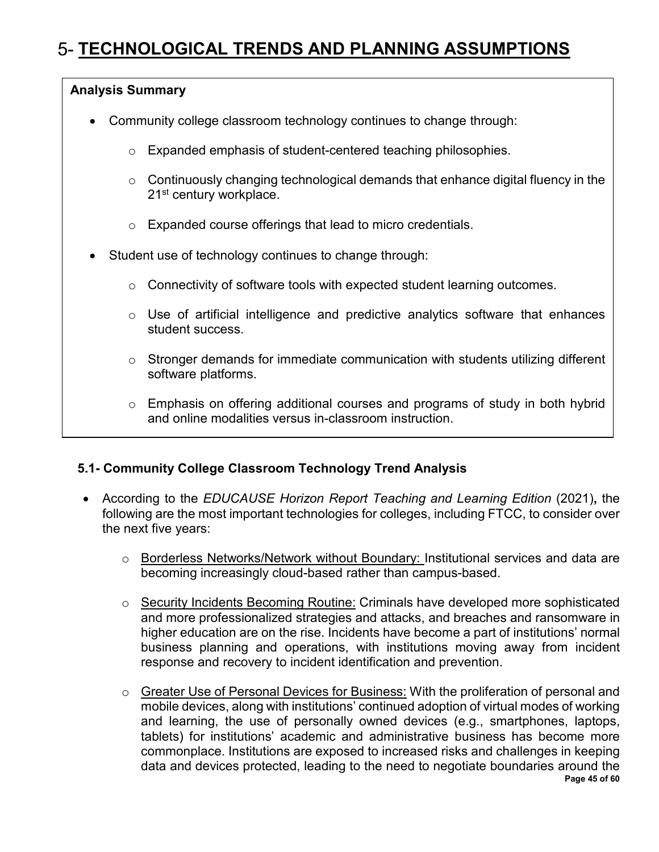## <span id="page-44-0"></span>**TECHNOLOGICAL TRENDS AND PLANNING ASSUMPTIONS**

#### **Analysis Summary**

- Community college classroom technology continues to change through:
	- o Expanded emphasis of student-centered teaching philosophies.
	- $\circ$  Continuously changing technological demands that enhance digital fluency in the 21<sup>st</sup> century workplace.
	- o Expanded course offerings that lead to micro credentials.
- Student use of technology continues to change through:
	- o Connectivity of software tools with expected student learning outcomes.
	- $\circ$  Use of artificial intelligence and predictive analytics software that enhances student success.
	- $\circ$  Stronger demands for immediate communication with students utilizing different software platforms.
	- o Emphasis on offering additional courses and programs of study in both hybrid and online modalities versus in-classroom instruction.

#### <span id="page-44-1"></span>**5.1- Community College Classroom Technology Trend Analysis**

- According to the *EDUCAUSE Horizon Report Teaching and Learning Edition* (2021)**,** the following are the most important technologies for colleges, including FTCC, to consider over the next five years:
	- o Borderless Networks/Network without Boundary: Institutional services and data are becoming increasingly cloud-based rather than campus-based.
	- o Security Incidents Becoming Routine: Criminals have developed more sophisticated and more professionalized strategies and attacks, and breaches and ransomware in higher education are on the rise. Incidents have become a part of institutions' normal business planning and operations, with institutions moving away from incident response and recovery to incident identification and prevention.
	- **Page 45 of 60** o Greater Use of Personal Devices for Business: With the proliferation of personal and mobile devices, along with institutions' continued adoption of virtual modes of working and learning, the use of personally owned devices (e.g., smartphones, laptops, tablets) for institutions' academic and administrative business has become more commonplace. Institutions are exposed to increased risks and challenges in keeping data and devices protected, leading to the need to negotiate boundaries around the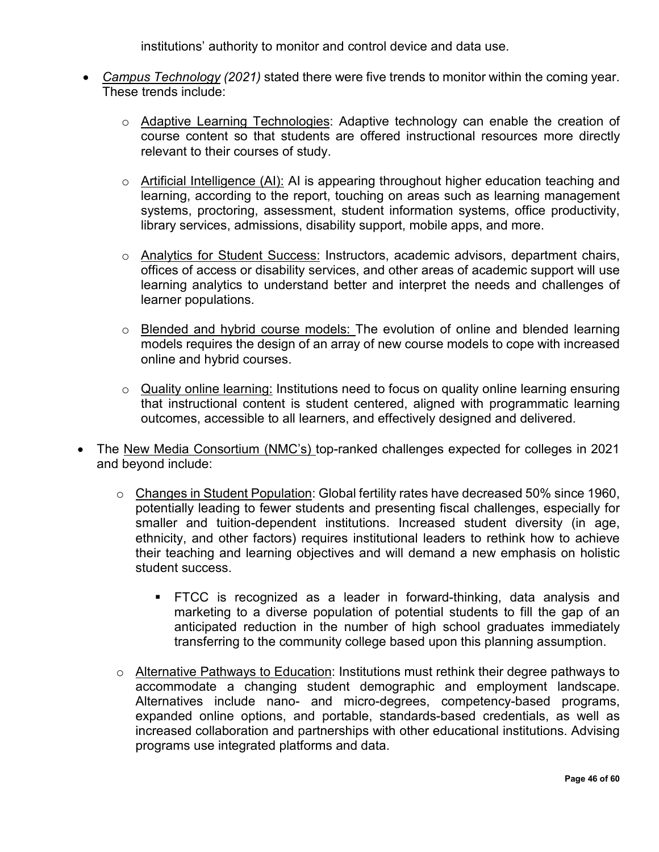institutions' authority to monitor and control device and data use.

- *Campus Technology (2021)* stated there were five trends to monitor within the coming year. These trends include:
	- o Adaptive Learning Technologies: Adaptive technology can enable the creation of course content so that students are offered instructional resources more directly relevant to their courses of study.
	- o Artificial Intelligence (AI): AI is appearing throughout higher education teaching and learning, according to the report, touching on areas such as learning management systems, proctoring, assessment, student information systems, office productivity, library services, admissions, disability support, mobile apps, and more.
	- o Analytics for Student Success: Instructors, academic advisors, department chairs, offices of access or disability services, and other areas of academic support will use learning analytics to understand better and interpret the needs and challenges of learner populations.
	- o Blended and hybrid course models: The evolution of online and blended learning models requires the design of an array of new course models to cope with increased online and hybrid courses.
	- o Quality online learning: Institutions need to focus on quality online learning ensuring that instructional content is student centered, aligned with programmatic learning outcomes, accessible to all learners, and effectively designed and delivered.
- The New Media Consortium (NMC's) top-ranked challenges expected for colleges in 2021 and beyond include:
	- o Changes in Student Population: Global fertility rates have decreased 50% since 1960, potentially leading to fewer students and presenting fiscal challenges, especially for smaller and tuition-dependent institutions. Increased student diversity (in age, ethnicity, and other factors) requires institutional leaders to rethink how to achieve their teaching and learning objectives and will demand a new emphasis on holistic student success.
		- **FTCC** is recognized as a leader in forward-thinking, data analysis and marketing to a diverse population of potential students to fill the gap of an anticipated reduction in the number of high school graduates immediately transferring to the community college based upon this planning assumption.
	- o Alternative Pathways to Education: Institutions must rethink their degree pathways to accommodate a changing student demographic and employment landscape. Alternatives include nano- and micro-degrees, competency-based programs, expanded online options, and portable, standards-based credentials, as well as increased collaboration and partnerships with other educational institutions. Advising programs use integrated platforms and data.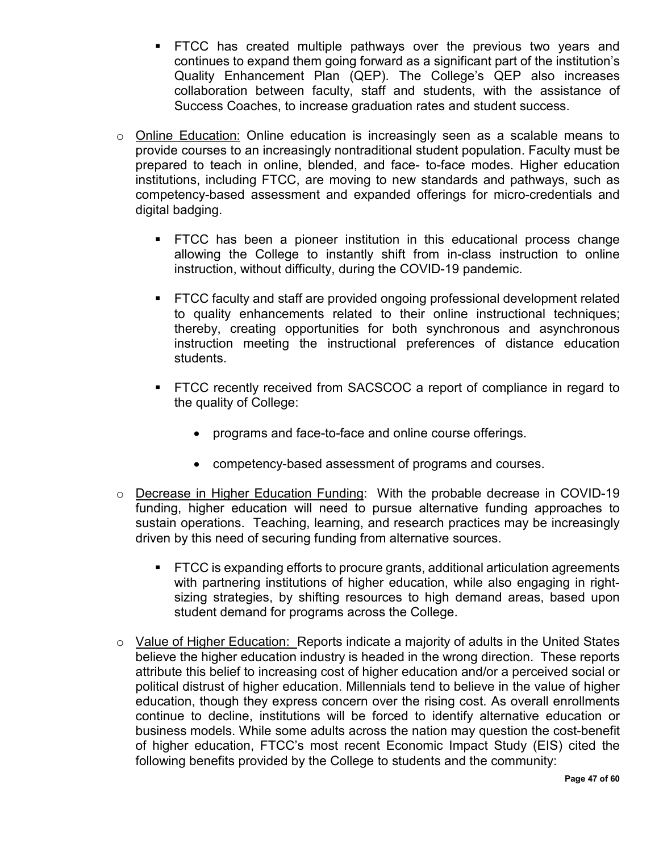- FTCC has created multiple pathways over the previous two years and continues to expand them going forward as a significant part of the institution's Quality Enhancement Plan (QEP). The College's QEP also increases collaboration between faculty, staff and students, with the assistance of Success Coaches, to increase graduation rates and student success.
- o Online Education: Online education is increasingly seen as a scalable means to provide courses to an increasingly nontraditional student population. Faculty must be prepared to teach in online, blended, and face- to-face modes. Higher education institutions, including FTCC, are moving to new standards and pathways, such as competency-based assessment and expanded offerings for micro-credentials and digital badging.
	- FTCC has been a pioneer institution in this educational process change allowing the College to instantly shift from in-class instruction to online instruction, without difficulty, during the COVID-19 pandemic.
	- FTCC faculty and staff are provided ongoing professional development related to quality enhancements related to their online instructional techniques; thereby, creating opportunities for both synchronous and asynchronous instruction meeting the instructional preferences of distance education students.
	- FTCC recently received from SACSCOC a report of compliance in regard to the quality of College:
		- programs and face-to-face and online course offerings.
		- competency-based assessment of programs and courses.
- o Decrease in Higher Education Funding: With the probable decrease in COVID-19 funding, higher education will need to pursue alternative funding approaches to sustain operations. Teaching, learning, and research practices may be increasingly driven by this need of securing funding from alternative sources.
	- **FTCC** is expanding efforts to procure grants, additional articulation agreements with partnering institutions of higher education, while also engaging in rightsizing strategies, by shifting resources to high demand areas, based upon student demand for programs across the College.
- $\circ$  Value of Higher Education: Reports indicate a majority of adults in the United States believe the higher education industry is headed in the wrong direction. These reports attribute this belief to increasing cost of higher education and/or a perceived social or political distrust of higher education. Millennials tend to believe in the value of higher education, though they express concern over the rising cost. As overall enrollments continue to decline, institutions will be forced to identify alternative education or business models. While some adults across the nation may question the cost-benefit of higher education, FTCC's most recent Economic Impact Study (EIS) cited the following benefits provided by the College to students and the community: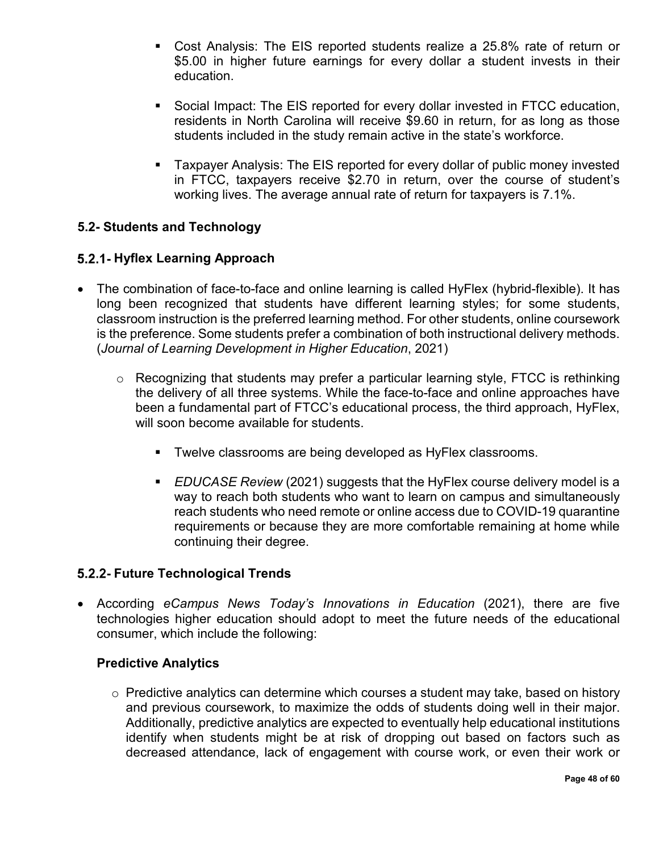- Cost Analysis: The EIS reported students realize a 25.8% rate of return or \$5.00 in higher future earnings for every dollar a student invests in their education.
- Social Impact: The EIS reported for every dollar invested in FTCC education, residents in North Carolina will receive \$9.60 in return, for as long as those students included in the study remain active in the state's workforce.
- Taxpayer Analysis: The EIS reported for every dollar of public money invested in FTCC, taxpayers receive \$2.70 in return, over the course of student's working lives. The average annual rate of return for taxpayers is 7.1%.

#### <span id="page-47-0"></span>**5.2- Students and Technology**

#### <span id="page-47-1"></span>**Hyflex Learning Approach**

- The combination of face-to-face and online learning is called HyFlex (hybrid-flexible). It has long been recognized that students have different learning styles; for some students, classroom instruction is the preferred learning method. For other students, online coursework is the preference. Some students prefer a combination of both instructional delivery methods. (*Journal of Learning Development in Higher Education*, 2021)
	- o Recognizing that students may prefer a particular learning style, FTCC is rethinking the delivery of all three systems. While the face-to-face and online approaches have been a fundamental part of FTCC's educational process, the third approach, HyFlex, will soon become available for students.
		- **Twelve classrooms are being developed as HyFlex classrooms.**
		- *EDUCASE Review* (2021) suggests that the HyFlex course delivery model is a way to reach both students who want to learn on campus and simultaneously reach students who need remote or online access due to COVID-19 quarantine requirements or because they are more comfortable remaining at home while continuing their degree.

#### <span id="page-47-2"></span>**Future Technological Trends**

• According *eCampus News Today's Innovations in Education* (2021), there are five technologies higher education should adopt to meet the future needs of the educational consumer, which include the following:

#### **Predictive Analytics**

 $\circ$  Predictive analytics can determine which courses a student may take, based on history and previous coursework, to maximize the odds of students doing well in their major. Additionally, predictive analytics are expected to eventually help educational institutions identify when students might be at risk of dropping out based on factors such as decreased attendance, lack of engagement with course work, or even their work or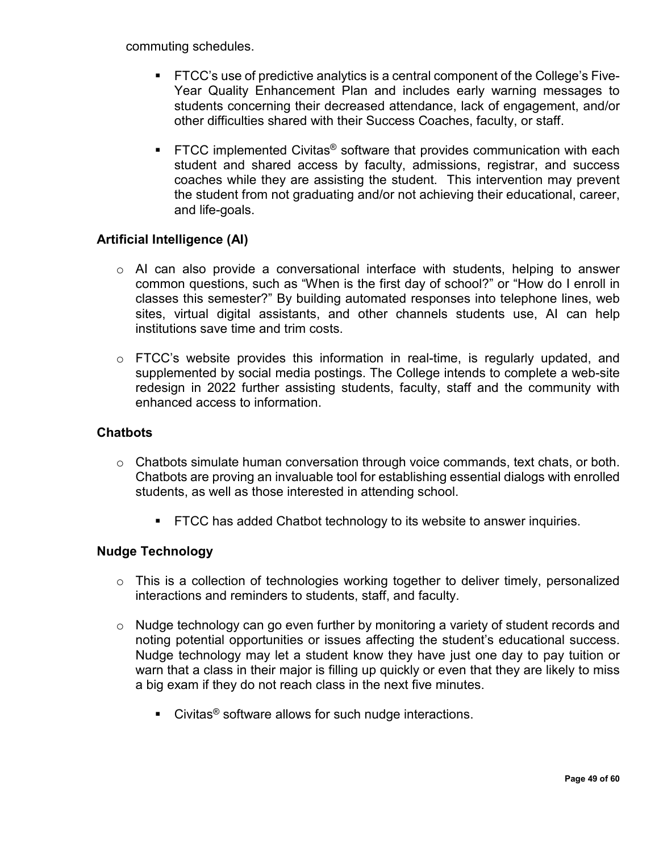commuting schedules.

- FTCC's use of predictive analytics is a central component of the College's Five-Year Quality Enhancement Plan and includes early warning messages to students concerning their decreased attendance, lack of engagement, and/or other difficulties shared with their Success Coaches, faculty, or staff.
- FTCC implemented Civitas<sup>®</sup> software that provides communication with each student and shared access by faculty, admissions, registrar, and success coaches while they are assisting the student. This intervention may prevent the student from not graduating and/or not achieving their educational, career, and life-goals.

#### **Artificial Intelligence (AI)**

- o AI can also provide a conversational interface with students, helping to answer common questions, such as "When is the first day of school?" or "How do I enroll in classes this semester?" By building automated responses into telephone lines, web sites, virtual digital assistants, and other channels students use, AI can help institutions save time and trim costs.
- $\circ$  FTCC's website provides this information in real-time, is regularly updated, and supplemented by social media postings. The College intends to complete a web-site redesign in 2022 further assisting students, faculty, staff and the community with enhanced access to information.

#### **Chatbots**

- $\circ$  Chatbots simulate human conversation through voice commands, text chats, or both. Chatbots are proving an invaluable tool for establishing essential dialogs with enrolled students, as well as those interested in attending school.
	- **FTCC has added Chatbot technology to its website to answer inquiries.**

#### **Nudge Technology**

- o This is a collection of technologies working together to deliver timely, personalized interactions and reminders to students, staff, and faculty.
- o Nudge technology can go even further by monitoring a variety of student records and noting potential opportunities or issues affecting the student's educational success. Nudge technology may let a student know they have just one day to pay tuition or warn that a class in their major is filling up quickly or even that they are likely to miss a big exam if they do not reach class in the next five minutes.
	- $\blacksquare$  Civitas<sup>®</sup> software allows for such nudge interactions.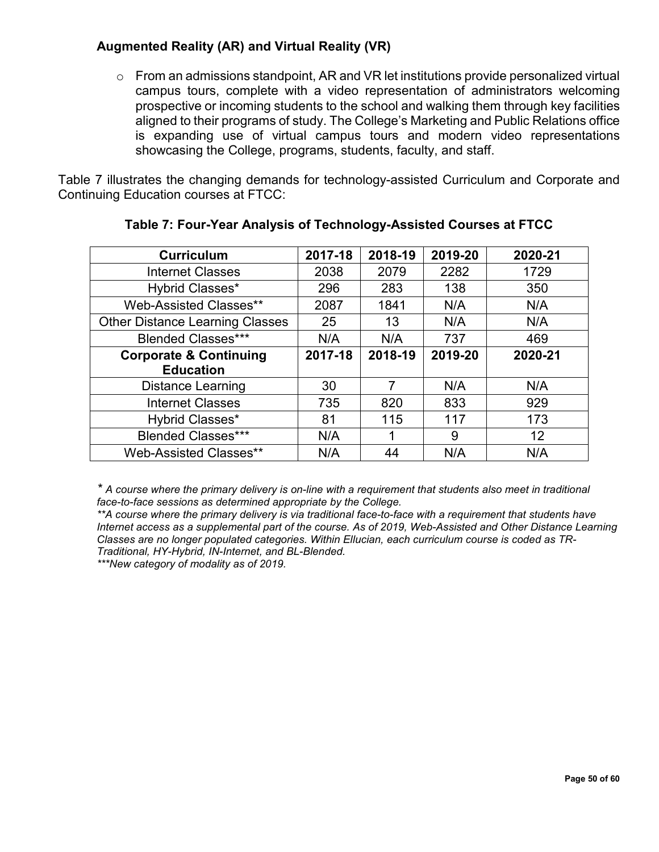#### **Augmented Reality (AR) and Virtual Reality (VR)**

 $\circ$  From an admissions standpoint, AR and VR let institutions provide personalized virtual campus tours, complete with a video representation of administrators welcoming prospective or incoming students to the school and walking them through key facilities aligned to their programs of study. The College's Marketing and Public Relations office is expanding use of virtual campus tours and modern video representations showcasing the College, programs, students, faculty, and staff.

Table 7 illustrates the changing demands for technology-assisted Curriculum and Corporate and Continuing Education courses at FTCC:

| <b>Curriculum</b>                      | 2017-18 | 2018-19 | 2019-20 | 2020-21 |
|----------------------------------------|---------|---------|---------|---------|
| <b>Internet Classes</b>                | 2038    | 2079    | 2282    | 1729    |
| Hybrid Classes*                        | 296     | 283     | 138     | 350     |
| Web-Assisted Classes**                 | 2087    | 1841    | N/A     | N/A     |
| <b>Other Distance Learning Classes</b> | 25      | 13      | N/A     | N/A     |
| <b>Blended Classes***</b>              | N/A     | N/A     | 737     | 469     |
| <b>Corporate &amp; Continuing</b>      | 2017-18 | 2018-19 | 2019-20 | 2020-21 |
| <b>Education</b>                       |         |         |         |         |
| <b>Distance Learning</b>               | 30      | 7       | N/A     | N/A     |
| <b>Internet Classes</b>                | 735     | 820     | 833     | 929     |
| Hybrid Classes*                        | 81      | 115     | 117     | 173     |
| <b>Blended Classes***</b>              | N/A     |         | 9       | 12      |
| <b>Web-Assisted Classes**</b>          | N/A     | 44      | N/A     | N/A     |

#### **Table 7: Four-Year Analysis of Technology-Assisted Courses at FTCC**

*\* A course where the primary delivery is on-line with a requirement that students also meet in traditional face-to-face sessions as determined appropriate by the College.*

*\*\*A course where the primary delivery is via traditional face-to-face with a requirement that students have Internet access as a supplemental part of the course. As of 2019, Web-Assisted and Other Distance Learning Classes are no longer populated categories. Within Ellucian, each curriculum course is coded as TR-Traditional, HY-Hybrid, IN-Internet, and BL-Blended.*

*\*\*\*New category of modality as of 2019.*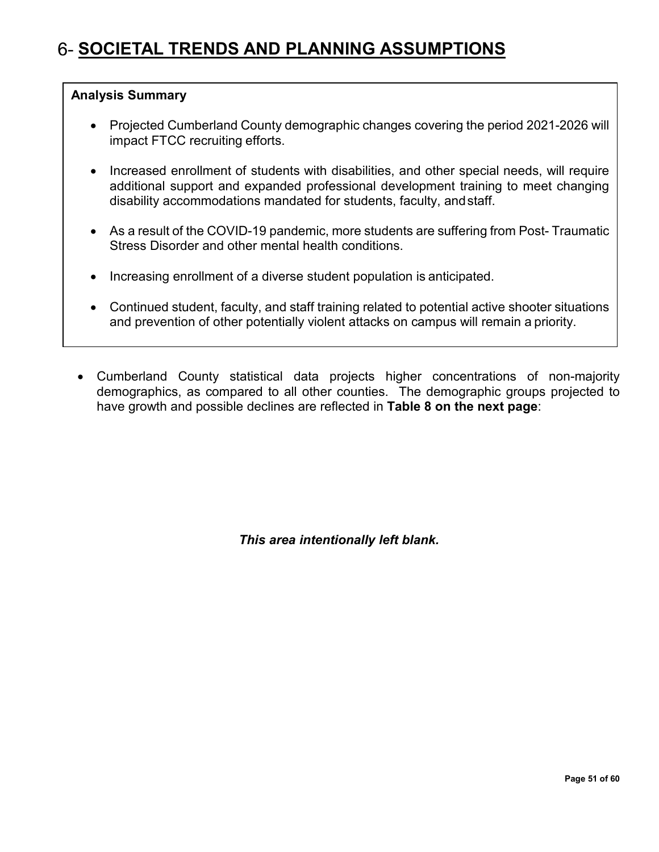## <span id="page-50-0"></span>**SOCIETAL TRENDS AND PLANNING ASSUMPTIONS**

#### **Analysis Summary**

- Projected Cumberland County demographic changes covering the period 2021-2026 will impact FTCC recruiting efforts.
- Increased enrollment of students with disabilities, and other special needs, will require additional support and expanded professional development training to meet changing disability accommodations mandated for students, faculty, andstaff.
- As a result of the COVID-19 pandemic, more students are suffering from Post-Traumatic Stress Disorder and other mental health conditions.
- Increasing enrollment of a diverse student population is anticipated.
- Continued student, faculty, and staff training related to potential active shooter situations and prevention of other potentially violent attacks on campus will remain a priority.
- Cumberland County statistical data projects higher concentrations of non-majority demographics, as compared to all other counties. The demographic groups projected to have growth and possible declines are reflected in **Table 8 on the next page**:

*This area intentionally left blank.*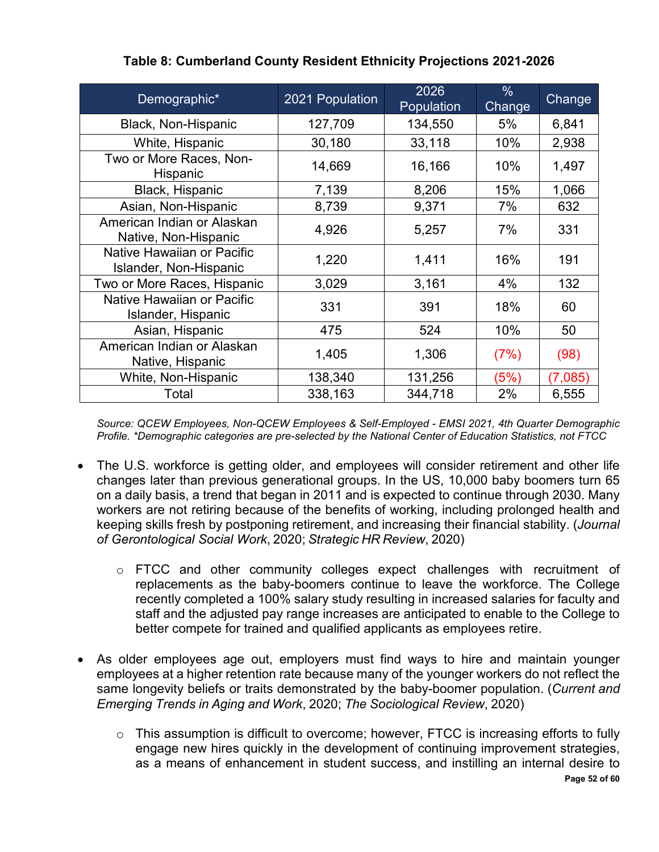| Demographic*                                         | 2021 Population | 2026<br>Population | $\frac{0}{0}$<br>Change | Change  |
|------------------------------------------------------|-----------------|--------------------|-------------------------|---------|
| Black, Non-Hispanic                                  | 127,709         | 134,550            | 5%                      | 6,841   |
| White, Hispanic                                      | 30,180          | 33,118             | 10%                     | 2,938   |
| Two or More Races, Non-<br>Hispanic                  | 14,669          | 16,166             | 10%                     | 1,497   |
| Black, Hispanic                                      | 7,139           | 8,206              | 15%                     | 1,066   |
| Asian, Non-Hispanic                                  | 8,739           | 9,371              | 7%                      | 632     |
| American Indian or Alaskan<br>Native, Non-Hispanic   | 4,926           | 5,257              | 7%                      | 331     |
| Native Hawaiian or Pacific<br>Islander, Non-Hispanic | 1,220           | 1,411              | 16%                     | 191     |
| Two or More Races, Hispanic                          | 3,029           | 3,161              | 4%                      | 132     |
| Native Hawaiian or Pacific<br>Islander, Hispanic     | 331             | 391                | 18%                     | 60      |
| Asian, Hispanic                                      | 475             | 524                | 10%                     | 50      |
| American Indian or Alaskan<br>Native, Hispanic       | 1,405           | 1,306              | (7%)                    | (98)    |
| White, Non-Hispanic                                  | 138,340         | 131,256            | (5%)                    | (7,085) |
| Total                                                | 338,163         | 344,718            | 2%                      | 6,555   |

#### **Table 8: Cumberland County Resident Ethnicity Projections 2021-2026**

*Source: QCEW Employees, Non-QCEW Employees & Self-Employed - EMSI 2021, 4th Quarter Demographic Profile. \*Demographic categories are pre-selected by the National Center of Education Statistics, not FTCC*

- The U.S. workforce is getting older, and employees will consider retirement and other life changes later than previous generational groups. In the US, 10,000 baby boomers turn 65 on a daily basis, a trend that began in 2011 and is expected to continue through 2030. Many workers are not retiring because of the benefits of working, including prolonged health and keeping skills fresh by postponing retirement, and increasing their financial stability. (*Journal of Gerontological Social Work*, 2020; *Strategic HR Review*, 2020)
	- o FTCC and other community colleges expect challenges with recruitment of replacements as the baby-boomers continue to leave the workforce. The College recently completed a 100% salary study resulting in increased salaries for faculty and staff and the adjusted pay range increases are anticipated to enable to the College to better compete for trained and qualified applicants as employees retire.
- As older employees age out, employers must find ways to hire and maintain younger employees at a higher retention rate because many of the younger workers do not reflect the same longevity beliefs or traits demonstrated by the baby-boomer population. (*Current and Emerging Trends in Aging and Work*, 2020; *The Sociological Review*, 2020)
	- **Page 52 of 60**  $\circ$  This assumption is difficult to overcome; however, FTCC is increasing efforts to fully engage new hires quickly in the development of continuing improvement strategies, as a means of enhancement in student success, and instilling an internal desire to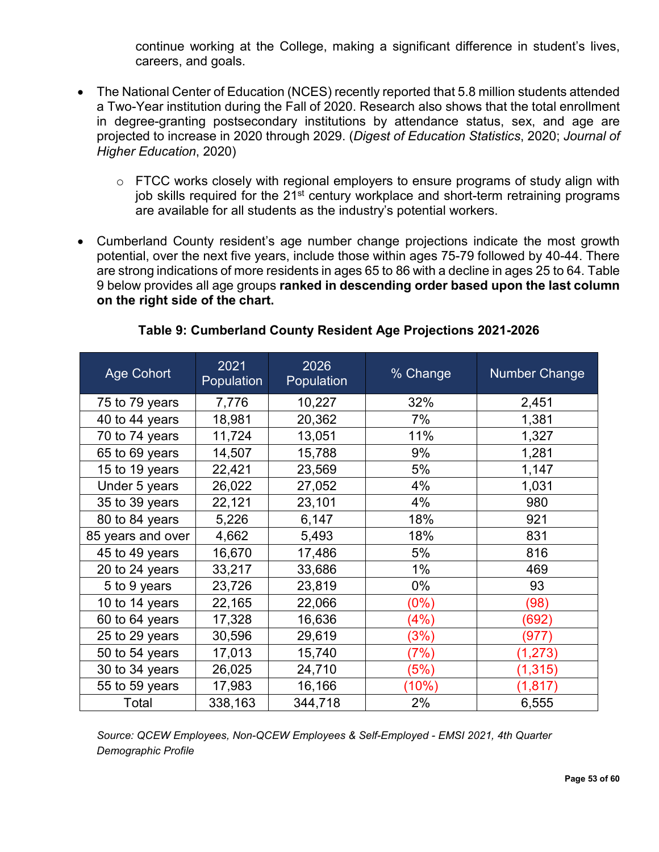continue working at the College, making a significant difference in student's lives, careers, and goals.

- The National Center of Education (NCES) recently reported that 5.8 million students attended a Two-Year institution during the Fall of 2020. Research also shows that the total enrollment in degree-granting postsecondary institutions by attendance status, sex, and age are projected to increase in 2020 through 2029. (*Digest of Education Statistics*, 2020; *Journal of Higher Education*, 2020)
	- $\circ$  FTCC works closely with regional employers to ensure programs of study align with job skills required for the 21<sup>st</sup> century workplace and short-term retraining programs are available for all students as the industry's potential workers.
- Cumberland County resident's age number change projections indicate the most growth potential, over the next five years, include those within ages 75-79 followed by 40-44. There are strong indications of more residents in ages 65 to 86 with a decline in ages 25 to 64. Table 9 below provides all age groups **ranked in descending order based upon the last column on the right side of the chart.**

| <b>Age Cohort</b> | 2021<br>Population | 2026<br>Population | % Change | <b>Number Change</b> |
|-------------------|--------------------|--------------------|----------|----------------------|
| 75 to 79 years    | 7,776              | 10,227             | 32%      | 2,451                |
| 40 to 44 years    | 18,981             | 20,362             | 7%       | 1,381                |
| 70 to 74 years    | 11,724             | 13,051             | 11%      | 1,327                |
| 65 to 69 years    | 14,507             | 15,788             | 9%       | 1,281                |
| 15 to 19 years    | 22,421             | 23,569             | 5%       | 1,147                |
| Under 5 years     | 26,022             | 27,052             | 4%       | 1,031                |
| 35 to 39 years    | 22,121             | 23,101             | 4%       | 980                  |
| 80 to 84 years    | 5,226              | 6,147              | 18%      | 921                  |
| 85 years and over | 4,662              | 5,493              | 18%      | 831                  |
| 45 to 49 years    | 16,670             | 17,486             | 5%       | 816                  |
| 20 to 24 years    | 33,217             | 33,686             | $1\%$    | 469                  |
| 5 to 9 years      | 23,726             | 23,819             | $0\%$    | 93                   |
| 10 to 14 years    | 22,165             | 22,066             | (0%)     | (98)                 |
| 60 to 64 years    | 17,328             | 16,636             | (4%)     | (692)                |
| 25 to 29 years    | 30,596             | 29,619             | (3%)     | (977)                |
| 50 to 54 years    | 17,013             | 15,740             | (7%)     | (1, 273)             |
| 30 to 34 years    | 26,025             | 24,710             | (5%)     | (1,315)              |
| 55 to 59 years    | 17,983             | 16,166             | (10%)    | (1, 817)             |
| Total             | 338,163            | 344,718            | 2%       | 6,555                |

**Table 9: Cumberland County Resident Age Projections 2021-2026**

*Source: QCEW Employees, Non-QCEW Employees & Self-Employed - EMSI 2021, 4th Quarter Demographic Profile*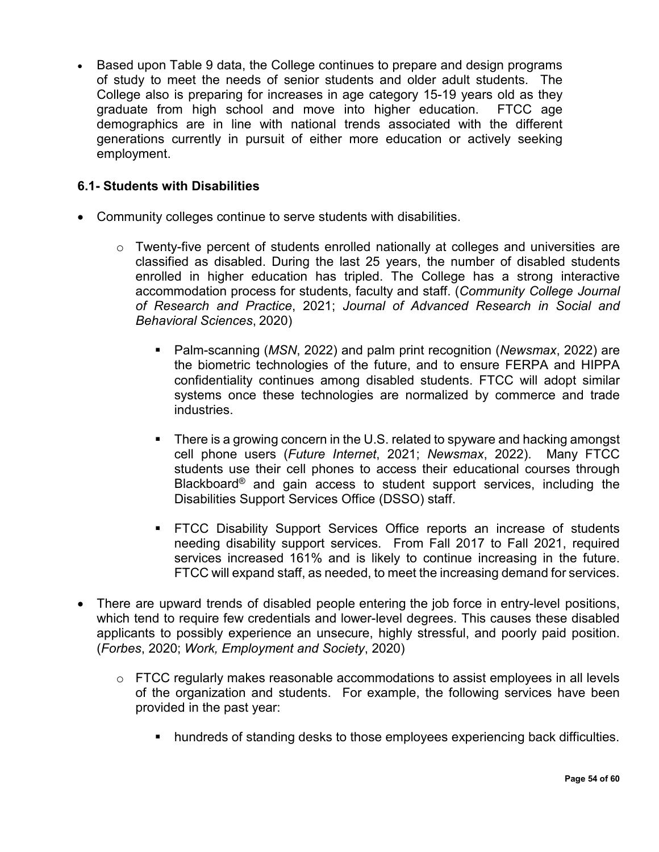• Based upon Table 9 data, the College continues to prepare and design programs of study to meet the needs of senior students and older adult students. The College also is preparing for increases in age category 15-19 years old as they graduate from high school and move into higher education. FTCC age demographics are in line with national trends associated with the different generations currently in pursuit of either more education or actively seeking employment.

#### <span id="page-53-0"></span>**6.1- Students with Disabilities**

- Community colleges continue to serve students with disabilities.
	- $\circ$  Twenty-five percent of students enrolled nationally at colleges and universities are classified as disabled. During the last 25 years, the number of disabled students enrolled in higher education has tripled. The College has a strong interactive accommodation process for students, faculty and staff. (*Community College Journal of Research and Practice*, 2021; *Journal of Advanced Research in Social and Behavioral Sciences*, 2020)
		- Palm-scanning (*MSN*, 2022) and palm print recognition (*Newsmax*, 2022) are the biometric technologies of the future, and to ensure FERPA and HIPPA confidentiality continues among disabled students. FTCC will adopt similar systems once these technologies are normalized by commerce and trade industries.
		- There is a growing concern in the U.S. related to spyware and hacking amongst cell phone users (*Future Internet*, 2021; *Newsmax*, 2022). Many FTCC students use their cell phones to access their educational courses through Blackboard® and gain access to student support services, including the Disabilities Support Services Office (DSSO) staff.
		- FTCC Disability Support Services Office reports an increase of students needing disability support services. From Fall 2017 to Fall 2021, required services increased 161% and is likely to continue increasing in the future. FTCC will expand staff, as needed, to meet the increasing demand for services.
- There are upward trends of disabled people entering the job force in entry-level positions, which tend to require few credentials and lower-level degrees. This causes these disabled applicants to possibly experience an unsecure, highly stressful, and poorly paid position. (*Forbes*, 2020; *Work, Employment and Society*, 2020)
	- $\circ$  FTCC regularly makes reasonable accommodations to assist employees in all levels of the organization and students. For example, the following services have been provided in the past year:
		- hundreds of standing desks to those employees experiencing back difficulties.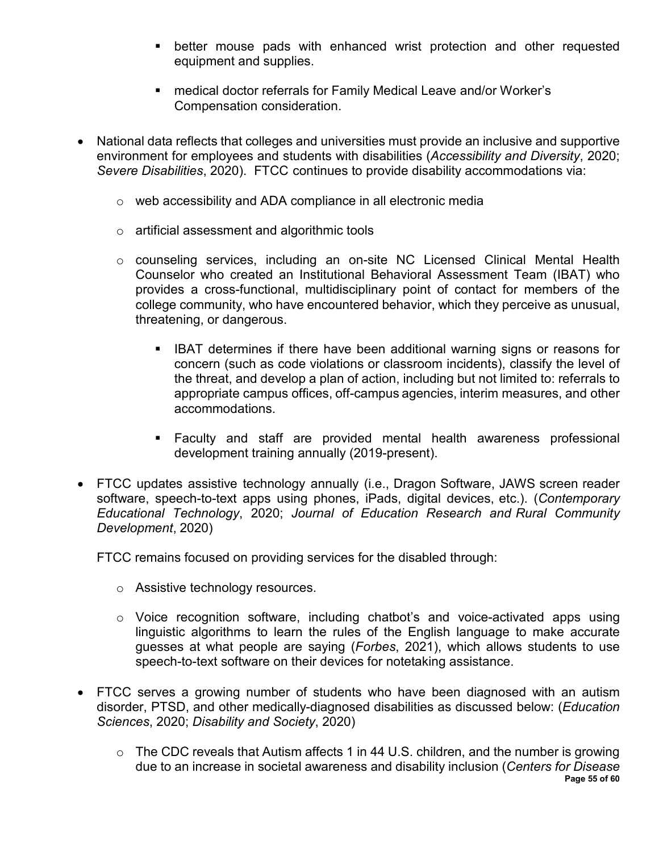- better mouse pads with enhanced wrist protection and other requested equipment and supplies.
- medical doctor referrals for Family Medical Leave and/or Worker's Compensation consideration.
- National data reflects that colleges and universities must provide an inclusive and supportive environment for employees and students with disabilities (*Accessibility and Diversity*, 2020; *Severe Disabilities*, 2020). FTCC continues to provide disability accommodations via:
	- o web accessibility and ADA compliance in all electronic media
	- o artificial assessment and algorithmic tools
	- o counseling services, including an on-site NC Licensed Clinical Mental Health Counselor who created an Institutional Behavioral Assessment Team (IBAT) who provides a cross-functional, multidisciplinary point of contact for members of the college community, who have encountered behavior, which they perceive as unusual, threatening, or dangerous.
		- **IBAT determines if there have been additional warning signs or reasons for** concern (such as code violations or classroom incidents), classify the level of the threat, and develop a plan of action, including but not limited to: referrals to appropriate campus offices, off-campus agencies, interim measures, and other accommodations.
		- Faculty and staff are provided mental health awareness professional development training annually (2019-present).
- FTCC updates assistive technology annually (i.e., Dragon Software, JAWS screen reader software, speech-to-text apps using phones, iPads, digital devices, etc.). (*Contemporary Educational Technology*, 2020; *Journal of Education Research and Rural Community Development*, 2020)

FTCC remains focused on providing services for the disabled through:

- o Assistive technology resources.
- o Voice recognition software, including chatbot's and voice-activated apps using linguistic algorithms to learn the rules of the English language to make accurate guesses at what people are saying (*Forbes*, 2021), which allows students to use speech-to-text software on their devices for notetaking assistance.
- FTCC serves a growing number of students who have been diagnosed with an autism disorder, PTSD, and other medically-diagnosed disabilities as discussed below: (*Education Sciences*, 2020; *Disability and Society*, 2020)
	- **Page 55 of 60**  $\circ$  The CDC reveals that Autism affects 1 in 44 U.S. children, and the number is growing due to an increase in societal awareness and disability inclusion (*Centers for Disease*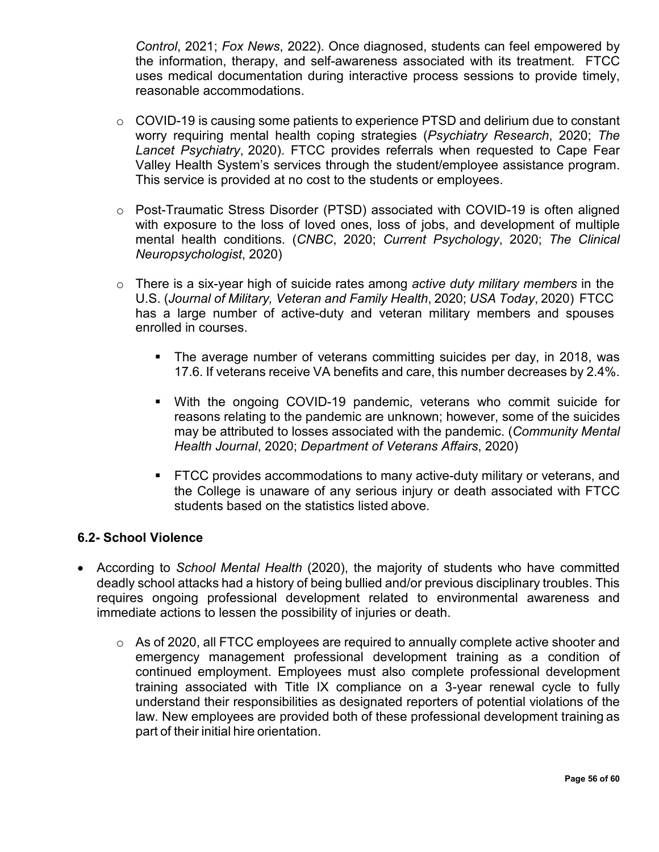*Control*, 2021; *Fox News*, 2022). Once diagnosed, students can feel empowered by the information, therapy, and self-awareness associated with its treatment. FTCC uses medical documentation during interactive process sessions to provide timely, reasonable accommodations.

- o COVID-19 is causing some patients to experience PTSD and delirium due to constant worry requiring mental health coping strategies (*Psychiatry Research*, 2020; *The Lancet Psychiatry*, 2020). FTCC provides referrals when requested to Cape Fear Valley Health System's services through the student/employee assistance program. This service is provided at no cost to the students or employees.
- o Post-Traumatic Stress Disorder (PTSD) associated with COVID-19 is often aligned with exposure to the loss of loved ones, loss of jobs, and development of multiple mental health conditions. (*CNBC*, 2020; *Current Psychology*, 2020; *The Clinical Neuropsychologist*, 2020)
- o There is a six-year high of suicide rates among *active duty military members* in the U.S. (*Journal of Military, Veteran and Family Health*, 2020; *USA Today*, 2020) FTCC has a large number of active-duty and veteran military members and spouses enrolled in courses.
	- The average number of veterans committing suicides per day, in 2018, was 17.6. If veterans receive VA benefits and care, this number decreases by 2.4%.
	- With the ongoing COVID-19 pandemic, veterans who commit suicide for reasons relating to the pandemic are unknown; however, some of the suicides may be attributed to losses associated with the pandemic. (*Community Mental Health Journal*, 2020; *Department of Veterans Affairs*, 2020)
	- **FTCC provides accommodations to many active-duty military or veterans, and** the College is unaware of any serious injury or death associated with FTCC students based on the statistics listed above.

#### <span id="page-55-0"></span>**6.2- School Violence**

- According to *School Mental Health* (2020), the majority of students who have committed deadly school attacks had a history of being bullied and/or previous disciplinary troubles. This requires ongoing professional development related to environmental awareness and immediate actions to lessen the possibility of injuries or death.
	- $\circ$  As of 2020, all FTCC employees are required to annually complete active shooter and emergency management professional development training as a condition of continued employment. Employees must also complete professional development training associated with Title IX compliance on a 3-year renewal cycle to fully understand their responsibilities as designated reporters of potential violations of the law. New employees are provided both of these professional development training as part of their initial hire orientation.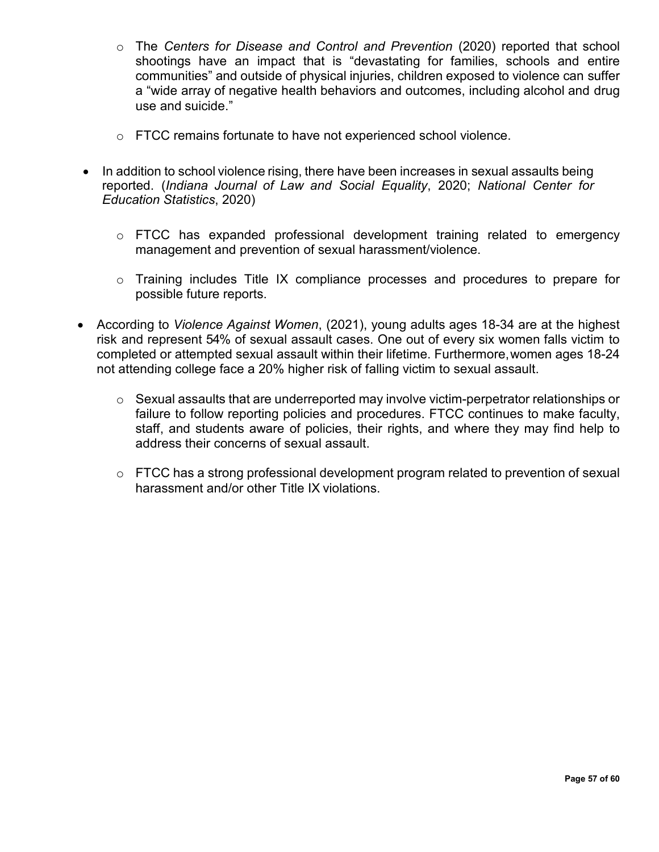- o The *Centers for Disease and Control and Prevention* (2020) reported that school shootings have an impact that is "devastating for families, schools and entire communities" and outside of physical injuries, children exposed to violence can suffer a "wide array of negative health behaviors and outcomes, including alcohol and drug use and suicide."
- o FTCC remains fortunate to have not experienced school violence.
- In addition to school violence rising, there have been increases in sexual assaults being reported. (*Indiana Journal of Law and Social Equality*, 2020; *National Center for Education Statistics*, 2020)
	- o FTCC has expanded professional development training related to emergency management and prevention of sexual harassment/violence.
	- o Training includes Title IX compliance processes and procedures to prepare for possible future reports.
- According to *Violence Against Women*, (2021), young adults ages 18-34 are at the highest risk and represent 54% of sexual assault cases. One out of every six women falls victim to completed or attempted sexual assault within their lifetime. Furthermore,women ages 18-24 not attending college face a 20% higher risk of falling victim to sexual assault.
	- o Sexual assaults that are underreported may involve victim-perpetrator relationships or failure to follow reporting policies and procedures. FTCC continues to make faculty, staff, and students aware of policies, their rights, and where they may find help to address their concerns of sexual assault.
	- $\circ$  FTCC has a strong professional development program related to prevention of sexual harassment and/or other Title IX violations.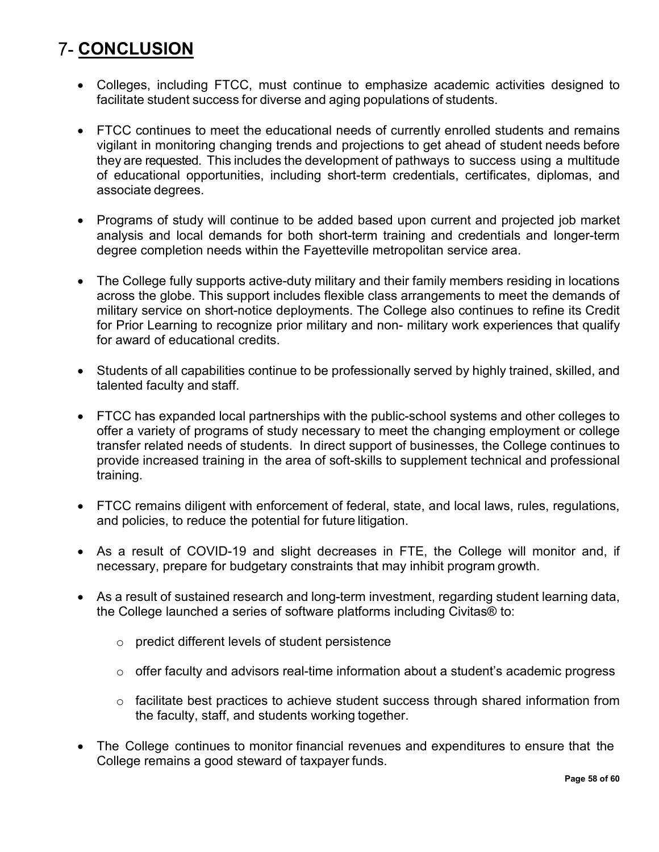## <span id="page-57-0"></span>**7- CONCLUSION**

- Colleges, including FTCC, must continue to emphasize academic activities designed to facilitate student success for diverse and aging populations of students.
- FTCC continues to meet the educational needs of currently enrolled students and remains vigilant in monitoring changing trends and projections to get ahead of student needs before they are requested. This includes the development of pathways to success using a multitude of educational opportunities, including short-term credentials, certificates, diplomas, and associate degrees.
- Programs of study will continue to be added based upon current and projected job market analysis and local demands for both short-term training and credentials and longer-term degree completion needs within the Fayetteville metropolitan service area.
- The College fully supports active-duty military and their family members residing in locations across the globe. This support includes flexible class arrangements to meet the demands of military service on short-notice deployments. The College also continues to refine its Credit for Prior Learning to recognize prior military and non- military work experiences that qualify for award of educational credits.
- Students of all capabilities continue to be professionally served by highly trained, skilled, and talented faculty and staff.
- FTCC has expanded local partnerships with the public-school systems and other colleges to offer a variety of programs of study necessary to meet the changing employment or college transfer related needs of students. In direct support of businesses, the College continues to provide increased training in the area of soft-skills to supplement technical and professional training.
- FTCC remains diligent with enforcement of federal, state, and local laws, rules, regulations, and policies, to reduce the potential for future litigation.
- As a result of COVID-19 and slight decreases in FTE, the College will monitor and, if necessary, prepare for budgetary constraints that may inhibit program growth.
- As a result of sustained research and long-term investment, regarding student learning data, the College launched a series of software platforms including Civitas® to:
	- o predict different levels of student persistence
	- $\circ$  offer faculty and advisors real-time information about a student's academic progress
	- o facilitate best practices to achieve student success through shared information from the faculty, staff, and students working together.
- The College continues to monitor financial revenues and expenditures to ensure that the College remains a good steward of taxpayer funds.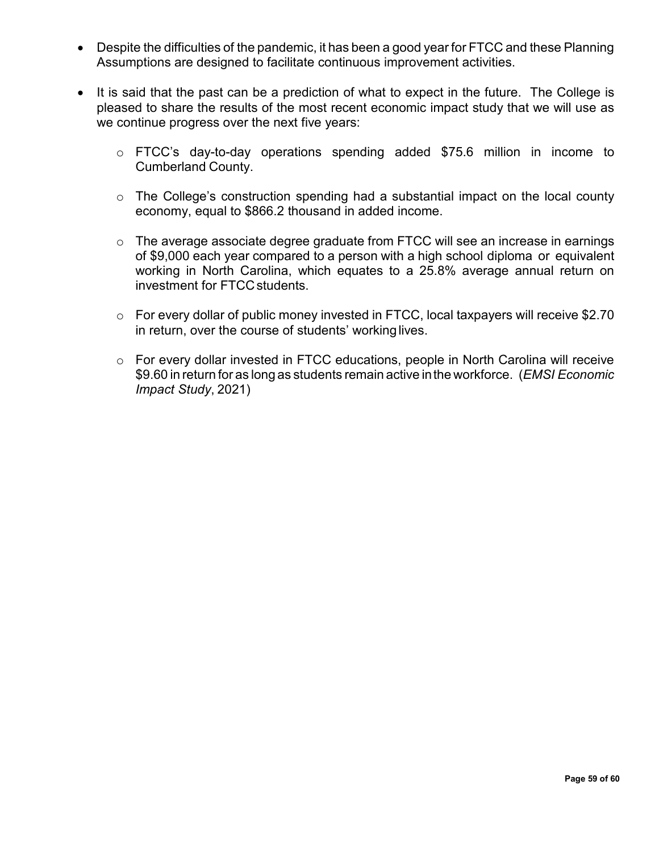- Despite the difficulties of the pandemic, it has been a good year for FTCC and these Planning Assumptions are designed to facilitate continuous improvement activities.
- It is said that the past can be a prediction of what to expect in the future. The College is pleased to share the results of the most recent economic impact study that we will use as we continue progress over the next five years:
	- o FTCC's day-to-day operations spending added \$75.6 million in income to Cumberland County.
	- o The College's construction spending had a substantial impact on the local county economy, equal to \$866.2 thousand in added income.
	- $\circ$  The average associate degree graduate from FTCC will see an increase in earnings of \$9,000 each year compared to a person with a high school diploma or equivalent working in North Carolina, which equates to a 25.8% average annual return on investment for FTCC students.
	- o For every dollar of public money invested in FTCC, local taxpayers will receive \$2.70 in return, over the course of students' workinglives.
	- o For every dollar invested in FTCC educations, people in North Carolina will receive \$9.60 in return for as long as students remain active inthe workforce. (*EMSI Economic Impact Study*, 2021)